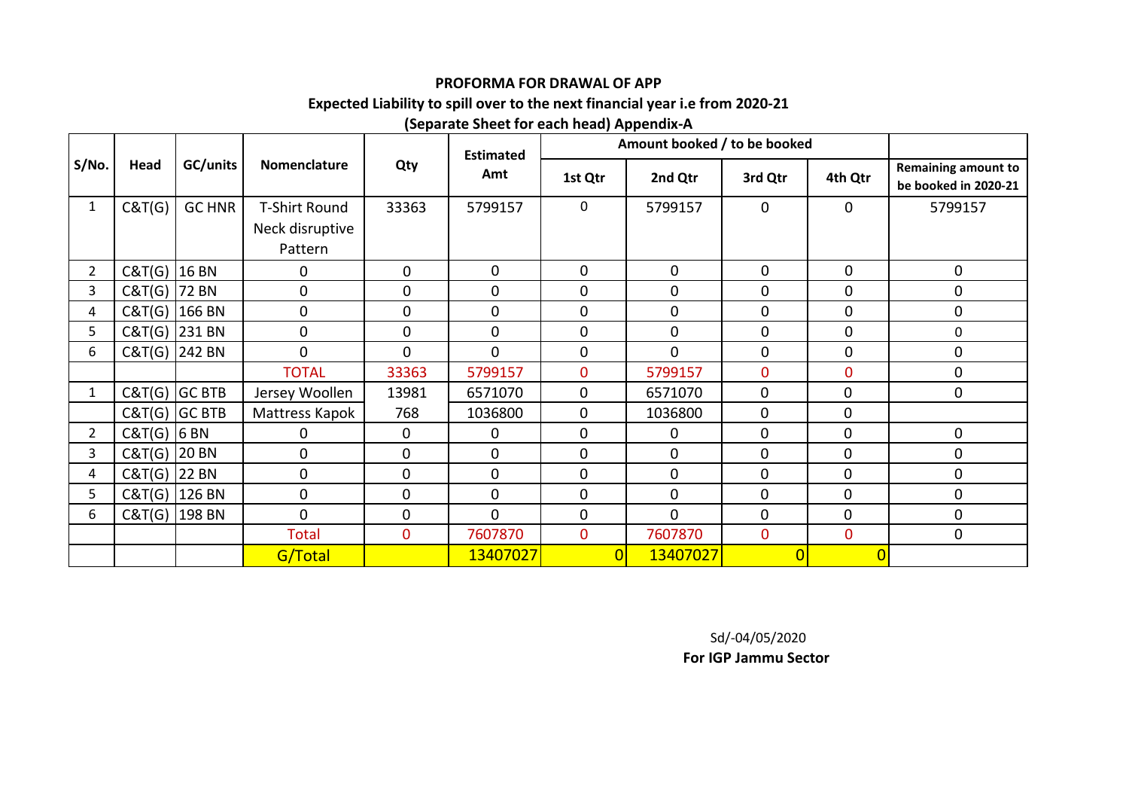## **PROFORMA FOR DRAWAL OF APP**

## **Expected Liability to spill over to the next financial year i.e from 2020-21**

## **(Separate Sheet for each head) Appendix-A**

|                       |                |                 |                 |                  | <b>Estimated</b> |                | Amount booked / to be booked |              |                |                                                    |
|-----------------------|----------------|-----------------|-----------------|------------------|------------------|----------------|------------------------------|--------------|----------------|----------------------------------------------------|
| S/No.                 | Head           | GC/units        | Nomenclature    | Qty              | Amt              | 1st Qtr        | 2nd Qtr                      | 3rd Qtr      | 4th Qtr        | <b>Remaining amount to</b><br>be booked in 2020-21 |
| $\mathbf{1}$          | C&T(G)         | <b>GC HNR</b>   | T-Shirt Round   | 33363            | 5799157          | 0              | 5799157                      | $\mathbf 0$  | $\mathbf 0$    | 5799157                                            |
|                       |                |                 | Neck disruptive |                  |                  |                |                              |              |                |                                                    |
|                       |                |                 | Pattern         |                  |                  |                |                              |              |                |                                                    |
| $\overline{2}$        | $C&T(G)$ 16 BN |                 | 0               | 0                | $\pmb{0}$        | $\mathbf 0$    | $\mathbf 0$                  | $\mathbf 0$  | $\mathbf 0$    | $\mathbf 0$                                        |
| 3                     | C&T(G)  72 BN  |                 | 0               | $\mathbf 0$      | $\mathbf 0$      | $\mathbf 0$    | $\mathbf 0$                  | $\mathbf 0$  | $\mathbf 0$    | 0                                                  |
| 4                     |                | C&T(G) 166 BN   | $\pmb{0}$       | $\boldsymbol{0}$ | $\mathbf 0$      | $\mathbf 0$    | $\mathbf 0$                  | $\mathbf 0$  | $\mathbf 0$    | $\mathbf 0$                                        |
| 5                     |                | $C&T(G)$ 231 BN | $\mathbf 0$     | $\mathbf 0$      | $\mathbf 0$      | $\mathbf 0$    | $\mathbf 0$                  | $\mathbf 0$  | $\mathbf 0$    | $\mathbf 0$                                        |
| 6                     |                | C&T(G) 242 BN   | $\mathbf 0$     | $\mathbf 0$      | $\mathbf 0$      | $\mathbf 0$    | $\mathbf 0$                  | $\mathbf 0$  | $\mathbf 0$    | 0                                                  |
|                       |                |                 | <b>TOTAL</b>    | 33363            | 5799157          | $\mathbf 0$    | 5799157                      | $\mathbf 0$  | $\mathbf{0}$   | $\mathbf 0$                                        |
| $\mathbf{1}$          |                | $C&T(G)$ GC BTB | Jersey Woollen  | 13981            | 6571070          | 0              | 6571070                      | $\mathbf 0$  | $\mathbf 0$    | $\mathbf 0$                                        |
|                       |                | $C&T(G)$ GC BTB | Mattress Kapok  | 768              | 1036800          | $\mathbf 0$    | 1036800                      | $\mathbf 0$  | $\mathbf 0$    |                                                    |
| $\mathbf{2}^{\prime}$ | $C&T(G)$ 6 BN  |                 | 0               | 0                | 0                | $\pmb{0}$      | 0                            | $\pmb{0}$    | $\mathbf 0$    | $\mathbf 0$                                        |
| 3                     | C&T(G)   20 BN |                 | 0               | $\mathbf 0$      | 0                | 0              | $\mathbf 0$                  | $\mathbf 0$  | $\mathbf 0$    | 0                                                  |
| 4                     | C&T(G) 22 BN   |                 | $\mathbf 0$     | $\mathbf 0$      | 0                | $\pmb{0}$      | $\mathbf 0$                  | $\mathbf 0$  | $\overline{0}$ | 0                                                  |
| 5                     |                | C&T(G) 126 BN   | $\mathbf 0$     | $\mathbf 0$      | 0                | 0              | $\mathbf 0$                  | $\mathbf 0$  | 0              | 0                                                  |
| 6                     |                | C&T(G) 198 BN   | $\mathbf 0$     | $\mathbf 0$      | $\mathbf 0$      | 0              | $\mathbf{0}$                 | $\mathbf 0$  | $\mathbf 0$    | $\mathbf 0$                                        |
|                       |                |                 | Total           | $\mathbf 0$      | 7607870          | $\overline{0}$ | 7607870                      | $\mathbf{0}$ | $\overline{0}$ | 0                                                  |
|                       |                |                 | G/Total         |                  | 13407027         | $\overline{0}$ | 13407027                     | 0            | $\overline{0}$ |                                                    |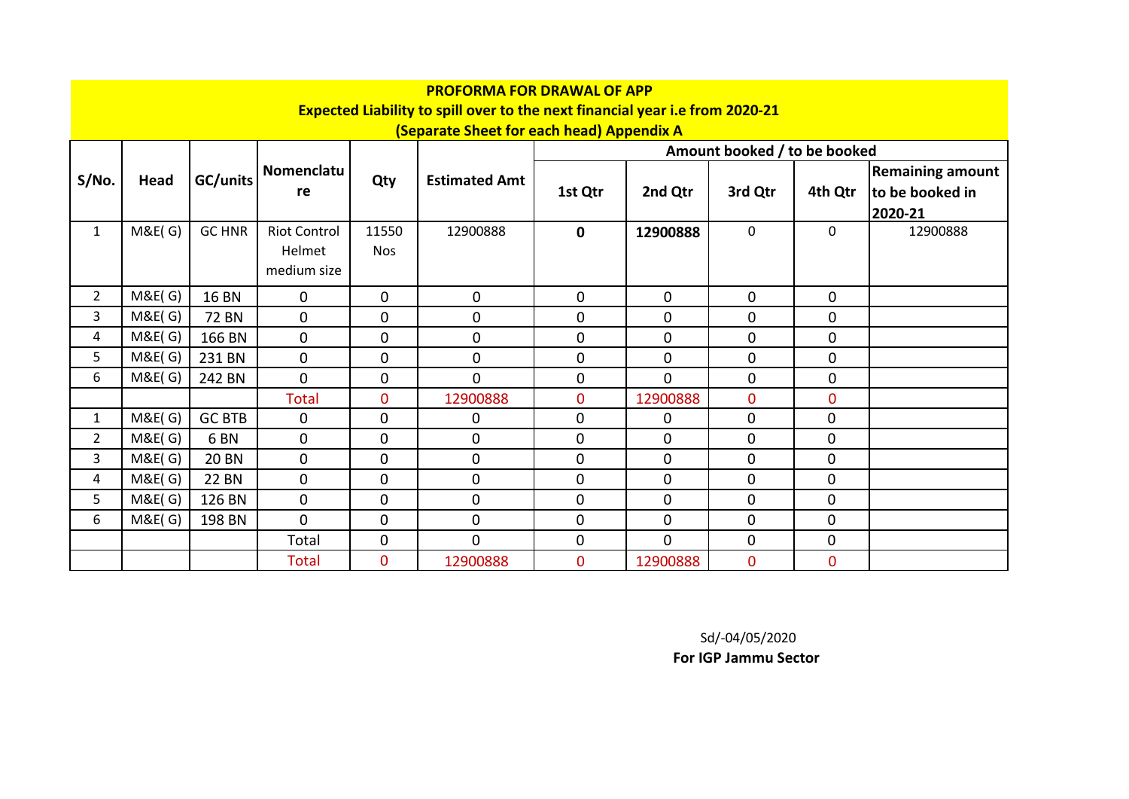|                |             |                 |                     |                | <b>PROFORMA FOR DRAWAL OF APP</b>                                                   |              |                |                              |                |                         |
|----------------|-------------|-----------------|---------------------|----------------|-------------------------------------------------------------------------------------|--------------|----------------|------------------------------|----------------|-------------------------|
|                |             |                 |                     |                | <b>Expected Liability to spill over to the next financial year i.e from 2020-21</b> |              |                |                              |                |                         |
|                |             |                 |                     |                | (Separate Sheet for each head) Appendix A                                           |              |                |                              |                |                         |
|                |             |                 |                     |                |                                                                                     |              |                | Amount booked / to be booked |                |                         |
| S/No.          | <b>Head</b> | GC/units        | Nomenclatu          | Qty            | <b>Estimated Amt</b>                                                                |              |                |                              |                | <b>Remaining amount</b> |
|                |             |                 | re                  |                |                                                                                     | 1st Qtr      | 2nd Qtr        | 3rd Qtr                      | 4th Qtr        | to be booked in         |
|                |             |                 |                     |                |                                                                                     |              |                |                              |                | 2020-21                 |
| $\mathbf{1}$   | M&E(G)      | <b>GC HNR</b>   | <b>Riot Control</b> | 11550          | 12900888                                                                            | $\mathbf{0}$ | 12900888       | $\mathbf 0$                  | $\mathbf 0$    | 12900888                |
|                |             |                 | Helmet              | <b>Nos</b>     |                                                                                     |              |                |                              |                |                         |
|                |             |                 | medium size         |                |                                                                                     |              |                |                              |                |                         |
| $\overline{2}$ | M&E(G)      | <b>16 BN</b>    | $\mathbf{0}$        | $\mathbf{0}$   | $\mathbf 0$                                                                         | $\mathbf 0$  | $\overline{0}$ | $\mathbf 0$                  | $\mathbf 0$    |                         |
| 3              | M&E(G)      | <b>72 BN</b>    | $\mathbf 0$         | $\mathbf{0}$   | $\pmb{0}$                                                                           | $\mathbf{0}$ | $\mathbf 0$    | $\mathbf 0$                  | $\mathbf 0$    |                         |
| 4              | M&E(G)      | 166 BN          | $\mathbf 0$         | 0              | $\mathbf 0$                                                                         | $\mathbf{0}$ | $\mathbf{0}$   | 0                            | $\Omega$       |                         |
| 5              | M&E(G)      | 231 BN          | $\mathbf 0$         | 0              | $\mathbf 0$                                                                         | $\mathbf 0$  | $\mathbf{0}$   | $\mathbf 0$                  | $\mathbf 0$    |                         |
| 6              | M&E(G)      | 242 BN          | $\overline{0}$      | 0              | $\overline{0}$                                                                      | $\mathbf 0$  | $\overline{0}$ | $\mathbf 0$                  | $\mathbf 0$    |                         |
|                |             |                 | <b>Total</b>        | 0              | 12900888                                                                            | $\mathbf{0}$ | 12900888       | $\mathbf 0$                  | $\overline{0}$ |                         |
| $\mathbf{1}$   | M&E(G)      | <b>GC BTB</b>   | $\mathbf 0$         | 0              | 0                                                                                   | $\mathbf 0$  | 0              | $\mathbf 0$                  | $\mathbf{0}$   |                         |
| $\overline{2}$ | M&E(G)      | 6 <sub>BN</sub> | $\mathbf 0$         | 0              | $\mathbf 0$                                                                         | $\Omega$     | 0              | 0                            | $\Omega$       |                         |
| 3              | M&E(G)      | <b>20 BN</b>    | $\overline{0}$      | $\overline{0}$ | $\pmb{0}$                                                                           | $\mathbf 0$  | $\overline{0}$ | $\mathbf 0$                  | $\mathbf{0}$   |                         |
| 4              | M&E(G)      | <b>22 BN</b>    | $\mathbf{0}$        | $\overline{0}$ | $\pmb{0}$                                                                           | $\mathbf 0$  | $\mathbf 0$    | $\mathbf 0$                  | $\mathbf 0$    |                         |
| 5              | M&E(G)      | 126 BN          | $\mathbf 0$         | 0              | $\pmb{0}$                                                                           | $\mathbf 0$  | 0              | 0                            | $\mathbf 0$    |                         |
| 6              | M&E(G)      | 198 BN          | $\overline{0}$      | 0              | $\pmb{0}$                                                                           | $\mathbf 0$  | 0              | $\mathbf 0$                  | $\mathbf{0}$   |                         |
|                |             |                 | Total               | 0              | $\overline{0}$                                                                      | $\mathbf 0$  | $\overline{0}$ | $\mathbf 0$                  | $\mathbf{0}$   |                         |
|                |             |                 | <b>Total</b>        | 0              | 12900888                                                                            | $\mathbf{0}$ | 12900888       | $\mathbf{0}$                 | $\overline{0}$ |                         |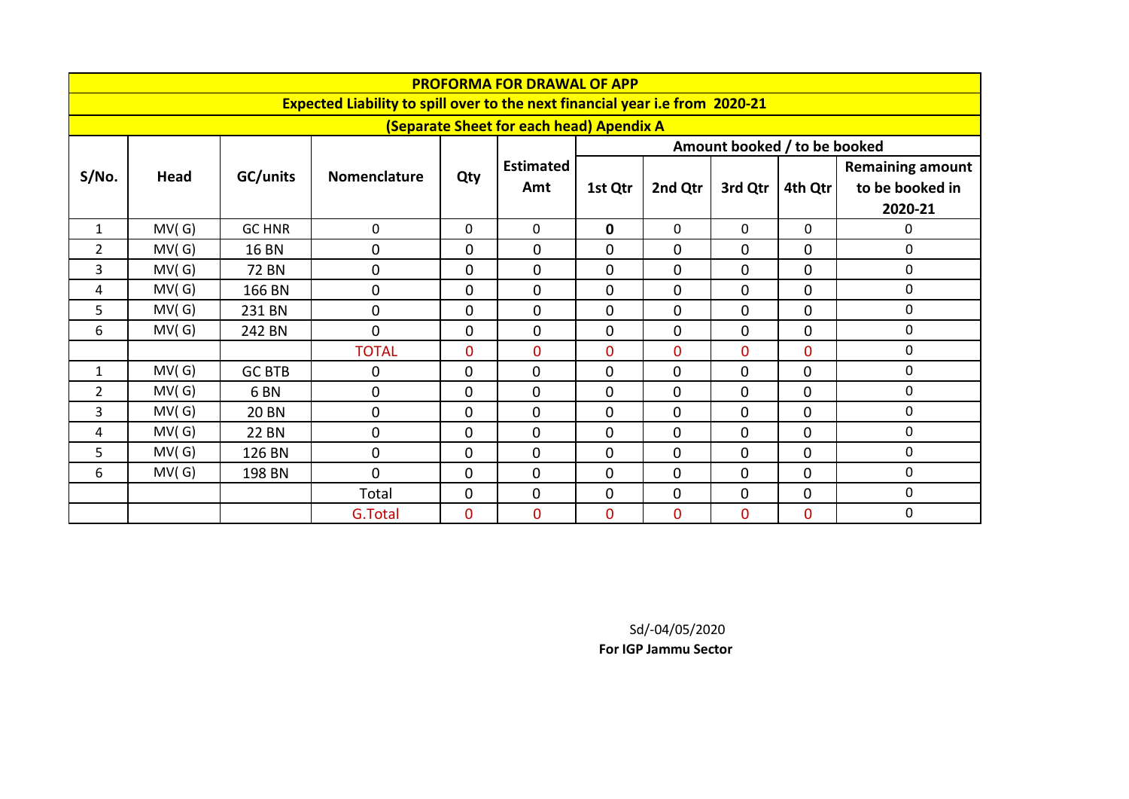|                |       |                 |                                                                              |                | <b>PROFORMA FOR DRAWAL OF APP</b>        |                |                |                              |                |                                                       |
|----------------|-------|-----------------|------------------------------------------------------------------------------|----------------|------------------------------------------|----------------|----------------|------------------------------|----------------|-------------------------------------------------------|
|                |       |                 | Expected Liability to spill over to the next financial year i.e from 2020-21 |                | (Separate Sheet for each head) Apendix A |                |                |                              |                |                                                       |
|                |       |                 |                                                                              |                |                                          |                |                | Amount booked / to be booked |                |                                                       |
| S/No.          | Head  | GC/units        | <b>Nomenclature</b>                                                          | Qty            | <b>Estimated</b><br>Amt                  | 1st Qtr        | 2nd Qtr        | 3rd Qtr                      | 4th Qtr        | <b>Remaining amount</b><br>to be booked in<br>2020-21 |
| $\mathbf{1}$   | MV(G) | <b>GC HNR</b>   | $\mathbf{0}$                                                                 | 0              | 0                                        | 0              | $\Omega$       | 0                            | $\Omega$       | 0                                                     |
| 2              | MV(G) | <b>16 BN</b>    | 0                                                                            | $\mathbf 0$    | 0                                        | 0              | $\mathbf 0$    | $\overline{0}$               | 0              | $\mathbf 0$                                           |
| 3              | MV(G) | 72 BN           | $\overline{0}$                                                               | $\mathbf 0$    | 0                                        | 0              | 0              | 0                            | 0              | $\mathbf 0$                                           |
| 4              | MV(G) | 166 BN          | $\overline{0}$                                                               | 0              | 0                                        | 0              | $\mathbf 0$    | $\mathbf 0$                  | 0              | $\mathbf 0$                                           |
| 5              | MV(G) | 231 BN          | 0                                                                            | $\mathbf 0$    | 0                                        | 0              | $\mathbf 0$    | $\mathbf 0$                  | 0              | $\mathbf 0$                                           |
| 6              | MV(G) | 242 BN          | $\Omega$                                                                     | 0              | 0                                        | 0              | 0              | 0                            | 0              | $\mathbf 0$                                           |
|                |       |                 | <b>TOTAL</b>                                                                 | $\overline{0}$ | 0                                        | $\overline{0}$ | $\overline{0}$ | $\overline{0}$               | 0              | $\mathbf 0$                                           |
| 1              | MV(G) | <b>GC BTB</b>   | 0                                                                            | $\mathbf 0$    | $\mathbf 0$                              | 0              | $\mathbf 0$    | $\mathbf{0}$                 | $\mathbf 0$    | 0                                                     |
| $\overline{2}$ | MV(G) | 6 <sub>BN</sub> | $\overline{0}$                                                               | $\mathbf 0$    | $\mathbf{0}$                             | $\mathbf{0}$   | $\overline{0}$ | $\Omega$                     | $\overline{0}$ | $\mathbf 0$                                           |
| 3              | MV(G) | <b>20 BN</b>    | $\Omega$                                                                     | $\mathbf 0$    | $\overline{0}$                           | 0              | $\overline{0}$ | $\Omega$                     | $\mathbf{0}$   | $\mathbf 0$                                           |
| 4              | MV(G) | <b>22 BN</b>    | 0                                                                            | $\mathbf 0$    | $\mathbf{0}$                             | $\mathbf{0}$   | $\mathbf 0$    | $\mathbf{0}$                 | $\overline{0}$ | $\mathbf 0$                                           |
| 5              | MV(G) | 126 BN          | $\overline{0}$                                                               | $\mathbf 0$    | $\overline{0}$                           | $\mathbf{0}$   | $\mathbf 0$    | $\Omega$                     | $\mathbf{0}$   | 0                                                     |
| 6              | MV(G) | 198 BN          | $\Omega$                                                                     | $\mathbf 0$    | 0                                        | 0              | 0              | $\Omega$                     | $\mathbf{0}$   | $\mathbf 0$                                           |
|                |       |                 | Total                                                                        | $\mathbf 0$    | $\mathbf 0$                              | 0              | $\mathbf 0$    | 0                            | $\mathbf 0$    | $\mathbf 0$                                           |
|                |       |                 | G.Total                                                                      | $\overline{0}$ | 0                                        | $\overline{0}$ | $\overline{0}$ | $\overline{0}$               | $\overline{0}$ | $\mathbf 0$                                           |

Sd/-04/05/2020

**For IGP Jammu Sector**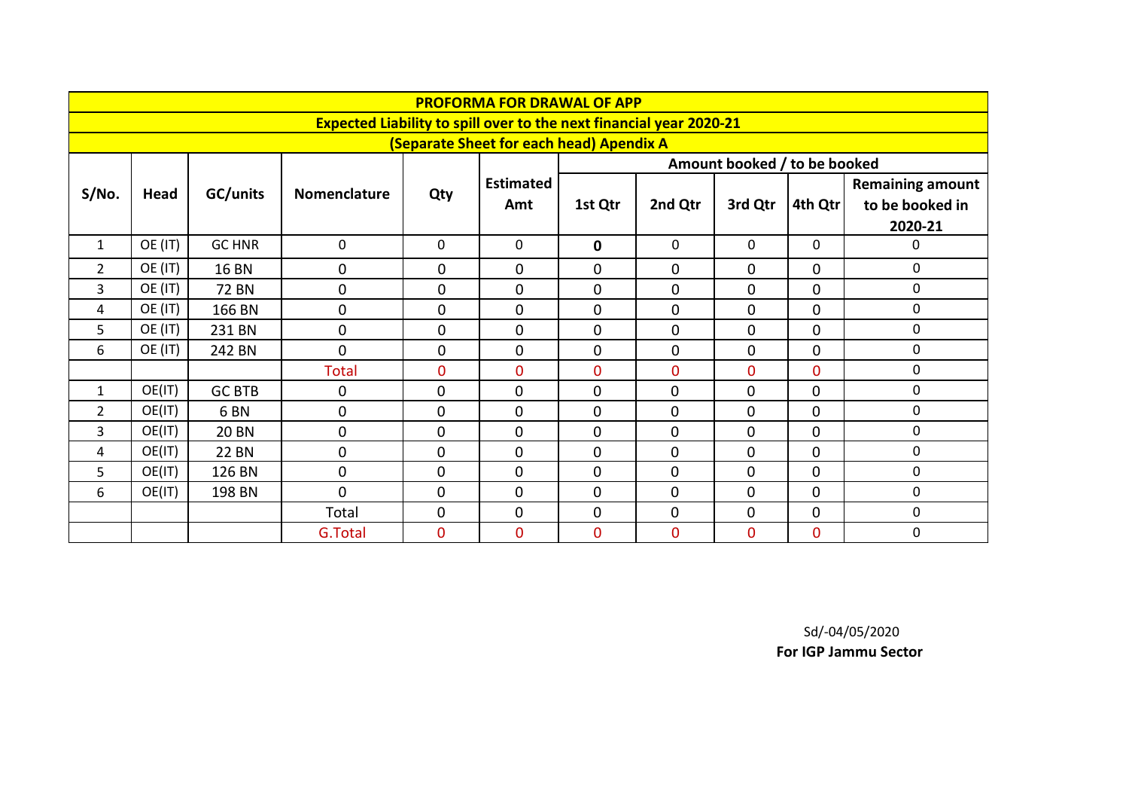|                |         |                 |                                                                            |                | <b>PROFORMA FOR DRAWAL OF APP</b>        |                |                |                              |              |                         |
|----------------|---------|-----------------|----------------------------------------------------------------------------|----------------|------------------------------------------|----------------|----------------|------------------------------|--------------|-------------------------|
|                |         |                 | <b>Expected Liability to spill over to the next financial year 2020-21</b> |                |                                          |                |                |                              |              |                         |
|                |         |                 |                                                                            |                | (Separate Sheet for each head) Apendix A |                |                |                              |              |                         |
|                |         |                 |                                                                            |                |                                          |                |                | Amount booked / to be booked |              |                         |
| S/No.          | Head    | GC/units        | <b>Nomenclature</b>                                                        | Qty            | <b>Estimated</b>                         |                |                |                              |              | <b>Remaining amount</b> |
|                |         |                 |                                                                            |                | Amt                                      | 1st Qtr        | 2nd Qtr        | 3rd Qtr                      | 4th Qtr      | to be booked in         |
|                |         |                 |                                                                            |                |                                          |                |                |                              |              | 2020-21                 |
| 1              | OE (IT) | <b>GC HNR</b>   | $\mathbf 0$                                                                | $\mathbf 0$    | 0                                        | $\mathbf 0$    | 0              | $\mathbf{0}$                 | $\Omega$     | 0                       |
| $\overline{2}$ | OE (IT) | <b>16 BN</b>    | $\pmb{0}$                                                                  | $\mathbf 0$    | $\mathbf 0$                              | $\overline{0}$ | $\mathbf 0$    | $\mathbf{0}$                 | $\mathbf{0}$ | 0                       |
| 3              | OE (IT) | <b>72 BN</b>    | $\mathbf 0$                                                                | $\mathbf 0$    | $\overline{0}$                           | $\overline{0}$ | $\Omega$       | 0                            | $\Omega$     | 0                       |
| 4              | OE (IT) | 166 BN          | $\mathbf 0$                                                                | 0              | $\mathbf 0$                              | $\mathbf{0}$   | 0              | $\mathbf 0$                  | $\Omega$     | $\mathbf 0$             |
| 5              | OE (IT) | 231 BN          | $\pmb{0}$                                                                  | 0              | $\mathbf 0$                              | 0              | $\mathbf 0$    | $\mathbf 0$                  | $\mathbf{0}$ | $\mathbf 0$             |
| 6              | OE (IT) | 242 BN          | $\Omega$                                                                   | 0              | $\overline{0}$                           | $\overline{0}$ | $\mathbf 0$    | 0                            | $\Omega$     | 0                       |
|                |         |                 | <b>Total</b>                                                               | $\overline{0}$ | $\overline{0}$                           | $\overline{0}$ | $\overline{0}$ | $\overline{0}$               | $\Omega$     | $\mathbf{0}$            |
| 1              | OE(IT)  | <b>GC BTB</b>   | $\mathbf 0$                                                                | $\mathbf 0$    | 0                                        | $\mathbf 0$    | $\mathbf 0$    | 0                            | $\mathbf 0$  | $\mathbf 0$             |
| $\overline{2}$ | OE(IT)  | 6 <sub>BN</sub> | $\mathbf 0$                                                                | $\mathbf 0$    | 0                                        | $\mathbf{0}$   | $\mathbf 0$    | $\overline{0}$               | $\Omega$     | 0                       |
| 3              | OE(IT)  | <b>20 BN</b>    | $\mathbf{0}$                                                               | $\mathbf 0$    | 0                                        | $\overline{0}$ | $\overline{0}$ | $\overline{0}$               | $\Omega$     | $\mathbf 0$             |
| 4              | OE(IT)  | <b>22 BN</b>    | $\mathbf 0$                                                                | $\pmb{0}$      | $\overline{0}$                           | $\mathbf{0}$   | $\mathbf 0$    | $\mathbf 0$                  | $\mathbf 0$  | $\mathbf 0$             |
| 5              | OE(IT)  | 126 BN          | $\mathbf 0$                                                                | $\mathbf 0$    | $\overline{0}$                           | $\mathbf{0}$   | $\mathbf 0$    | $\overline{0}$               | $\Omega$     | $\mathbf{0}$            |
| 6              | OE(IT)  | 198 BN          | $\Omega$                                                                   | $\mathbf 0$    | $\Omega$                                 | $\Omega$       | $\mathbf 0$    | $\Omega$                     | $\Omega$     | $\mathbf 0$             |
|                |         |                 | Total                                                                      | $\pmb{0}$      | 0                                        | $\mathbf 0$    | $\mathbf 0$    | 0                            | $\mathbf 0$  | 0                       |
|                |         |                 | G.Total                                                                    | $\mathbf{0}$   | $\overline{0}$                           | $\overline{0}$ | $\overline{0}$ | $\overline{0}$               | $\mathbf{0}$ | $\mathbf 0$             |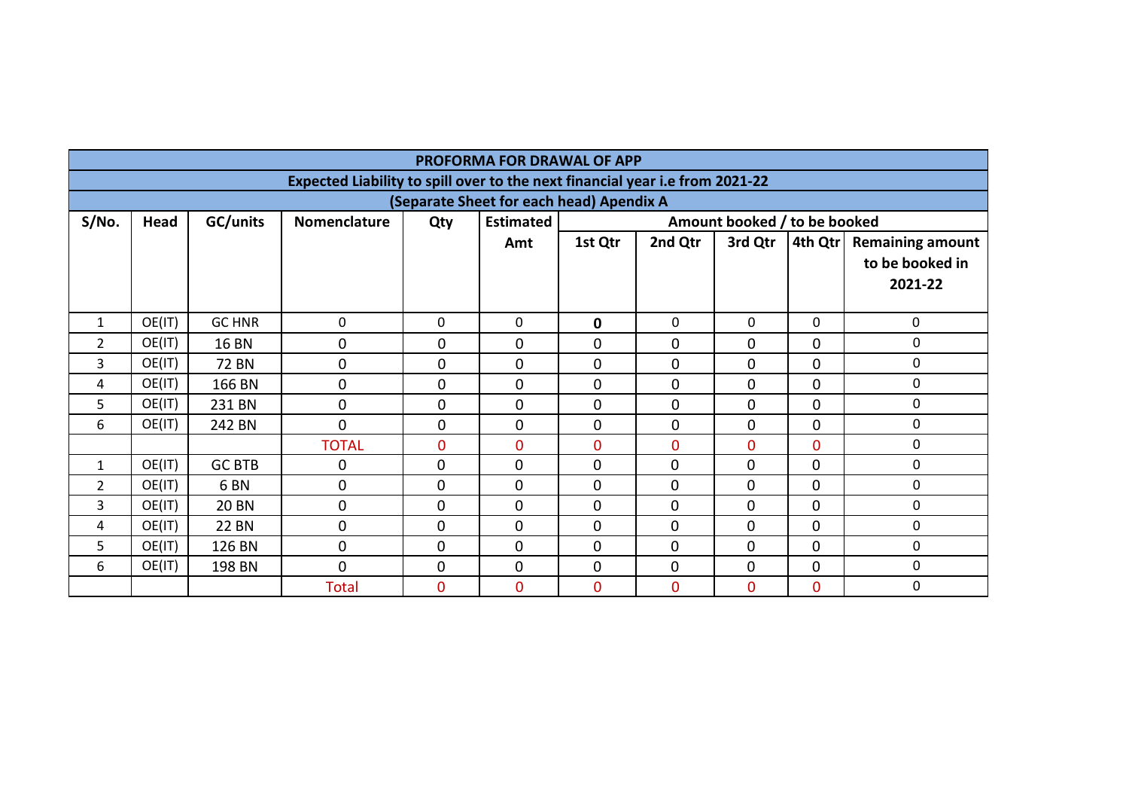|                |        |                 |                                                                              |                | <b>PROFORMA FOR DRAWAL OF APP</b>        |                |                |                              |                |                                                       |
|----------------|--------|-----------------|------------------------------------------------------------------------------|----------------|------------------------------------------|----------------|----------------|------------------------------|----------------|-------------------------------------------------------|
|                |        |                 | Expected Liability to spill over to the next financial year i.e from 2021-22 |                |                                          |                |                |                              |                |                                                       |
|                |        |                 |                                                                              |                | (Separate Sheet for each head) Apendix A |                |                |                              |                |                                                       |
| S/No.          | Head   | GC/units        | <b>Nomenclature</b>                                                          | Qty            | <b>Estimated</b>                         |                |                | Amount booked / to be booked |                |                                                       |
|                |        |                 |                                                                              |                | Amt                                      | 1st Qtr        | 2nd Qtr        | 3rd Qtr                      | 4th Qtr        | <b>Remaining amount</b><br>to be booked in<br>2021-22 |
| 1              | OE(IT) | <b>GC HNR</b>   | 0                                                                            | 0              | 0                                        | 0              | 0              | $\Omega$                     | $\Omega$       | 0                                                     |
| 2              | OE(IT) | <b>16 BN</b>    | $\pmb{0}$                                                                    | $\mathbf 0$    | $\mathbf 0$                              | $\mathbf 0$    | $\mathbf 0$    | $\mathbf{0}$                 | $\overline{0}$ | 0                                                     |
| 3              | OE(IT) | <b>72 BN</b>    | $\mathbf 0$                                                                  | $\overline{0}$ | 0                                        | $\mathbf 0$    | 0              | $\Omega$                     | $\Omega$       | 0                                                     |
| 4              | OE(IT) | 166 BN          | $\mathbf 0$                                                                  | $\mathbf{0}$   | $\mathbf 0$                              | 0              | 0              | $\mathbf{0}$                 | $\overline{0}$ | $\mathbf 0$                                           |
| 5              | OE(IT) | 231 BN          | $\mathbf 0$                                                                  | $\mathbf 0$    | $\mathbf 0$                              | $\mathbf{0}$   | $\mathbf{0}$   | $\Omega$                     | $\Omega$       | $\mathbf 0$                                           |
| 6              | OE(IT) | 242 BN          | $\overline{0}$                                                               | $\mathbf 0$    | $\mathbf 0$                              | $\mathbf 0$    | $\mathbf 0$    | $\mathbf{0}$                 | $\overline{0}$ | 0                                                     |
|                |        |                 | <b>TOTAL</b>                                                                 | $\mathbf{0}$   | $\overline{0}$                           | $\mathbf{0}$   | $\mathbf{0}$   | $\overline{0}$               | $\overline{0}$ | $\mathbf 0$                                           |
| $\mathbf{1}$   | OE(IT) | <b>GC BTB</b>   | 0                                                                            | 0              | 0                                        | 0              | 0              | $\mathbf 0$                  | $\Omega$       | $\mathbf 0$                                           |
| $\overline{2}$ | OE(IT) | 6 <sub>BN</sub> | $\mathbf 0$                                                                  | $\mathbf{0}$   | 0                                        | 0              | $\mathbf{0}$   | $\mathbf 0$                  | $\mathbf{0}$   | 0                                                     |
| 3              | OE(IT) | <b>20 BN</b>    | $\mathbf 0$                                                                  | $\overline{0}$ | $\overline{0}$                           | $\overline{0}$ | $\mathbf{0}$   | $\overline{0}$               | $\mathbf 0$    | 0                                                     |
| 4              | OE(IT) | <b>22 BN</b>    | $\mathbf 0$                                                                  | $\mathbf{0}$   | $\mathbf{0}$                             | $\mathbf 0$    | $\overline{0}$ | $\mathbf 0$                  | $\overline{0}$ | 0                                                     |
| 5              | OE(IT) | 126 BN          | $\overline{0}$                                                               | 0              | $\Omega$                                 | 0              | $\overline{0}$ | $\Omega$                     | $\Omega$       | $\mathbf 0$                                           |
| 6              | OE(IT) | 198 BN          | $\overline{0}$                                                               | $\mathbf{0}$   | $\mathbf 0$                              | $\mathbf 0$    | 0              | $\mathbf 0$                  | $\overline{0}$ | 0                                                     |
|                |        |                 | <b>Total</b>                                                                 | $\overline{0}$ | $\overline{0}$                           | $\mathbf{0}$   | $\mathbf{0}$   | $\mathbf{0}$                 | $\overline{0}$ | 0                                                     |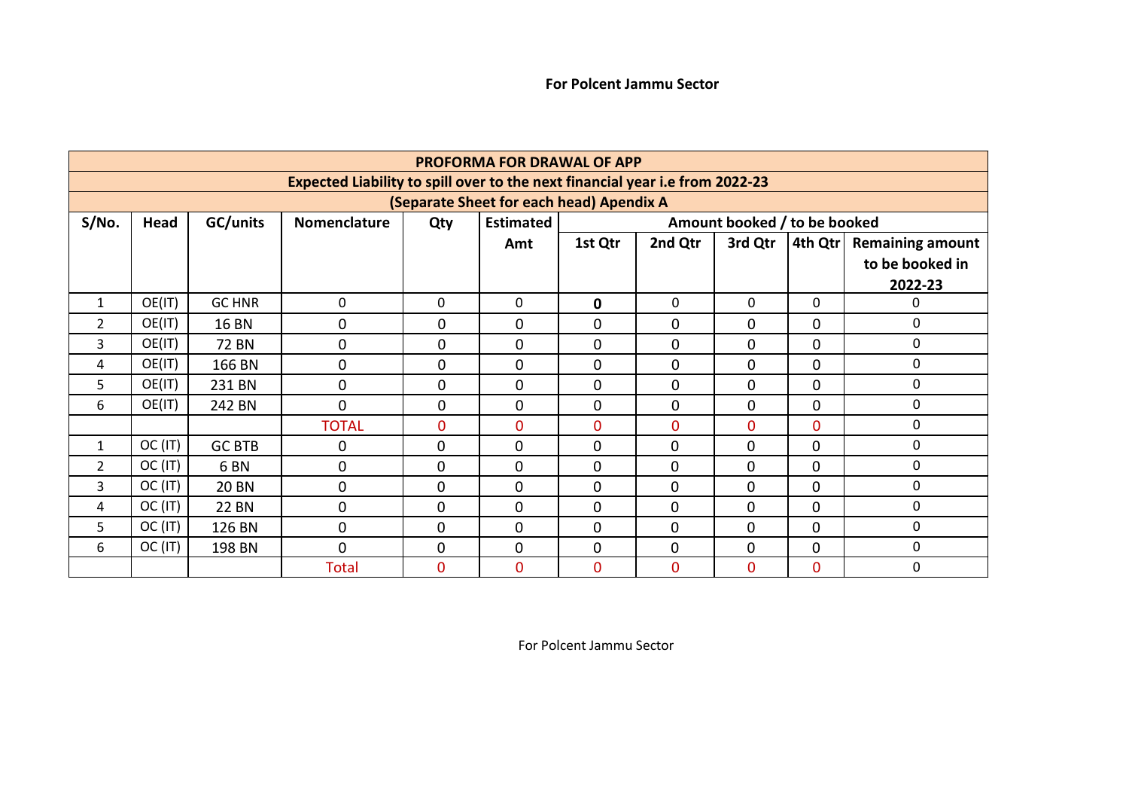|                |         |                 |                                                                              |             | <b>PROFORMA FOR DRAWAL OF APP</b>        |              |                |                              |              |                         |
|----------------|---------|-----------------|------------------------------------------------------------------------------|-------------|------------------------------------------|--------------|----------------|------------------------------|--------------|-------------------------|
|                |         |                 | Expected Liability to spill over to the next financial year i.e from 2022-23 |             |                                          |              |                |                              |              |                         |
|                |         |                 |                                                                              |             | (Separate Sheet for each head) Apendix A |              |                |                              |              |                         |
| S/No.          | Head    | GC/units        | Nomenclature                                                                 | Qty         | <b>Estimated</b>                         |              |                | Amount booked / to be booked |              |                         |
|                |         |                 |                                                                              |             | Amt                                      | 1st Qtr      | 2nd Qtr        | 3rd Qtr                      | 4th Qtr      | <b>Remaining amount</b> |
|                |         |                 |                                                                              |             |                                          |              |                |                              |              | to be booked in         |
|                |         |                 |                                                                              |             |                                          |              |                |                              |              | 2022-23                 |
| $\mathbf{1}$   | OE(IT)  | <b>GC HNR</b>   | 0                                                                            | $\mathbf 0$ | $\Omega$                                 | $\mathbf 0$  | $\Omega$       | $\Omega$                     | $\mathbf{0}$ | $\Omega$                |
| 2              | OE(IT)  | <b>16 BN</b>    | $\mathbf 0$                                                                  | 0           | 0                                        | $\mathbf{0}$ | 0              | 0                            | $\mathbf 0$  | $\Omega$                |
| 3              | OE(IT)  | <b>72 BN</b>    | $\mathbf 0$                                                                  | 0           | $\mathbf 0$                              | $\mathbf{0}$ | 0              | $\Omega$                     | $\Omega$     | $\mathbf{0}$            |
| 4              | OE(IT)  | 166 BN          | $\mathbf 0$                                                                  | $\mathbf 0$ | 0                                        | 0            | 0              | $\mathbf 0$                  | $\mathbf 0$  | 0                       |
| 5              | OE(IT)  | 231 BN          | $\mathbf 0$                                                                  | $\mathbf 0$ | $\overline{0}$                           | $\mathbf{0}$ | 0              | $\overline{0}$               | $\Omega$     | 0                       |
| 6              | OE(IT)  | 242 BN          | $\Omega$                                                                     | $\mathbf 0$ | $\Omega$                                 | $\mathbf{0}$ | 0              | $\overline{0}$               | $\Omega$     | 0                       |
|                |         |                 | <b>TOTAL</b>                                                                 | $\bf{0}$    | $\Omega$                                 | $\Omega$     | $\overline{0}$ | $\Omega$                     | $\Omega$     | $\Omega$                |
| 1              | OC (IT) | <b>GC BTB</b>   | 0                                                                            | $\mathbf 0$ | 0                                        | $\mathbf{0}$ | $\mathbf 0$    | $\overline{0}$               | $\mathbf{0}$ | $\Omega$                |
| $\overline{2}$ | OC (IT) | 6 <sub>BN</sub> | $\mathbf 0$                                                                  | $\mathbf 0$ | $\Omega$                                 | $\Omega$     | $\overline{0}$ | $\Omega$                     | $\Omega$     | $\mathbf{0}$            |
| 3              | OC (IT) | <b>20 BN</b>    | $\mathbf 0$                                                                  | $\mathbf 0$ | $\Omega$                                 | $\Omega$     | 0              | $\Omega$                     | $\Omega$     | 0                       |
| 4              | OC (IT) | <b>22 BN</b>    | $\mathbf 0$                                                                  | $\mathbf 0$ | $\Omega$                                 | $\Omega$     | $\overline{0}$ | $\Omega$                     | $\Omega$     | 0                       |
| 5              | OC (IT) | 126 BN          | $\mathbf 0$                                                                  | $\mathbf 0$ | $\mathbf 0$                              | $\mathbf{0}$ | $\mathbf 0$    | $\Omega$                     | $\mathbf{0}$ | 0                       |
| 6              | OC (IT) | 198 BN          | $\mathbf 0$                                                                  | $\mathbf 0$ | 0                                        | 0            | 0              | $\mathbf 0$                  | $\mathbf{0}$ | 0                       |
|                |         |                 | <b>Total</b>                                                                 | $\mathbf 0$ | $\mathbf 0$                              | 0            | $\overline{0}$ | $\overline{0}$               | $\mathbf{0}$ | 0                       |

For Polcent Jammu Sector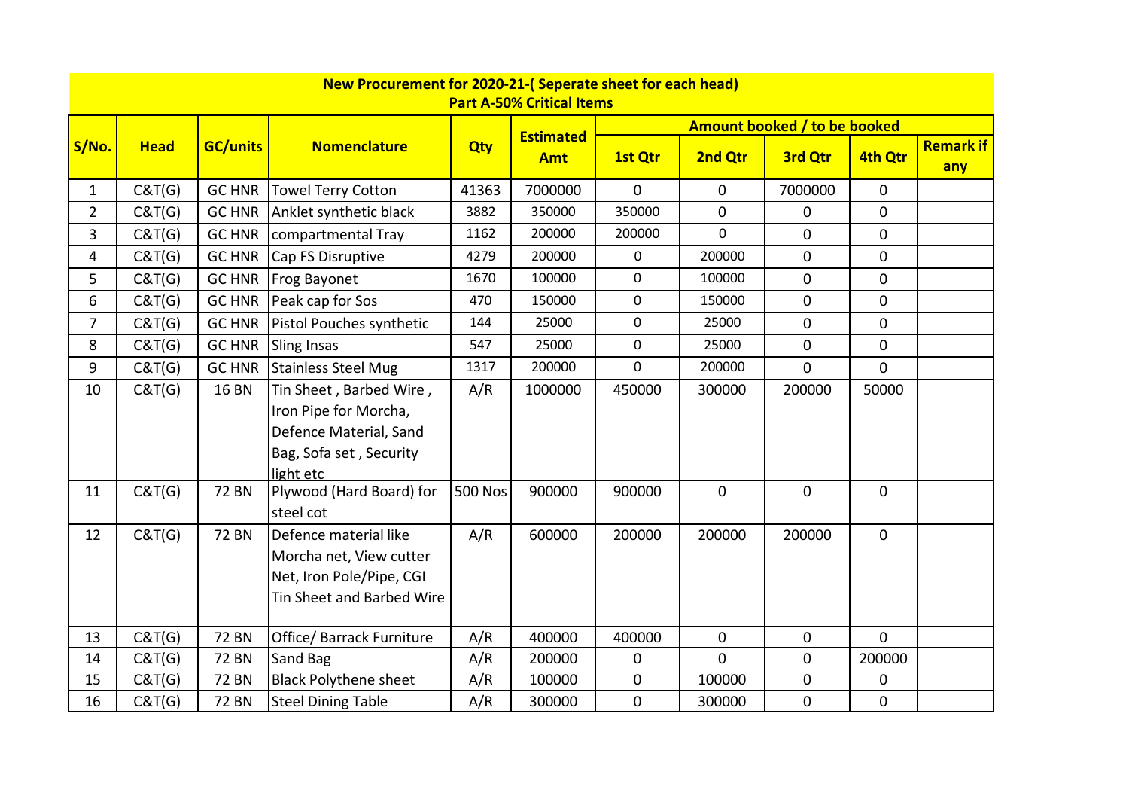|                |             |                 | New Procurement for 2020-21-(Seperate sheet for each head) |                | <b>Part A-50% Critical Items</b> |              |              |                              |              |                         |
|----------------|-------------|-----------------|------------------------------------------------------------|----------------|----------------------------------|--------------|--------------|------------------------------|--------------|-------------------------|
|                |             |                 |                                                            |                |                                  |              |              | Amount booked / to be booked |              |                         |
| S/No.          | <b>Head</b> | <b>GC/units</b> | <b>Nomenclature</b>                                        | <b>Qty</b>     | <b>Estimated</b><br><b>Amt</b>   | 1st Qtr      | 2nd Qtr      | 3rd Qtr                      | 4th Qtr      | <b>Remark if</b><br>any |
| $\mathbf{1}$   | C&T(G)      | <b>GC HNR</b>   | <b>Towel Terry Cotton</b>                                  | 41363          | 7000000                          | $\mathbf{0}$ | $\mathbf{0}$ | 7000000                      | $\mathbf 0$  |                         |
| $\overline{2}$ | C&T(G)      | <b>GC HNR</b>   | Anklet synthetic black                                     | 3882           | 350000                           | 350000       | $\mathbf 0$  | 0                            | $\Omega$     |                         |
| 3              | C&T(G)      | <b>GC HNR</b>   | compartmental Tray                                         | 1162           | 200000                           | 200000       | $\Omega$     | $\overline{0}$               | $\mathbf 0$  |                         |
| 4              | C&T(G)      | <b>GC HNR</b>   | Cap FS Disruptive                                          | 4279           | 200000                           | $\mathbf 0$  | 200000       | 0                            | $\mathbf 0$  |                         |
| 5              | C&T(G)      | <b>GC HNR</b>   | Frog Bayonet                                               | 1670           | 100000                           | $\mathbf 0$  | 100000       | $\mathbf 0$                  | $\mathbf 0$  |                         |
| 6              | C&T(G)      | <b>GC HNR</b>   | Peak cap for Sos                                           | 470            | 150000                           | $\mathbf 0$  | 150000       | $\overline{0}$               | $\mathbf 0$  |                         |
| $\overline{7}$ | C&T(G)      | <b>GC HNR</b>   | Pistol Pouches synthetic                                   | 144            | 25000                            | 0            | 25000        | 0                            | $\mathbf 0$  |                         |
| 8              | C&T(G)      | <b>GC HNR</b>   | <b>Sling Insas</b>                                         | 547            | 25000                            | $\mathbf 0$  | 25000        | $\mathbf 0$                  | $\mathbf 0$  |                         |
| 9              | C&T(G)      | <b>GC HNR</b>   | <b>Stainless Steel Mug</b>                                 | 1317           | 200000                           | $\mathbf 0$  | 200000       | 0                            | $\mathbf 0$  |                         |
| 10             | C&T(G)      | <b>16 BN</b>    | Tin Sheet, Barbed Wire,                                    | A/R            | 1000000                          | 450000       | 300000       | 200000                       | 50000        |                         |
|                |             |                 | Iron Pipe for Morcha,                                      |                |                                  |              |              |                              |              |                         |
|                |             |                 | Defence Material, Sand                                     |                |                                  |              |              |                              |              |                         |
|                |             |                 | Bag, Sofa set, Security                                    |                |                                  |              |              |                              |              |                         |
|                |             |                 | light etc                                                  |                |                                  |              |              |                              |              |                         |
| 11             | C&T(G)      | <b>72 BN</b>    | Plywood (Hard Board) for                                   | <b>500 Nos</b> | 900000                           | 900000       | $\mathbf 0$  | $\mathbf 0$                  | $\mathbf 0$  |                         |
|                |             |                 | steel cot                                                  |                |                                  |              |              |                              |              |                         |
| 12             | C&T(G)      | <b>72 BN</b>    | Defence material like                                      | A/R            | 600000                           | 200000       | 200000       | 200000                       | $\mathbf 0$  |                         |
|                |             |                 | Morcha net, View cutter                                    |                |                                  |              |              |                              |              |                         |
|                |             |                 | Net, Iron Pole/Pipe, CGI                                   |                |                                  |              |              |                              |              |                         |
|                |             |                 | Tin Sheet and Barbed Wire                                  |                |                                  |              |              |                              |              |                         |
| 13             | C&T(G)      | <b>72 BN</b>    | Office/ Barrack Furniture                                  | A/R            | 400000                           | 400000       | $\mathbf 0$  | 0                            | $\mathbf{0}$ |                         |
| 14             | C&T(G)      | <b>72 BN</b>    | Sand Bag                                                   | A/R            | 200000                           | $\mathbf 0$  | $\mathbf{0}$ | 0                            | 200000       |                         |
| 15             | C&T(G)      | <b>72 BN</b>    | <b>Black Polythene sheet</b>                               | A/R            | 100000                           | 0            | 100000       | 0                            | 0            |                         |
| 16             | C&T(G)      | <b>72 BN</b>    | <b>Steel Dining Table</b>                                  | A/R            | 300000                           | 0            | 300000       | 0                            | $\mathbf 0$  |                         |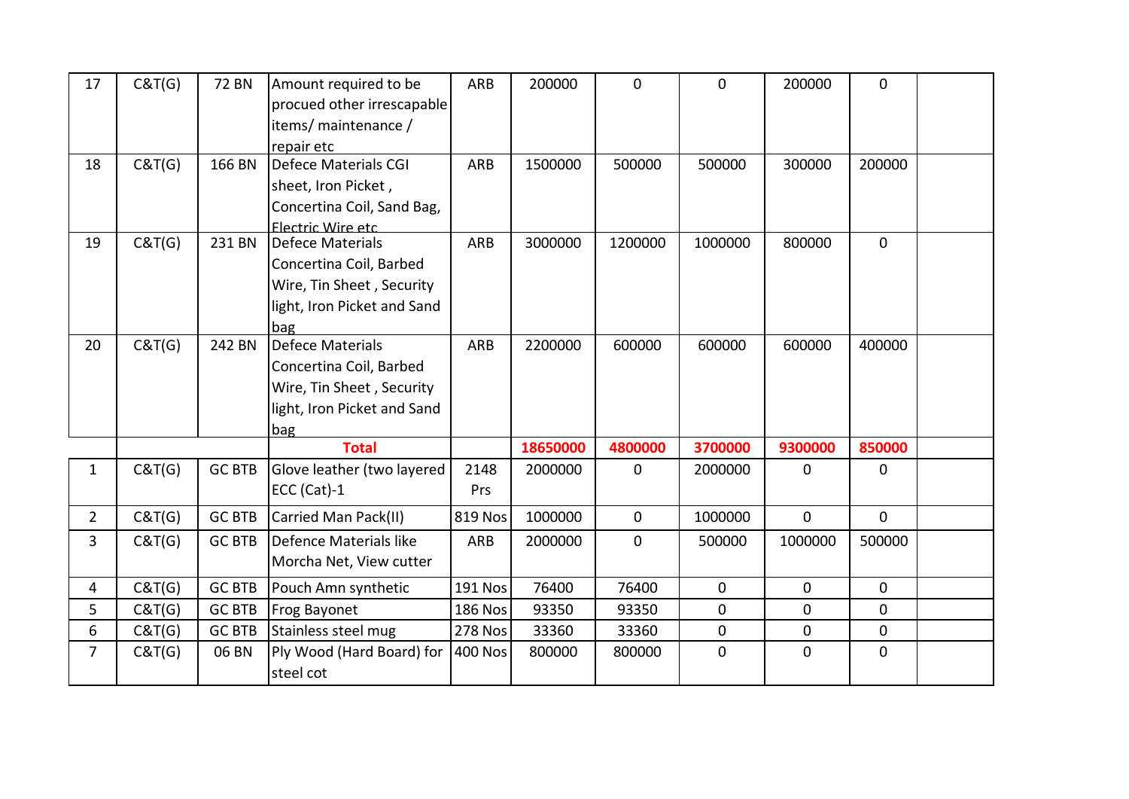| 17             | C&T(G) | <b>72 BN</b>  | Amount required to be<br>procued other irrescapable<br>items/ maintenance /<br>repair etc                             | ARB            | 200000   | $\mathbf{0}$ | $\mathbf{0}$ | 200000       | $\mathbf{0}$ |  |
|----------------|--------|---------------|-----------------------------------------------------------------------------------------------------------------------|----------------|----------|--------------|--------------|--------------|--------------|--|
| 18             | C&T(G) | 166 BN        | Defece Materials CGI<br>sheet, Iron Picket,<br>Concertina Coil, Sand Bag,<br><b>Electric Wire etc.</b>                | ARB            | 1500000  | 500000       | 500000       | 300000       | 200000       |  |
| 19             | C&T(G) | 231 BN        | <b>Defece Materials</b><br>Concertina Coil, Barbed<br>Wire, Tin Sheet, Security<br>light, Iron Picket and Sand<br>bag | ARB            | 3000000  | 1200000      | 1000000      | 800000       | $\mathbf 0$  |  |
| 20             | C&T(G) | 242 BN        | <b>Defece Materials</b><br>Concertina Coil, Barbed<br>Wire, Tin Sheet, Security<br>light, Iron Picket and Sand<br>bag | ARB            | 2200000  | 600000       | 600000       | 600000       | 400000       |  |
|                |        |               | <b>Total</b>                                                                                                          |                | 18650000 | 4800000      | 3700000      | 9300000      | 850000       |  |
| $\mathbf{1}$   | C&T(G) | <b>GC BTB</b> | Glove leather (two layered<br>ECC (Cat)-1                                                                             | 2148<br>Prs    | 2000000  | $\mathbf{0}$ | 2000000      | $\mathbf{0}$ | $\mathbf 0$  |  |
| $\overline{2}$ | C&T(G) | <b>GC BTB</b> | Carried Man Pack(II)                                                                                                  | 819 Nos        | 1000000  | 0            | 1000000      | $\mathbf{0}$ | $\mathbf 0$  |  |
| 3              | C&T(G) | <b>GC BTB</b> | Defence Materials like<br>Morcha Net, View cutter                                                                     | ARB            | 2000000  | 0            | 500000       | 1000000      | 500000       |  |
| 4              | C&T(G) | <b>GC BTB</b> | Pouch Amn synthetic                                                                                                   | 191 Nos        | 76400    | 76400        | $\mathbf{0}$ | $\mathbf 0$  | $\mathbf{0}$ |  |
| 5              | C&T(G) | <b>GC BTB</b> | Frog Bayonet                                                                                                          | <b>186 Nos</b> | 93350    | 93350        | 0            | $\mathbf 0$  | $\mathbf{0}$ |  |
| 6              | C&T(G) | <b>GC BTB</b> | Stainless steel mug                                                                                                   | <b>278 Nos</b> | 33360    | 33360        | $\mathbf 0$  | $\mathbf 0$  | $\mathbf 0$  |  |
| $\overline{7}$ | C&T(G) | 06 BN         | Ply Wood (Hard Board) for<br>steel cot                                                                                | <b>400 Nos</b> | 800000   | 800000       | $\mathbf{0}$ | $\mathbf{0}$ | $\mathbf 0$  |  |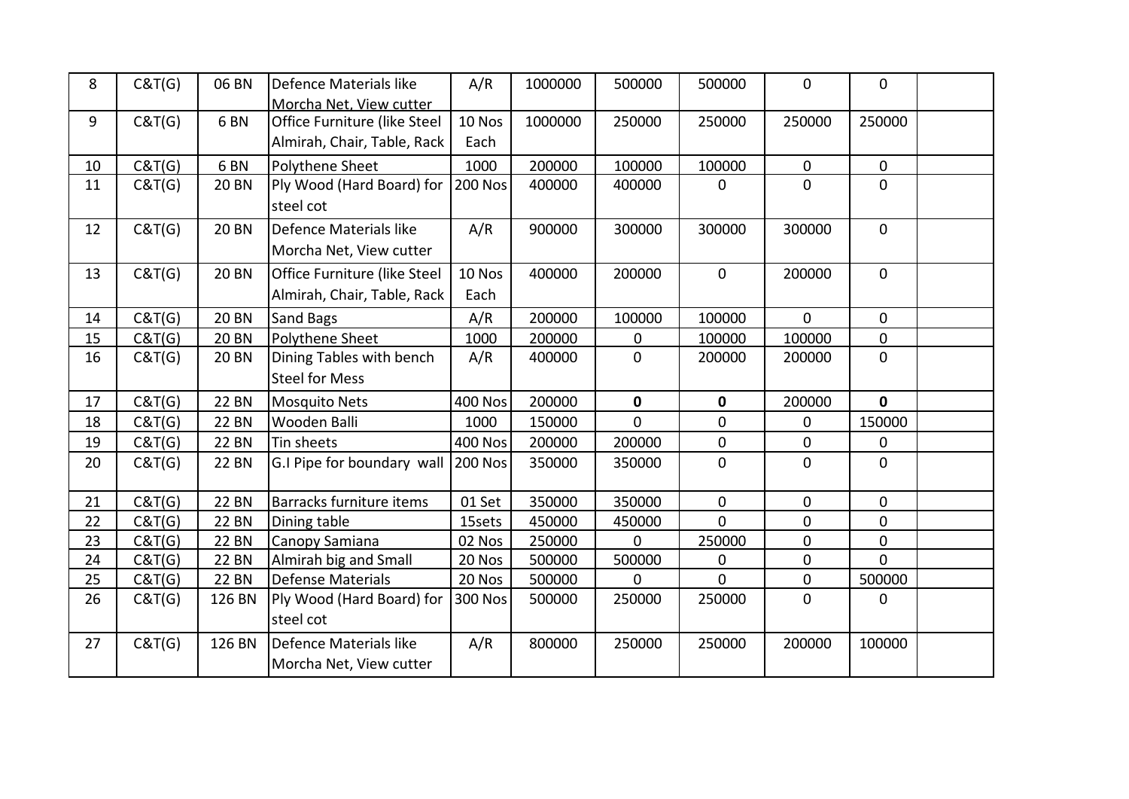| 8  | C&T(G) | 06 BN           | Defence Materials like<br>Morcha Net. View cutter           | A/R            | 1000000 | 500000      | 500000       | $\mathbf 0$    | $\mathbf 0$    |  |
|----|--------|-----------------|-------------------------------------------------------------|----------------|---------|-------------|--------------|----------------|----------------|--|
| 9  | C&T(G) | 6 <sub>BN</sub> | Office Furniture (like Steel<br>Almirah, Chair, Table, Rack | 10 Nos<br>Each | 1000000 | 250000      | 250000       | 250000         | 250000         |  |
| 10 | C&T(G) | 6 <sub>BN</sub> | Polythene Sheet                                             | 1000           | 200000  | 100000      | 100000       | $\mathbf 0$    | $\mathbf 0$    |  |
| 11 | C&T(G) | <b>20 BN</b>    | Ply Wood (Hard Board) for<br>steel cot                      | <b>200 Nos</b> | 400000  | 400000      | 0            | $\mathbf 0$    | 0              |  |
| 12 | C&T(G) | <b>20 BN</b>    | Defence Materials like<br>Morcha Net, View cutter           | A/R            | 900000  | 300000      | 300000       | 300000         | $\mathbf 0$    |  |
| 13 | C&T(G) | <b>20 BN</b>    | Office Furniture (like Steel<br>Almirah, Chair, Table, Rack | 10 Nos<br>Each | 400000  | 200000      | $\mathbf 0$  | 200000         | $\mathbf 0$    |  |
| 14 | C&T(G) | <b>20 BN</b>    | Sand Bags                                                   | A/R            | 200000  | 100000      | 100000       | $\mathbf{0}$   | $\mathbf 0$    |  |
| 15 | C&T(G) | <b>20 BN</b>    | Polythene Sheet                                             | 1000           | 200000  | 0           | 100000       | 100000         | 0              |  |
| 16 | C&T(G) | <b>20 BN</b>    | Dining Tables with bench<br><b>Steel for Mess</b>           | A/R            | 400000  | 0           | 200000       | 200000         | $\mathbf 0$    |  |
| 17 | C&T(G) | <b>22 BN</b>    | <b>Mosquito Nets</b>                                        | <b>400 Nos</b> | 200000  | $\mathbf 0$ | $\mathbf 0$  | 200000         | $\mathbf{0}$   |  |
| 18 | C&T(G) | <b>22 BN</b>    | Wooden Balli                                                | 1000           | 150000  | $\Omega$    | $\mathbf{0}$ | 0              | 150000         |  |
| 19 | C&T(G) | <b>22 BN</b>    | Tin sheets                                                  | <b>400 Nos</b> | 200000  | 200000      | $\mathbf 0$  | $\mathbf 0$    | 0              |  |
| 20 | C&T(G) | <b>22 BN</b>    | G.I Pipe for boundary wall                                  | <b>200 Nos</b> | 350000  | 350000      | $\mathbf 0$  | $\mathbf 0$    | $\mathbf{0}$   |  |
| 21 | C&T(G) | <b>22 BN</b>    | Barracks furniture items                                    | 01 Set         | 350000  | 350000      | $\mathbf 0$  | $\mathbf 0$    | $\mathbf 0$    |  |
| 22 | C&T(G) | <b>22 BN</b>    | Dining table                                                | 15sets         | 450000  | 450000      | $\mathbf 0$  | $\overline{0}$ | 0              |  |
| 23 | C&T(G) | <b>22 BN</b>    | Canopy Samiana                                              | 02 Nos         | 250000  | $\mathbf 0$ | 250000       | $\pmb{0}$      | $\pmb{0}$      |  |
| 24 | C&T(G) | <b>22 BN</b>    | Almirah big and Small                                       | 20 Nos         | 500000  | 500000      | $\mathbf 0$  | 0              | $\overline{0}$ |  |
| 25 | C&T(G) | <b>22 BN</b>    | <b>Defense Materials</b>                                    | 20 Nos         | 500000  | $\Omega$    | $\Omega$     | $\mathbf 0$    | 500000         |  |
| 26 | C&T(G) | 126 BN          | Ply Wood (Hard Board) for<br>steel cot                      | <b>300 Nos</b> | 500000  | 250000      | 250000       | $\mathbf 0$    | 0              |  |
| 27 | C&T(G) | 126 BN          | Defence Materials like<br>Morcha Net, View cutter           | A/R            | 800000  | 250000      | 250000       | 200000         | 100000         |  |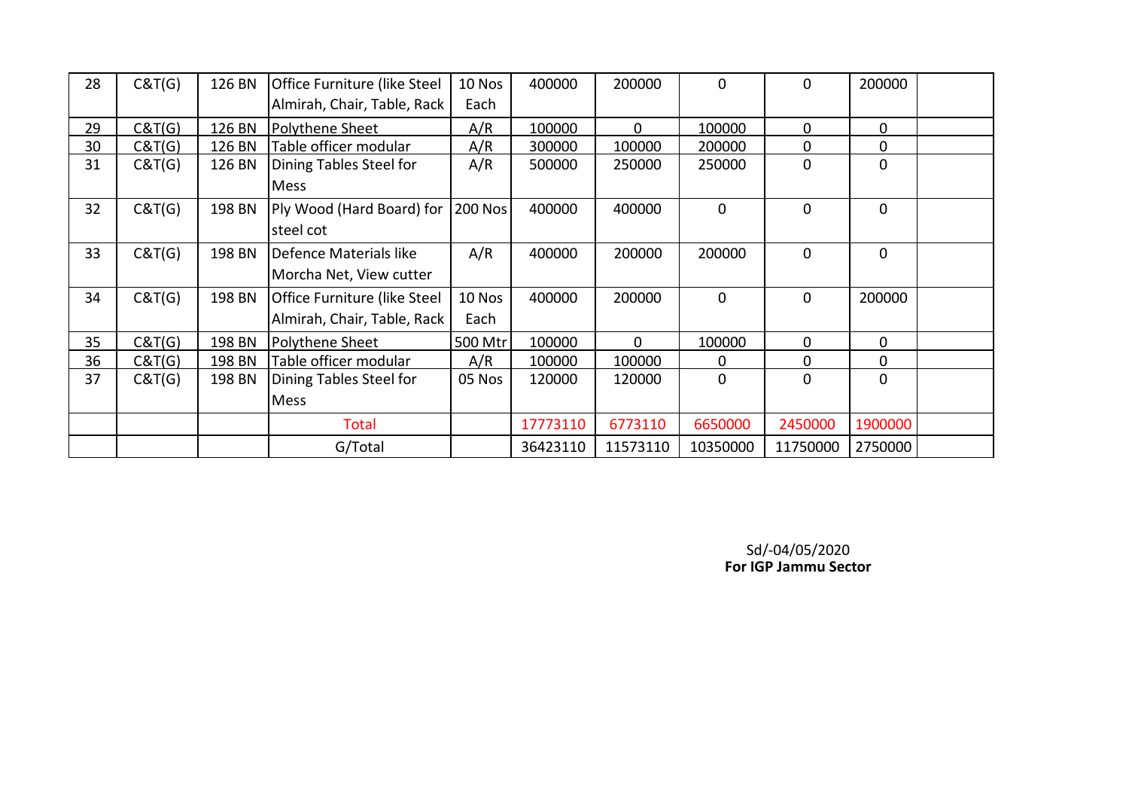| 28 | C&T(G) | 126 BN | <b>Office Furniture (like Steel</b> | 10 Nos         | 400000   | 200000       | $\Omega$    | 0           | 200000      |  |
|----|--------|--------|-------------------------------------|----------------|----------|--------------|-------------|-------------|-------------|--|
|    |        |        | Almirah, Chair, Table, Rack         | Each           |          |              |             |             |             |  |
| 29 | C&T(G) | 126 BN | Polythene Sheet                     | A/R            | 100000   | $\mathbf{0}$ | 100000      | 0           | $\mathbf 0$ |  |
| 30 | C&T(G) | 126 BN | Table officer modular               | A/R            | 300000   | 100000       | 200000      | 0           | $\mathbf 0$ |  |
| 31 | C&T(G) | 126 BN | Dining Tables Steel for             | A/R            | 500000   | 250000       | 250000      | 0           | $\mathbf 0$ |  |
|    |        |        | Mess                                |                |          |              |             |             |             |  |
| 32 | C&T(G) | 198 BN | Ply Wood (Hard Board) for           | <b>200 Nos</b> | 400000   | 400000       | $\Omega$    | 0           | $\mathbf 0$ |  |
|    |        |        | steel cot                           |                |          |              |             |             |             |  |
| 33 | C&T(G) | 198 BN | Defence Materials like              | A/R            | 400000   | 200000       | 200000      | $\mathbf 0$ | $\mathbf 0$ |  |
|    |        |        | Morcha Net, View cutter             |                |          |              |             |             |             |  |
| 34 | C&T(G) | 198 BN | <b>Office Furniture (like Steel</b> | 10 Nos         | 400000   | 200000       | $\Omega$    | 0           | 200000      |  |
|    |        |        | Almirah, Chair, Table, Rack         | Each           |          |              |             |             |             |  |
| 35 | C&T(G) | 198 BN | Polythene Sheet                     | 500 Mtr        | 100000   | $\mathbf{0}$ | 100000      | 0           | $\Omega$    |  |
| 36 | C&T(G) | 198 BN | Table officer modular               | A/R            | 100000   | 100000       | $\Omega$    | 0           | $\mathbf 0$ |  |
| 37 | C&T(G) | 198 BN | Dining Tables Steel for             | 05 Nos         | 120000   | 120000       | $\mathbf 0$ | 0           | $\mathbf 0$ |  |
|    |        |        | Mess                                |                |          |              |             |             |             |  |
|    |        |        | <b>Total</b>                        |                | 17773110 | 6773110      | 6650000     | 2450000     | 1900000     |  |
|    |        |        | G/Total                             |                | 36423110 | 11573110     | 10350000    | 11750000    | 2750000     |  |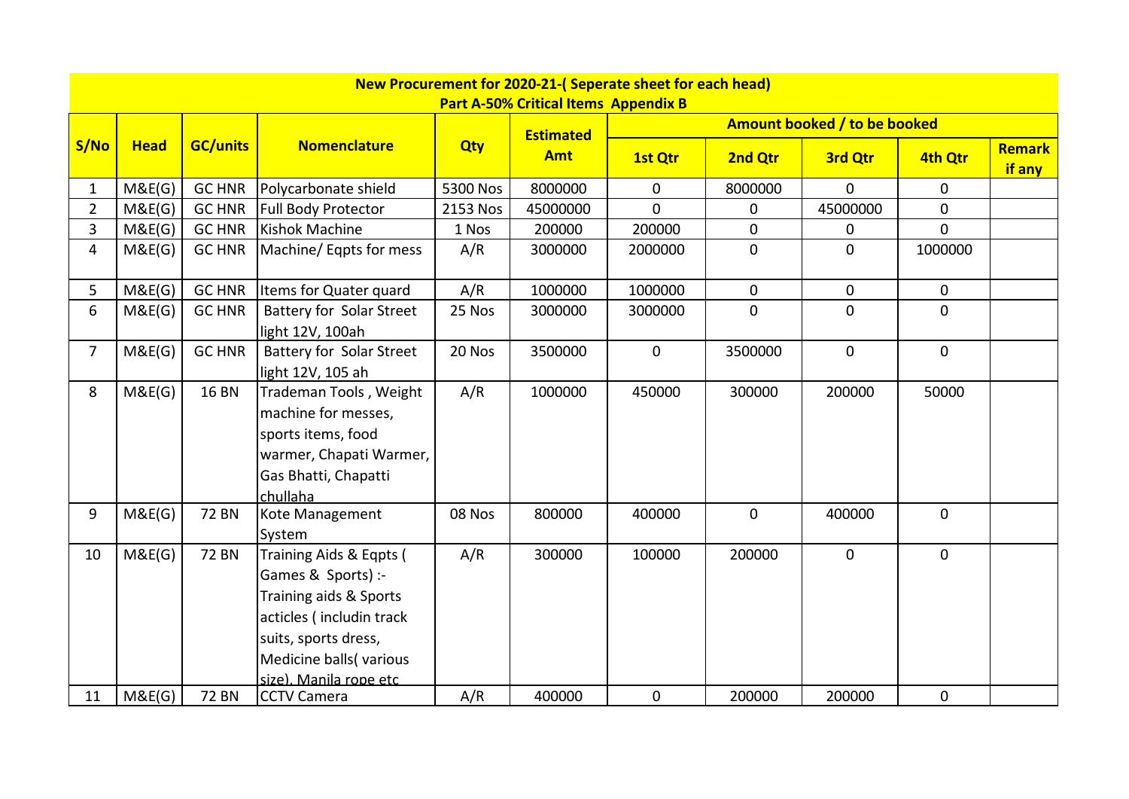|                |             |                 |                                 |            | New Procurement for 2020-21-(Seperate sheet for each head) |                |                |                              |                |                  |
|----------------|-------------|-----------------|---------------------------------|------------|------------------------------------------------------------|----------------|----------------|------------------------------|----------------|------------------|
|                |             |                 |                                 |            | <b>Part A-50% Critical Items Appendix B</b>                |                |                |                              |                |                  |
|                |             |                 |                                 |            | <b>Estimated</b>                                           |                |                | Amount booked / to be booked |                |                  |
| S/No           | <b>Head</b> | <b>GC/units</b> | <b>Nomenclature</b>             | <b>Qty</b> | <b>Amt</b>                                                 | 1st Qtr        | 2nd Qtr        | 3rd Qtr                      | 4th Qtr        | Remark<br>if any |
| 1              | M&E(G)      | <b>GC HNR</b>   | Polycarbonate shield            | 5300 Nos   | 8000000                                                    | 0              | 8000000        | $\Omega$                     | 0              |                  |
| $\overline{2}$ | M&E(G)      | <b>GC HNR</b>   | Full Body Protector             | 2153 Nos   | 45000000                                                   | $\overline{0}$ | $\overline{0}$ | 45000000                     | 0              |                  |
| $\overline{3}$ | M&E(G)      | <b>GC HNR</b>   | <b>Kishok Machine</b>           | 1 Nos      | 200000                                                     | 200000         | $\overline{0}$ | $\mathbf 0$                  | $\overline{0}$ |                  |
| 4              | M&E(G)      | <b>GC HNR</b>   | Machine/Eqpts for mess          | A/R        | 3000000                                                    | 2000000        | $\overline{0}$ | $\mathbf{0}$                 | 1000000        |                  |
| 5              | M&E(G)      | <b>GC HNR</b>   | Items for Quater quard          | A/R        | 1000000                                                    | 1000000        | $\overline{0}$ | $\mathbf{0}$                 | $\mathbf 0$    |                  |
| 6              | M&E(G)      | <b>GC HNR</b>   | Battery for Solar Street        | 25 Nos     | 3000000                                                    | 3000000        | $\overline{0}$ | $\overline{0}$               | 0              |                  |
|                |             |                 | light 12V, 100ah                |            |                                                            |                |                |                              |                |                  |
| $\overline{7}$ | M&E(G)      | <b>GC HNR</b>   | <b>Battery for Solar Street</b> | 20 Nos     | 3500000                                                    | $\mathbf 0$    | 3500000        | $\mathbf{0}$                 | $\mathbf 0$    |                  |
|                |             |                 | light 12V, 105 ah               |            |                                                            |                |                |                              |                |                  |
| 8              | M&E(G)      | <b>16 BN</b>    | Trademan Tools, Weight          | A/R        | 1000000                                                    | 450000         | 300000         | 200000                       | 50000          |                  |
|                |             |                 | machine for messes,             |            |                                                            |                |                |                              |                |                  |
|                |             |                 | sports items, food              |            |                                                            |                |                |                              |                |                  |
|                |             |                 | warmer, Chapati Warmer,         |            |                                                            |                |                |                              |                |                  |
|                |             |                 | Gas Bhatti, Chapatti            |            |                                                            |                |                |                              |                |                  |
|                |             |                 | chullaha                        |            |                                                            |                |                |                              |                |                  |
| 9              | M&E(G)      | <b>72 BN</b>    | Kote Management                 | 08 Nos     | 800000                                                     | 400000         | $\mathbf 0$    | 400000                       | $\mathbf 0$    |                  |
|                |             |                 | System                          |            |                                                            |                |                |                              |                |                  |
| 10             | M&E(G)      | <b>72 BN</b>    | Training Aids & Eqpts (         | A/R        | 300000                                                     | 100000         | 200000         | $\mathbf{0}$                 | $\mathbf 0$    |                  |
|                |             |                 | Games & Sports) :-              |            |                                                            |                |                |                              |                |                  |
|                |             |                 | Training aids & Sports          |            |                                                            |                |                |                              |                |                  |
|                |             |                 | acticles (includin track        |            |                                                            |                |                |                              |                |                  |
|                |             |                 | suits, sports dress,            |            |                                                            |                |                |                              |                |                  |
|                |             |                 | Medicine balls(various          |            |                                                            |                |                |                              |                |                  |
|                |             |                 | size). Manila rope etc.         |            |                                                            |                |                |                              |                |                  |
| 11             | M&E(G)      | <b>72 BN</b>    | <b>CCTV Camera</b>              | A/R        | 400000                                                     | $\mathbf 0$    | 200000         | 200000                       | 0              |                  |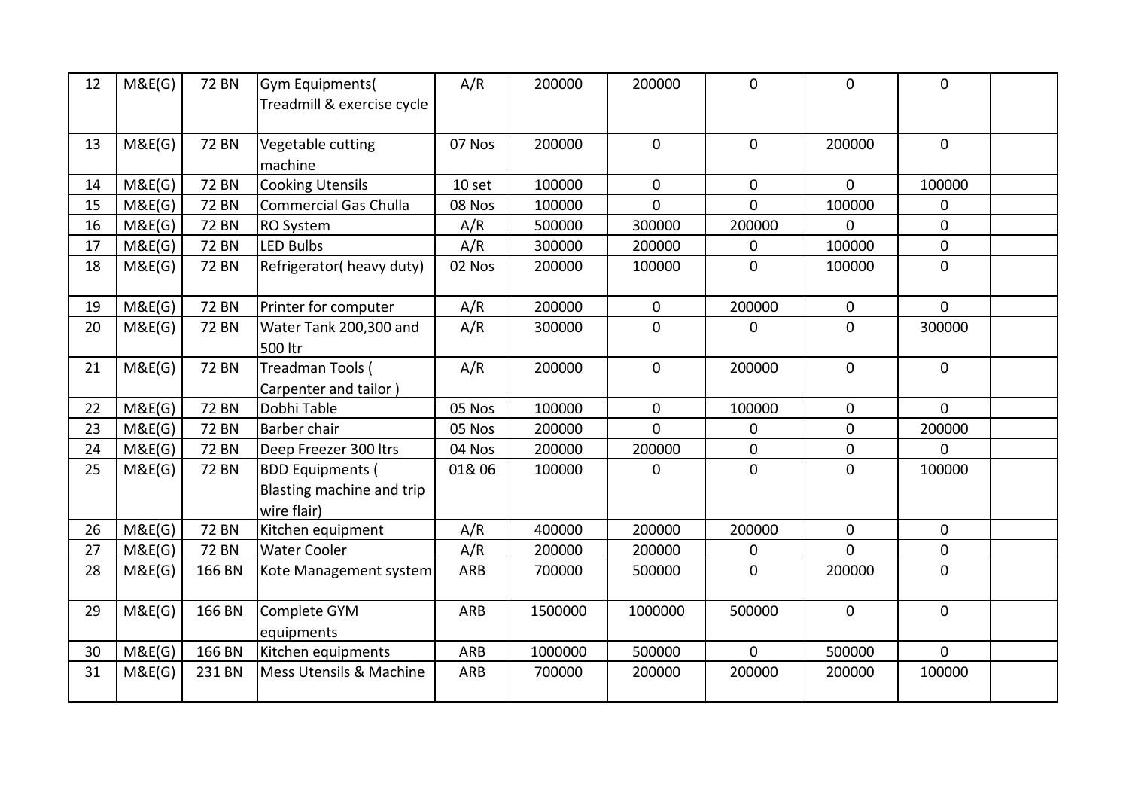| 12 | M&E(G) | <b>72 BN</b> | Gym Equipments(<br>Treadmill & exercise cycle                       | A/R        | 200000  | 200000         | $\overline{0}$ | $\mathbf{0}$   | $\Omega$       |  |
|----|--------|--------------|---------------------------------------------------------------------|------------|---------|----------------|----------------|----------------|----------------|--|
| 13 | M&E(G) | <b>72 BN</b> | Vegetable cutting<br>machine                                        | 07 Nos     | 200000  | $\mathbf 0$    | $\mathbf 0$    | 200000         | $\overline{0}$ |  |
| 14 | M&E(G) | <b>72 BN</b> | <b>Cooking Utensils</b>                                             | 10 set     | 100000  | $\mathbf 0$    | $\mathbf 0$    | $\mathbf{0}$   | 100000         |  |
| 15 | M&E(G) | <b>72 BN</b> | <b>Commercial Gas Chulla</b>                                        | 08 Nos     | 100000  | $\overline{0}$ | $\overline{0}$ | 100000         | 0              |  |
| 16 | M&E(G) | <b>72 BN</b> | RO System                                                           | A/R        | 500000  | 300000         | 200000         | $\overline{0}$ | $\overline{0}$ |  |
| 17 | M&E(G) | <b>72 BN</b> | <b>LED Bulbs</b>                                                    | A/R        | 300000  | 200000         | 0              | 100000         | $\overline{0}$ |  |
| 18 | M&E(G) | <b>72 BN</b> | Refrigerator(heavy duty)                                            | 02 Nos     | 200000  | 100000         | $\mathbf{0}$   | 100000         | $\mathbf{0}$   |  |
| 19 | M&E(G) | <b>72 BN</b> | Printer for computer                                                | A/R        | 200000  | $\mathbf 0$    | 200000         | $\mathbf 0$    | $\overline{0}$ |  |
| 20 | M&E(G) | <b>72 BN</b> | Water Tank 200,300 and<br>500 ltr                                   | A/R        | 300000  | $\mathbf{0}$   | $\Omega$       | 0              | 300000         |  |
| 21 | M&E(G) | <b>72 BN</b> | Treadman Tools (<br>Carpenter and tailor)                           | A/R        | 200000  | $\mathbf 0$    | 200000         | $\mathbf 0$    | $\overline{0}$ |  |
| 22 | M&E(G) | <b>72 BN</b> | Dobhi Table                                                         | 05 Nos     | 100000  | $\mathbf{0}$   | 100000         | $\mathbf 0$    | $\Omega$       |  |
| 23 | M&E(G) | <b>72 BN</b> | Barber chair                                                        | 05 Nos     | 200000  | $\overline{0}$ | $\mathbf 0$    | 0              | 200000         |  |
| 24 | M&E(G) | <b>72 BN</b> | Deep Freezer 300 ltrs                                               | 04 Nos     | 200000  | 200000         | $\mathbf 0$    | 0              | $\Omega$       |  |
| 25 | M&E(G) | <b>72 BN</b> | <b>BDD Equipments (</b><br>Blasting machine and trip<br>wire flair) | 01&06      | 100000  | $\Omega$       | $\Omega$       | 0              | 100000         |  |
| 26 | M&E(G) | <b>72 BN</b> | Kitchen equipment                                                   | A/R        | 400000  | 200000         | 200000         | $\mathbf 0$    | $\overline{0}$ |  |
| 27 | M&E(G) | <b>72 BN</b> | <b>Water Cooler</b>                                                 | A/R        | 200000  | 200000         | 0              | $\overline{0}$ | $\mathbf 0$    |  |
| 28 | M&E(G) | 166 BN       | Kote Management system                                              | ARB        | 700000  | 500000         | $\mathbf{0}$   | 200000         | $\mathbf{0}$   |  |
| 29 | M&E(G) | 166 BN       | Complete GYM<br>equipments                                          | <b>ARB</b> | 1500000 | 1000000        | 500000         | $\mathbf 0$    | $\mathbf 0$    |  |
| 30 | M&E(G) | 166 BN       | Kitchen equipments                                                  | ARB        | 1000000 | 500000         | $\mathbf{0}$   | 500000         | $\Omega$       |  |
| 31 | M&E(G) | 231 BN       | Mess Utensils & Machine                                             | <b>ARB</b> | 700000  | 200000         | 200000         | 200000         | 100000         |  |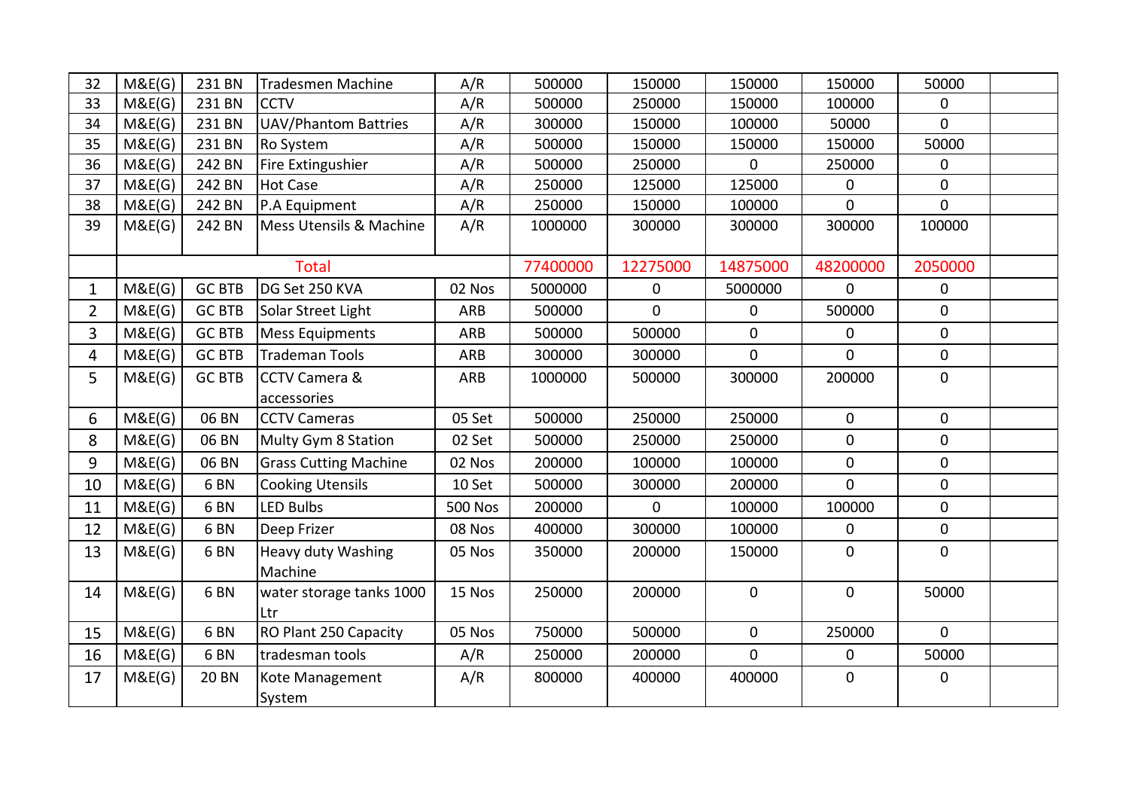| 32             | M&E(G) | 231 BN          | Tradesmen Machine            | A/R            | 500000   | 150000       | 150000       | 150000         | 50000          |  |
|----------------|--------|-----------------|------------------------------|----------------|----------|--------------|--------------|----------------|----------------|--|
| 33             | M&E(G) | 231 BN          | <b>CCTV</b>                  | A/R            | 500000   | 250000       | 150000       | 100000         | 0              |  |
| 34             | M&E(G) | 231 BN          | <b>UAV/Phantom Battries</b>  | A/R            | 300000   | 150000       | 100000       | 50000          | $\overline{0}$ |  |
| 35             | M&E(G) | 231 BN          | Ro System                    | A/R            | 500000   | 150000       | 150000       | 150000         | 50000          |  |
| 36             | M&E(G) | 242 BN          | Fire Extingushier            | A/R            | 500000   | 250000       | $\mathbf{0}$ | 250000         | 0              |  |
| 37             | M&E(G) | 242 BN          | <b>Hot Case</b>              | A/R            | 250000   | 125000       | 125000       | 0              | 0              |  |
| 38             | M&E(G) | 242 BN          | P.A Equipment                | A/R            | 250000   | 150000       | 100000       | $\overline{0}$ | $\overline{0}$ |  |
| 39             | M&E(G) | 242 BN          | Mess Utensils & Machine      | A/R            | 1000000  | 300000       | 300000       | 300000         | 100000         |  |
|                |        |                 | <b>Total</b>                 |                | 77400000 | 12275000     | 14875000     | 48200000       | 2050000        |  |
| $\mathbf{1}$   | M&E(G) | <b>GC BTB</b>   | DG Set 250 KVA               | 02 Nos         | 5000000  | $\mathbf 0$  | 5000000      | $\overline{0}$ | 0              |  |
| $\overline{2}$ | M&E(G) | <b>GC BTB</b>   | Solar Street Light           | ARB            | 500000   | $\mathbf{0}$ | $\mathbf{0}$ | 500000         | 0              |  |
| 3              | M&E(G) | <b>GC BTB</b>   | <b>Mess Equipments</b>       | ARB            | 500000   | 500000       | $\mathbf 0$  | $\overline{0}$ | 0              |  |
| 4              | M&E(G) | <b>GC BTB</b>   | Trademan Tools               | ARB            | 300000   | 300000       | $\mathbf 0$  | $\Omega$       | 0              |  |
| 5              | M&E(G) | <b>GC BTB</b>   | <b>CCTV Camera &amp;</b>     | ARB            | 1000000  | 500000       | 300000       | 200000         | 0              |  |
|                |        |                 | accessories                  |                |          |              |              |                |                |  |
| 6              | M&E(G) | 06 BN           | <b>CCTV Cameras</b>          | 05 Set         | 500000   | 250000       | 250000       | $\overline{0}$ | 0              |  |
| 8              | M&E(G) | 06 BN           | <b>Multy Gym 8 Station</b>   | 02 Set         | 500000   | 250000       | 250000       | $\overline{0}$ | 0              |  |
| 9              | M&E(G) | 06 BN           | <b>Grass Cutting Machine</b> | 02 Nos         | 200000   | 100000       | 100000       | $\overline{0}$ | 0              |  |
| 10             | M&E(G) | 6 <sub>BN</sub> | <b>Cooking Utensils</b>      | 10 Set         | 500000   | 300000       | 200000       | $\Omega$       | 0              |  |
| 11             | M&E(G) | 6 <sub>BN</sub> | <b>LED Bulbs</b>             | <b>500 Nos</b> | 200000   | $\mathbf{0}$ | 100000       | 100000         | 0              |  |
| 12             | M&E(G) | 6 <sub>BN</sub> | Deep Frizer                  | 08 Nos         | 400000   | 300000       | 100000       | $\mathbf 0$    | 0              |  |
| 13             | M&E(G) | 6 <sub>BN</sub> | Heavy duty Washing           | 05 Nos         | 350000   | 200000       | 150000       | $\overline{0}$ | 0              |  |
|                |        |                 | Machine                      |                |          |              |              |                |                |  |
| 14             | M&E(G) | 6 <sub>BN</sub> | water storage tanks 1000     | 15 Nos         | 250000   | 200000       | $\mathbf 0$  | 0              | 50000          |  |
|                |        |                 | Ltr                          |                |          |              |              |                |                |  |
| 15             | M&E(G) | 6 <sub>BN</sub> | RO Plant 250 Capacity        | 05 Nos         | 750000   | 500000       | $\mathbf 0$  | 250000         | $\overline{0}$ |  |
| 16             | M&E(G) | 6 <sub>BN</sub> | tradesman tools              | A/R            | 250000   | 200000       | $\mathbf{0}$ | $\overline{0}$ | 50000          |  |
| 17             | M&E(G) | <b>20 BN</b>    | Kote Management              | A/R            | 800000   | 400000       | 400000       | 0              | 0              |  |
|                |        |                 | System                       |                |          |              |              |                |                |  |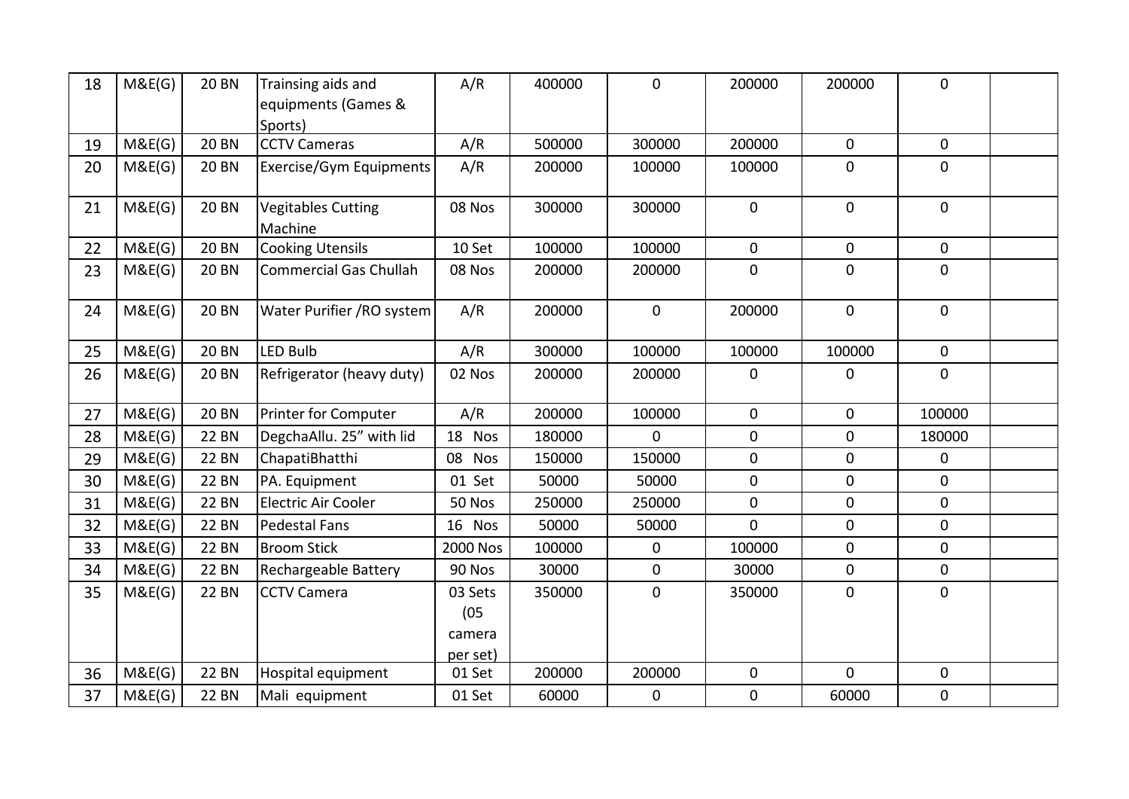| 18 | M&E(G) | <b>20 BN</b> | Trainsing aids and<br>equipments (Games & | A/R                                   | 400000 | $\mathbf 0$      | 200000       | 200000         | 0              |  |
|----|--------|--------------|-------------------------------------------|---------------------------------------|--------|------------------|--------------|----------------|----------------|--|
|    |        |              | Sports)                                   |                                       |        |                  |              |                |                |  |
| 19 | M&E(G) | <b>20 BN</b> | <b>CCTV Cameras</b>                       | A/R                                   | 500000 | 300000           | 200000       | $\mathbf{0}$   | 0              |  |
| 20 | M&E(G) | <b>20 BN</b> | Exercise/Gym Equipments                   | A/R                                   | 200000 | 100000           | 100000       | $\overline{0}$ | 0              |  |
| 21 | M&E(G) | <b>20 BN</b> | <b>Vegitables Cutting</b><br>Machine      | 08 Nos                                | 300000 | 300000           | $\mathbf 0$  | $\overline{0}$ | 0              |  |
| 22 | M&E(G) | <b>20 BN</b> | <b>Cooking Utensils</b>                   | 10 Set                                | 100000 | 100000           | $\mathbf{0}$ | $\mathbf{0}$   | 0              |  |
| 23 | M&E(G) | <b>20 BN</b> | <b>Commercial Gas Chullah</b>             | 08 Nos                                | 200000 | 200000           | $\mathbf 0$  | $\overline{0}$ | 0              |  |
| 24 | M&E(G) | <b>20 BN</b> | Water Purifier / RO system                | A/R                                   | 200000 | $\mathbf 0$      | 200000       | $\overline{0}$ | 0              |  |
| 25 | M&E(G) | <b>20 BN</b> | <b>LED Bulb</b>                           | A/R                                   | 300000 | 100000           | 100000       | 100000         | $\overline{0}$ |  |
| 26 | M&E(G) | <b>20 BN</b> | Refrigerator (heavy duty)                 | 02 Nos                                | 200000 | 200000           | $\mathbf 0$  | $\mathbf 0$    | 0              |  |
| 27 | M&E(G) | <b>20 BN</b> | <b>Printer for Computer</b>               | A/R                                   | 200000 | 100000           | $\mathbf{0}$ | $\mathbf 0$    | 100000         |  |
| 28 | M&E(G) | <b>22 BN</b> | DegchaAllu. 25" with lid                  | 18 Nos                                | 180000 | $\mathbf 0$      | $\mathbf 0$  | $\mathbf 0$    | 180000         |  |
| 29 | M&E(G) | <b>22 BN</b> | ChapatiBhatthi                            | 08 Nos                                | 150000 | 150000           | $\mathbf 0$  | $\mathbf{0}$   | 0              |  |
| 30 | M&E(G) | <b>22 BN</b> | PA. Equipment                             | 01 Set                                | 50000  | 50000            | $\mathbf 0$  | $\overline{0}$ | 0              |  |
| 31 | M&E(G) | <b>22 BN</b> | <b>Electric Air Cooler</b>                | 50 Nos                                | 250000 | 250000           | $\mathbf{0}$ | $\overline{0}$ | 0              |  |
| 32 | M&E(G) | <b>22 BN</b> | <b>Pedestal Fans</b>                      | 16 Nos                                | 50000  | 50000            | $\mathbf{0}$ | $\overline{0}$ | 0              |  |
| 33 | M&E(G) | <b>22 BN</b> | <b>Broom Stick</b>                        | 2000 Nos                              | 100000 | $\mathbf 0$      | 100000       | $\overline{0}$ | 0              |  |
| 34 | M&E(G) | <b>22 BN</b> | Rechargeable Battery                      | 90 Nos                                | 30000  | $\mathbf 0$      | 30000        | $\overline{0}$ | 0              |  |
| 35 | M&E(G) | <b>22 BN</b> | <b>CCTV Camera</b>                        | 03 Sets<br>(05)<br>camera<br>per set) | 350000 | $\mathbf 0$      | 350000       | $\overline{0}$ | 0              |  |
| 36 | M&E(G) | <b>22 BN</b> | Hospital equipment                        | 01 Set                                | 200000 | 200000           | $\mathbf 0$  | $\mathbf{0}$   | 0              |  |
| 37 | M&E(G) | <b>22 BN</b> | Mali equipment                            | 01 Set                                | 60000  | $\boldsymbol{0}$ | $\mathbf 0$  | 60000          | 0              |  |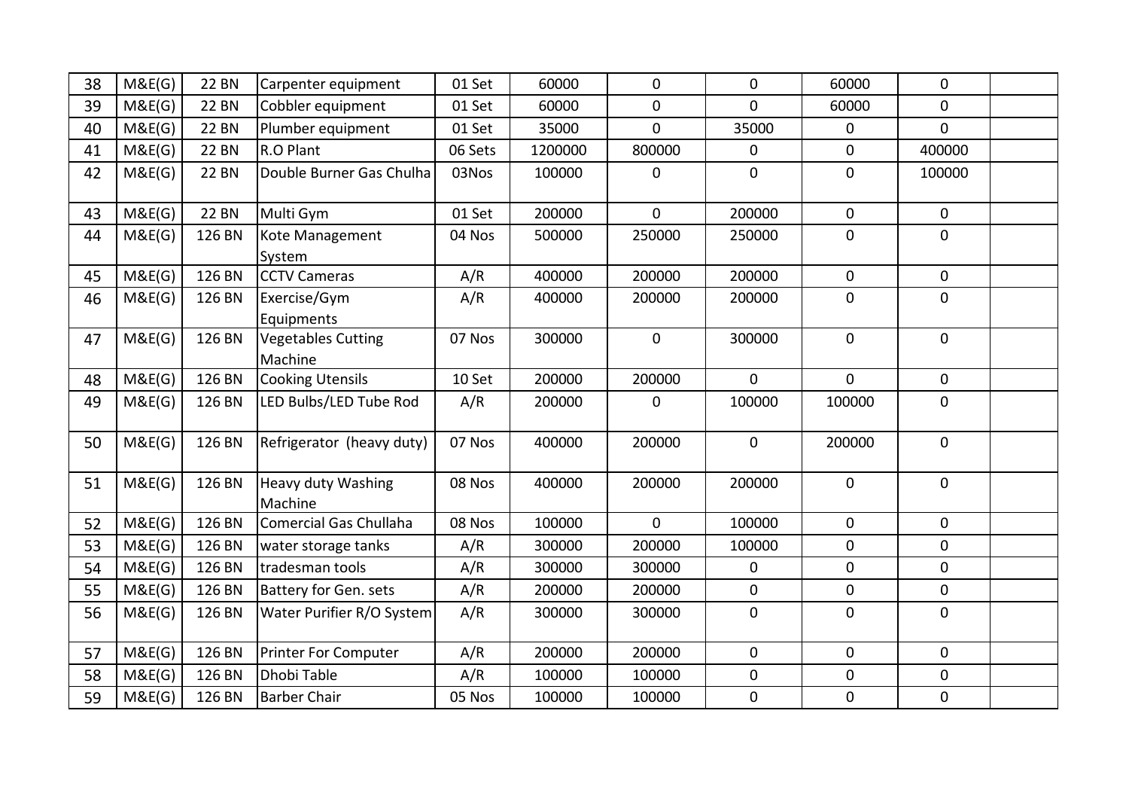| 38 | M&E(G) | <b>22 BN</b> | Carpenter equipment                  | 01 Set  | 60000   | 0              | 0              | 60000          | 0              |  |
|----|--------|--------------|--------------------------------------|---------|---------|----------------|----------------|----------------|----------------|--|
| 39 | M&E(G) | <b>22 BN</b> | Cobbler equipment                    | 01 Set  | 60000   | 0              | $\mathbf 0$    | 60000          | $\mathbf{0}$   |  |
| 40 | M&E(G) | <b>22 BN</b> | Plumber equipment                    | 01 Set  | 35000   | $\overline{0}$ | 35000          | $\mathbf 0$    | $\mathbf{0}$   |  |
| 41 | M&E(G) | <b>22 BN</b> | R.O Plant                            | 06 Sets | 1200000 | 800000         | $\mathbf 0$    | $\overline{0}$ | 400000         |  |
| 42 | M&E(G) | <b>22 BN</b> | Double Burner Gas Chulha             | 03Nos   | 100000  | $\mathbf 0$    | $\mathbf 0$    | $\overline{0}$ | 100000         |  |
| 43 | M&E(G) | <b>22 BN</b> | Multi Gym                            | 01 Set  | 200000  | $\overline{0}$ | 200000         | $\overline{0}$ | $\mathbf{0}$   |  |
| 44 | M&E(G) | 126 BN       | Kote Management<br>System            | 04 Nos  | 500000  | 250000         | 250000         | $\overline{0}$ | $\mathbf{0}$   |  |
| 45 | M&E(G) | 126 BN       | <b>CCTV Cameras</b>                  | A/R     | 400000  | 200000         | 200000         | $\mathbf 0$    | 0              |  |
| 46 | M&E(G) | 126 BN       | Exercise/Gym<br>Equipments           | A/R     | 400000  | 200000         | 200000         | $\mathbf 0$    | $\mathbf{0}$   |  |
| 47 | M&E(G) | 126 BN       | <b>Vegetables Cutting</b><br>Machine | 07 Nos  | 300000  | $\mathbf 0$    | 300000         | $\mathbf 0$    | $\mathbf 0$    |  |
| 48 | M&E(G) | 126 BN       | <b>Cooking Utensils</b>              | 10 Set  | 200000  | 200000         | $\overline{0}$ | $\Omega$       | 0              |  |
| 49 | M&E(G) | 126 BN       | LED Bulbs/LED Tube Rod               | A/R     | 200000  | $\mathbf{0}$   | 100000         | 100000         | $\mathbf{0}$   |  |
| 50 | M&E(G) | 126 BN       | Refrigerator (heavy duty)            | 07 Nos  | 400000  | 200000         | $\overline{0}$ | 200000         | $\mathbf 0$    |  |
| 51 | M&E(G) | 126 BN       | <b>Heavy duty Washing</b><br>Machine | 08 Nos  | 400000  | 200000         | 200000         | $\mathbf{0}$   | $\mathbf 0$    |  |
| 52 | M&E(G) | 126 BN       | Comercial Gas Chullaha               | 08 Nos  | 100000  | $\Omega$       | 100000         | $\overline{0}$ | $\Omega$       |  |
| 53 | M&E(G) | 126 BN       | water storage tanks                  | A/R     | 300000  | 200000         | 100000         | $\mathbf 0$    | 0              |  |
| 54 | M&E(G) | 126 BN       | tradesman tools                      | A/R     | 300000  | 300000         | $\mathbf 0$    | $\overline{0}$ | $\overline{0}$ |  |
| 55 | M&E(G) | 126 BN       | Battery for Gen. sets                | A/R     | 200000  | 200000         | $\mathbf 0$    | $\mathbf 0$    | 0              |  |
| 56 | M&E(G) | 126 BN       | Water Purifier R/O System            | A/R     | 300000  | 300000         | $\overline{0}$ | $\overline{0}$ | $\mathbf 0$    |  |
| 57 | M&E(G) | 126 BN       | Printer For Computer                 | A/R     | 200000  | 200000         | $\overline{0}$ | $\mathbf{0}$   | $\overline{0}$ |  |
| 58 | M&E(G) | 126 BN       | Dhobi Table                          | A/R     | 100000  | 100000         | $\mathbf 0$    | $\mathbf{0}$   | $\mathbf{0}$   |  |
| 59 | M&E(G) | 126 BN       | <b>Barber Chair</b>                  | 05 Nos  | 100000  | 100000         | $\mathbf 0$    | $\overline{0}$ | 0              |  |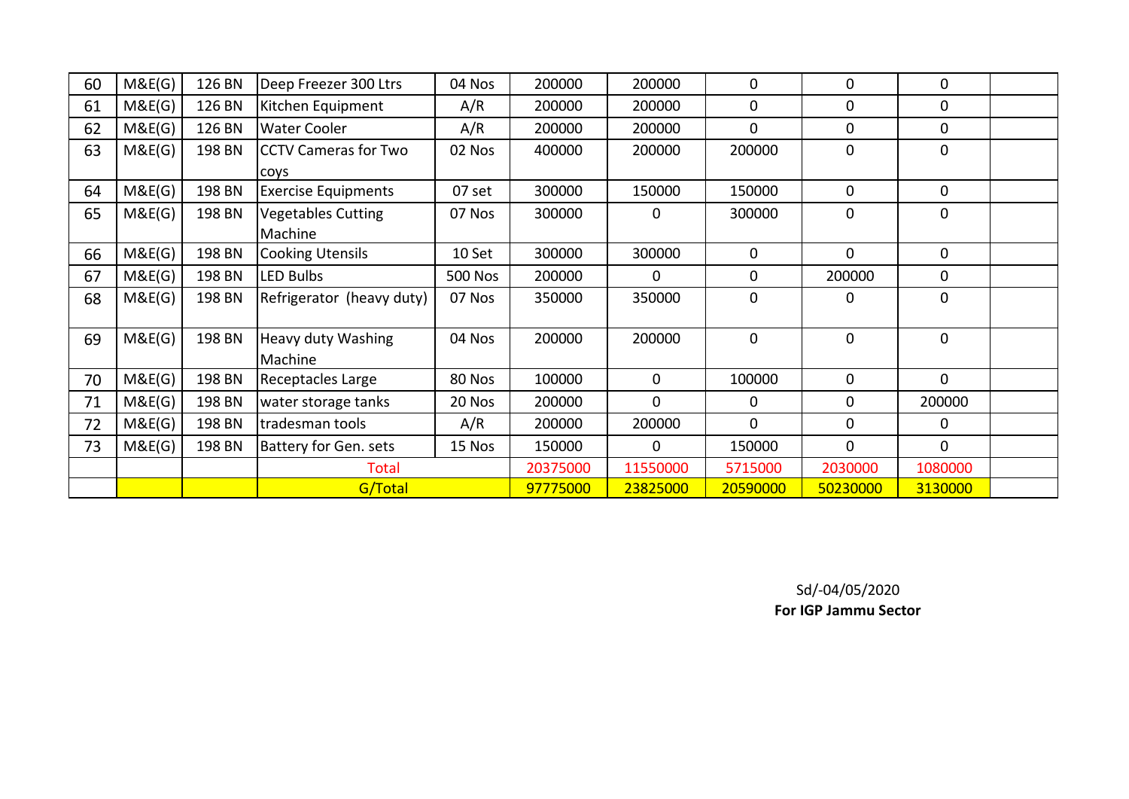| 60 | M&E(G) | 126 BN | Deep Freezer 300 Ltrs       | 04 Nos         | 200000   | 200000         | 0           | $\mathbf 0$  | 0            |  |
|----|--------|--------|-----------------------------|----------------|----------|----------------|-------------|--------------|--------------|--|
| 61 | M&E(G) | 126 BN | Kitchen Equipment           | A/R            | 200000   | 200000         | 0           | $\mathbf 0$  | 0            |  |
| 62 | M&E(G) | 126 BN | <b>Water Cooler</b>         | A/R            | 200000   | 200000         | $\mathbf 0$ | $\mathbf 0$  | $\mathbf 0$  |  |
| 63 | M&E(G) | 198 BN | <b>CCTV Cameras for Two</b> | 02 Nos         | 400000   | 200000         | 200000      | $\mathbf 0$  | $\mathbf 0$  |  |
|    |        |        | coys                        |                |          |                |             |              |              |  |
| 64 | M&E(G) | 198 BN | <b>Exercise Equipments</b>  | 07 set         | 300000   | 150000         | 150000      | $\mathbf{0}$ | $\mathbf{0}$ |  |
| 65 | M&E(G) | 198 BN | <b>Vegetables Cutting</b>   | 07 Nos         | 300000   | 0              | 300000      | $\mathbf 0$  | $\mathbf 0$  |  |
|    |        |        | Machine                     |                |          |                |             |              |              |  |
| 66 | M&E(G) | 198 BN | <b>Cooking Utensils</b>     | 10 Set         | 300000   | 300000         | $\mathbf 0$ | $\Omega$     | $\mathbf{0}$ |  |
| 67 | M&E(G) | 198 BN | <b>LED Bulbs</b>            | <b>500 Nos</b> | 200000   | $\overline{0}$ | $\mathbf 0$ | 200000       | $\mathbf 0$  |  |
| 68 | M&E(G) | 198 BN | Refrigerator (heavy duty)   | 07 Nos         | 350000   | 350000         | $\mathbf 0$ | $\mathbf 0$  | $\mathbf 0$  |  |
|    |        |        |                             |                |          |                |             |              |              |  |
| 69 | M&E(G) | 198 BN | Heavy duty Washing          | 04 Nos         | 200000   | 200000         | $\mathbf 0$ | $\mathbf 0$  | $\mathbf 0$  |  |
|    |        |        | Machine                     |                |          |                |             |              |              |  |
| 70 | M&E(G) | 198 BN | Receptacles Large           | 80 Nos         | 100000   | 0              | 100000      | $\mathbf 0$  | $\mathbf 0$  |  |
| 71 | M&E(G) | 198 BN | water storage tanks         | 20 Nos         | 200000   | $\overline{0}$ | 0           | $\mathbf 0$  | 200000       |  |
| 72 | M&E(G) | 198 BN | tradesman tools             | A/R            | 200000   | 200000         | $\mathbf 0$ | $\mathbf 0$  | 0            |  |
| 73 | M&E(G) | 198 BN | Battery for Gen. sets       | 15 Nos         | 150000   | 0              | 150000      | $\mathbf 0$  | $\mathbf 0$  |  |
|    |        |        | Total                       |                | 20375000 | 11550000       | 5715000     | 2030000      | 1080000      |  |
|    |        |        | G/Total                     |                | 97775000 | 23825000       | 20590000    | 50230000     | 3130000      |  |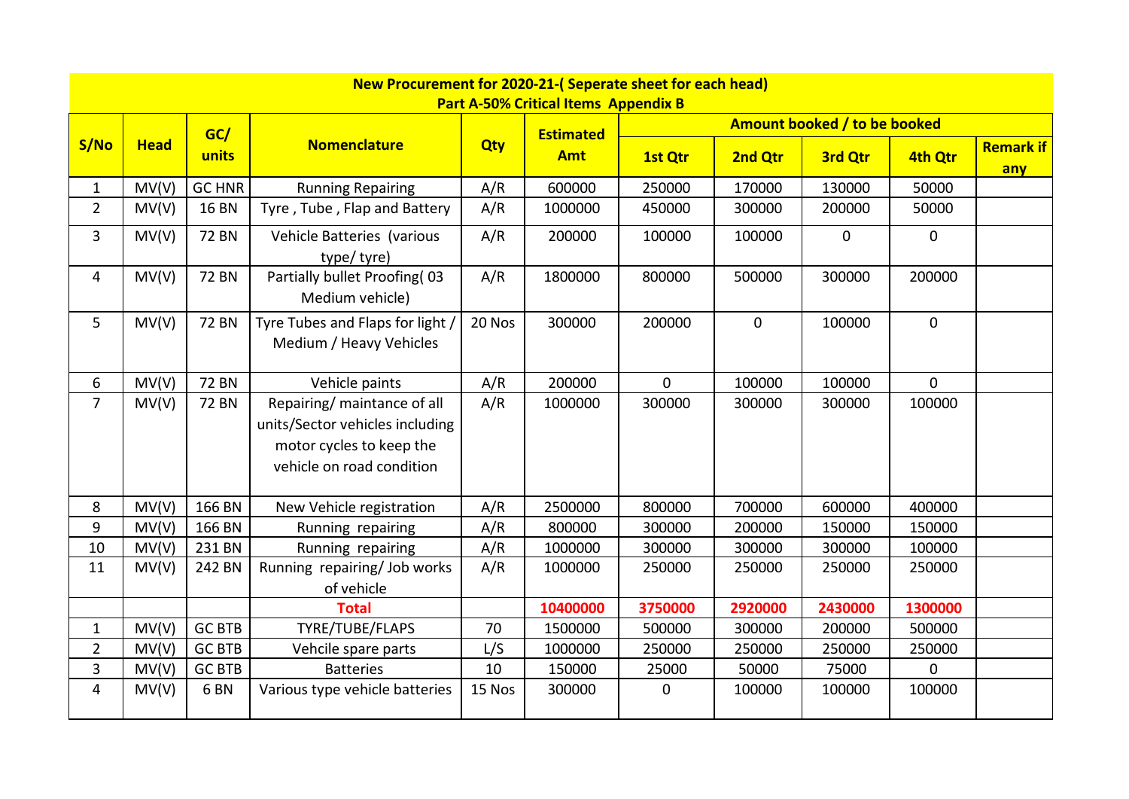|                | New Procurement for 2020-21-(Seperate sheet for each head)<br><b>Part A-50% Critical Items Appendix B</b> |                 |                                                                                                                         |            |                  |             |             |                              |                  |                         |  |  |  |  |
|----------------|-----------------------------------------------------------------------------------------------------------|-----------------|-------------------------------------------------------------------------------------------------------------------------|------------|------------------|-------------|-------------|------------------------------|------------------|-------------------------|--|--|--|--|
|                |                                                                                                           |                 |                                                                                                                         |            |                  |             |             |                              |                  |                         |  |  |  |  |
|                |                                                                                                           | GC/             |                                                                                                                         |            | <b>Estimated</b> |             |             | Amount booked / to be booked |                  |                         |  |  |  |  |
| S/No           | <b>Head</b>                                                                                               | units           | <b>Nomenclature</b>                                                                                                     | <b>Qty</b> | <b>Amt</b>       | 1st Qtr     | 2nd Qtr     | 3rd Qtr                      | 4th Qtr          | <b>Remark if</b><br>any |  |  |  |  |
| $\mathbf{1}$   | MV(V)                                                                                                     | <b>GC HNR</b>   | <b>Running Repairing</b>                                                                                                | A/R        | 600000           | 250000      | 170000      | 130000                       | 50000            |                         |  |  |  |  |
| $\overline{2}$ | MV(V)                                                                                                     | <b>16 BN</b>    | Tyre, Tube, Flap and Battery                                                                                            | A/R        | 1000000          | 450000      | 300000      | 200000                       | 50000            |                         |  |  |  |  |
| $\overline{3}$ | MV(V)                                                                                                     | <b>72 BN</b>    | Vehicle Batteries (various<br>type/tyre)                                                                                | A/R        | 200000           | 100000      | 100000      | $\mathbf{0}$                 | $\mathbf 0$      |                         |  |  |  |  |
| 4              | MV(V)                                                                                                     | <b>72 BN</b>    | Partially bullet Proofing(03<br>Medium vehicle)                                                                         | A/R        | 1800000          | 800000      | 500000      | 300000                       | 200000           |                         |  |  |  |  |
| 5              | MV(V)                                                                                                     | <b>72 BN</b>    | Tyre Tubes and Flaps for light /<br>Medium / Heavy Vehicles                                                             | 20 Nos     | 300000           | 200000      | $\mathbf 0$ | 100000                       | $\boldsymbol{0}$ |                         |  |  |  |  |
| 6              | MV(V)                                                                                                     | <b>72 BN</b>    | Vehicle paints                                                                                                          | A/R        | 200000           | $\mathbf 0$ | 100000      | 100000                       | 0                |                         |  |  |  |  |
| $\overline{7}$ | MV(V)                                                                                                     | <b>72 BN</b>    | Repairing/ maintance of all<br>units/Sector vehicles including<br>motor cycles to keep the<br>vehicle on road condition | A/R        | 1000000          | 300000      | 300000      | 300000                       | 100000           |                         |  |  |  |  |
| 8              | MV(V)                                                                                                     | 166 BN          | New Vehicle registration                                                                                                | A/R        | 2500000          | 800000      | 700000      | 600000                       | 400000           |                         |  |  |  |  |
| 9              | MV(V)                                                                                                     | 166 BN          | Running repairing                                                                                                       | A/R        | 800000           | 300000      | 200000      | 150000                       | 150000           |                         |  |  |  |  |
| 10             | MV(V)                                                                                                     | 231 BN          | Running repairing                                                                                                       | A/R        | 1000000          | 300000      | 300000      | 300000                       | 100000           |                         |  |  |  |  |
| 11             | MV(V)                                                                                                     | 242 BN          | Running repairing/ Job works<br>of vehicle                                                                              | A/R        | 1000000          | 250000      | 250000      | 250000                       | 250000           |                         |  |  |  |  |
|                |                                                                                                           |                 | <b>Total</b>                                                                                                            |            | 10400000         | 3750000     | 2920000     | 2430000                      | 1300000          |                         |  |  |  |  |
| $\mathbf{1}$   | MV(V)                                                                                                     | <b>GC BTB</b>   | TYRE/TUBE/FLAPS                                                                                                         | 70         | 1500000          | 500000      | 300000      | 200000                       | 500000           |                         |  |  |  |  |
| $\overline{2}$ | MV(V)                                                                                                     | <b>GC BTB</b>   | Vehcile spare parts                                                                                                     | L/S        | 1000000          | 250000      | 250000      | 250000                       | 250000           |                         |  |  |  |  |
| 3              | MV(V)                                                                                                     | <b>GC BTB</b>   | <b>Batteries</b>                                                                                                        | 10         | 150000           | 25000       | 50000       | 75000                        | 0                |                         |  |  |  |  |
| $\overline{4}$ | MV(V)                                                                                                     | 6 <sub>BN</sub> | Various type vehicle batteries                                                                                          | 15 Nos     | 300000           | 0           | 100000      | 100000                       | 100000           |                         |  |  |  |  |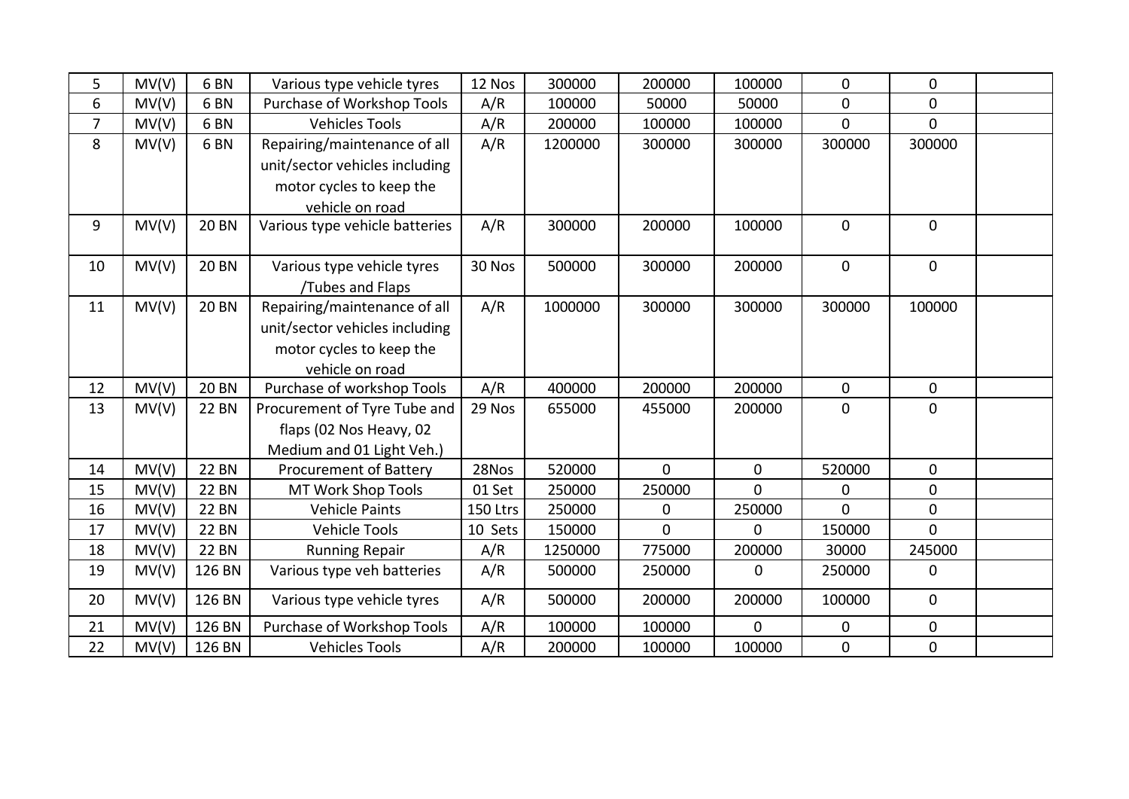| 5              | MV(V) | 6 <sub>BN</sub> | Various type vehicle tyres     | 12 Nos   | 300000  | 200000         | 100000      | $\overline{0}$ | 0              |  |
|----------------|-------|-----------------|--------------------------------|----------|---------|----------------|-------------|----------------|----------------|--|
| 6              | MV(V) | 6 <sub>BN</sub> | Purchase of Workshop Tools     | A/R      | 100000  | 50000          | 50000       | $\mathbf{0}$   | 0              |  |
| $\overline{7}$ | MV(V) | 6 <sub>BN</sub> | <b>Vehicles Tools</b>          | A/R      | 200000  | 100000         | 100000      | $\overline{0}$ | $\overline{0}$ |  |
| 8              | MV(V) | 6 <sub>BN</sub> | Repairing/maintenance of all   | A/R      | 1200000 | 300000         | 300000      | 300000         | 300000         |  |
|                |       |                 | unit/sector vehicles including |          |         |                |             |                |                |  |
|                |       |                 | motor cycles to keep the       |          |         |                |             |                |                |  |
|                |       |                 | vehicle on road                |          |         |                |             |                |                |  |
| 9              | MV(V) | <b>20 BN</b>    | Various type vehicle batteries | A/R      | 300000  | 200000         | 100000      | $\overline{0}$ | $\mathbf{0}$   |  |
|                |       |                 |                                |          |         |                |             |                |                |  |
| 10             | MV(V) | <b>20 BN</b>    | Various type vehicle tyres     | 30 Nos   | 500000  | 300000         | 200000      | $\mathbf 0$    | $\pmb{0}$      |  |
|                |       |                 | Tubes and Flaps                |          |         |                |             |                |                |  |
| 11             | MV(V) | <b>20 BN</b>    | Repairing/maintenance of all   | A/R      | 1000000 | 300000         | 300000      | 300000         | 100000         |  |
|                |       |                 | unit/sector vehicles including |          |         |                |             |                |                |  |
|                |       |                 | motor cycles to keep the       |          |         |                |             |                |                |  |
|                |       |                 | vehicle on road                |          |         |                |             |                |                |  |
| 12             | MV(V) | <b>20 BN</b>    | Purchase of workshop Tools     | A/R      | 400000  | 200000         | 200000      | $\mathbf 0$    | 0              |  |
| 13             | MV(V) | <b>22 BN</b>    | Procurement of Tyre Tube and   | 29 Nos   | 655000  | 455000         | 200000      | $\Omega$       | $\mathbf 0$    |  |
|                |       |                 | flaps (02 Nos Heavy, 02        |          |         |                |             |                |                |  |
|                |       |                 | Medium and 01 Light Veh.)      |          |         |                |             |                |                |  |
| 14             | MV(V) | <b>22 BN</b>    | <b>Procurement of Battery</b>  | 28Nos    | 520000  | $\overline{0}$ | $\mathbf 0$ | 520000         | 0              |  |
| 15             | MV(V) | <b>22 BN</b>    | MT Work Shop Tools             | 01 Set   | 250000  | 250000         | $\mathbf 0$ | $\Omega$       | 0              |  |
| 16             | MV(V) | <b>22 BN</b>    | <b>Vehicle Paints</b>          | 150 Ltrs | 250000  | $\mathbf 0$    | 250000      | $\Omega$       | $\overline{0}$ |  |
| 17             | MV(V) | <b>22 BN</b>    | <b>Vehicle Tools</b>           | 10 Sets  | 150000  | $\overline{0}$ | $\mathbf 0$ | 150000         | $\overline{0}$ |  |
| 18             | MV(V) | <b>22 BN</b>    | <b>Running Repair</b>          | A/R      | 1250000 | 775000         | 200000      | 30000          | 245000         |  |
| 19             | MV(V) | 126 BN          | Various type veh batteries     | A/R      | 500000  | 250000         | $\mathbf 0$ | 250000         | $\mathbf 0$    |  |
| 20             | MV(V) | 126 BN          | Various type vehicle tyres     | A/R      | 500000  | 200000         | 200000      | 100000         | $\mathbf 0$    |  |
| 21             | MV(V) | 126 BN          | Purchase of Workshop Tools     | A/R      | 100000  | 100000         | $\mathbf 0$ | $\mathbf 0$    | 0              |  |
| 22             | MV(V) | 126 BN          | <b>Vehicles Tools</b>          | A/R      | 200000  | 100000         | 100000      | $\overline{0}$ | $\pmb{0}$      |  |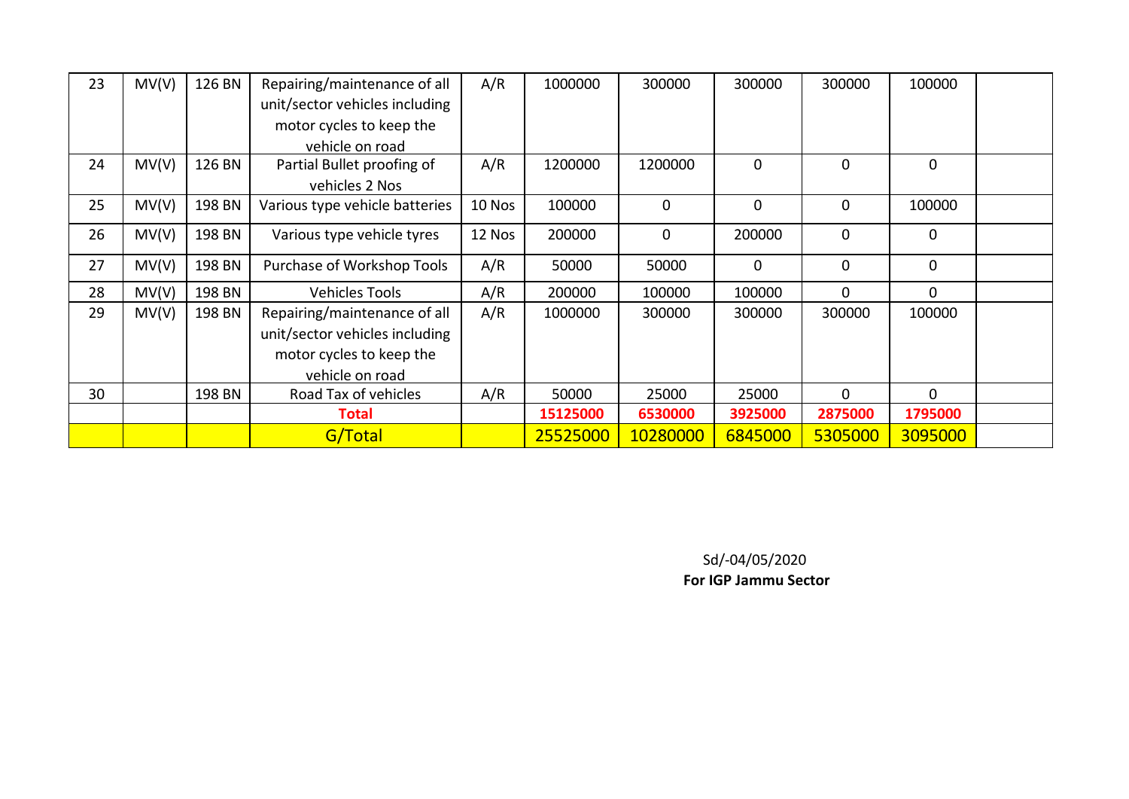| 23 | MV(V) | 126 BN | Repairing/maintenance of all   | A/R    | 1000000  | 300000      | 300000      | 300000      | 100000       |  |
|----|-------|--------|--------------------------------|--------|----------|-------------|-------------|-------------|--------------|--|
|    |       |        | unit/sector vehicles including |        |          |             |             |             |              |  |
|    |       |        | motor cycles to keep the       |        |          |             |             |             |              |  |
|    |       |        | vehicle on road                |        |          |             |             |             |              |  |
| 24 | MV(V) | 126 BN | Partial Bullet proofing of     | A/R    | 1200000  | 1200000     | $\mathbf 0$ | $\mathbf 0$ | $\mathbf{0}$ |  |
|    |       |        | vehicles 2 Nos                 |        |          |             |             |             |              |  |
| 25 | MV(V) | 198 BN | Various type vehicle batteries | 10 Nos | 100000   | $\mathbf 0$ | $\mathbf 0$ | $\mathbf 0$ | 100000       |  |
| 26 | MV(V) | 198 BN | Various type vehicle tyres     | 12 Nos | 200000   | 0           | 200000      | $\mathbf 0$ | 0            |  |
| 27 | MV(V) | 198 BN | Purchase of Workshop Tools     | A/R    | 50000    | 50000       | 0           | $\mathbf 0$ | $\mathbf 0$  |  |
| 28 | MV(V) | 198 BN | <b>Vehicles Tools</b>          | A/R    | 200000   | 100000      | 100000      | $\Omega$    | 0            |  |
| 29 | MV(V) | 198 BN | Repairing/maintenance of all   | A/R    | 1000000  | 300000      | 300000      | 300000      | 100000       |  |
|    |       |        | unit/sector vehicles including |        |          |             |             |             |              |  |
|    |       |        | motor cycles to keep the       |        |          |             |             |             |              |  |
|    |       |        | vehicle on road                |        |          |             |             |             |              |  |
| 30 |       | 198 BN | Road Tax of vehicles           | A/R    | 50000    | 25000       | 25000       | $\Omega$    | $\Omega$     |  |
|    |       |        | <b>Total</b>                   |        | 15125000 | 6530000     | 3925000     | 2875000     | 1795000      |  |
|    |       |        | G/Total                        |        | 25525000 | 10280000    | 6845000     | 5305000     | 3095000      |  |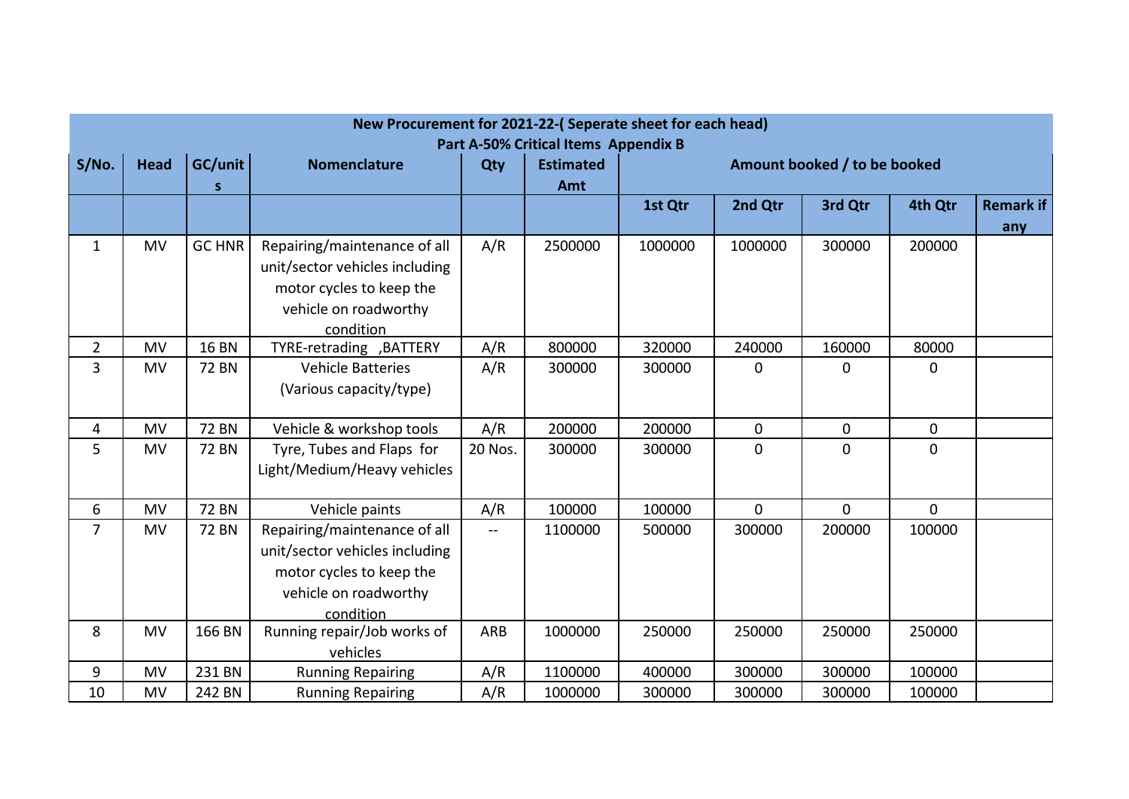|                |             |               | New Procurement for 2021-22-(Seperate sheet for each head) |         |                                                          |         |                |                              |                |           |
|----------------|-------------|---------------|------------------------------------------------------------|---------|----------------------------------------------------------|---------|----------------|------------------------------|----------------|-----------|
| S/No.          | <b>Head</b> | GC/unit       | <b>Nomenclature</b>                                        | Qty     | Part A-50% Critical Items Appendix B<br><b>Estimated</b> |         |                | Amount booked / to be booked |                |           |
|                |             | S             |                                                            |         | Amt                                                      |         |                |                              |                |           |
|                |             |               |                                                            |         |                                                          | 1st Qtr | 2nd Qtr        | 3rd Qtr                      | 4th Qtr        | Remark if |
|                |             |               |                                                            |         |                                                          |         |                |                              |                | any       |
| $\mathbf{1}$   | <b>MV</b>   | <b>GC HNR</b> | Repairing/maintenance of all                               | A/R     | 2500000                                                  | 1000000 | 1000000        | 300000                       | 200000         |           |
|                |             |               | unit/sector vehicles including                             |         |                                                          |         |                |                              |                |           |
|                |             |               | motor cycles to keep the                                   |         |                                                          |         |                |                              |                |           |
|                |             |               | vehicle on roadworthy                                      |         |                                                          |         |                |                              |                |           |
|                |             |               | condition                                                  |         |                                                          |         |                |                              |                |           |
| $\overline{2}$ | <b>MV</b>   | <b>16 BN</b>  | TYRE-retrading , BATTERY                                   | A/R     | 800000                                                   | 320000  | 240000         | 160000                       | 80000          |           |
| 3              | MV          | <b>72 BN</b>  | <b>Vehicle Batteries</b>                                   | A/R     | 300000                                                   | 300000  | $\mathbf 0$    | 0                            | 0              |           |
|                |             |               | (Various capacity/type)                                    |         |                                                          |         |                |                              |                |           |
|                |             |               |                                                            |         |                                                          |         |                |                              |                |           |
| 4              | <b>MV</b>   | <b>72 BN</b>  | Vehicle & workshop tools                                   | A/R     | 200000                                                   | 200000  | 0              | $\mathbf 0$                  | $\mathbf 0$    |           |
| 5              | <b>MV</b>   | <b>72 BN</b>  | Tyre, Tubes and Flaps for                                  | 20 Nos. | 300000                                                   | 300000  | $\overline{0}$ | $\overline{0}$               | $\overline{0}$ |           |
|                |             |               | Light/Medium/Heavy vehicles                                |         |                                                          |         |                |                              |                |           |
|                |             |               |                                                            |         |                                                          |         |                |                              |                |           |
| 6              | <b>MV</b>   | <b>72 BN</b>  | Vehicle paints                                             | A/R     | 100000                                                   | 100000  | $\mathbf 0$    | $\mathbf{0}$                 | $\mathbf 0$    |           |
| $\overline{7}$ | <b>MV</b>   | <b>72 BN</b>  | Repairing/maintenance of all                               | --      | 1100000                                                  | 500000  | 300000         | 200000                       | 100000         |           |
|                |             |               | unit/sector vehicles including                             |         |                                                          |         |                |                              |                |           |
|                |             |               | motor cycles to keep the                                   |         |                                                          |         |                |                              |                |           |
|                |             |               | vehicle on roadworthy                                      |         |                                                          |         |                |                              |                |           |
|                |             |               | condition                                                  |         |                                                          |         |                |                              |                |           |
| 8              | <b>MV</b>   | 166 BN        | Running repair/Job works of                                | ARB     | 1000000                                                  | 250000  | 250000         | 250000                       | 250000         |           |
|                |             |               | vehicles                                                   |         |                                                          |         |                |                              |                |           |
| 9              | <b>MV</b>   | 231 BN        | <b>Running Repairing</b>                                   | A/R     | 1100000                                                  | 400000  | 300000         | 300000                       | 100000         |           |
| 10             | MV          | 242 BN        | <b>Running Repairing</b>                                   | A/R     | 1000000                                                  | 300000  | 300000         | 300000                       | 100000         |           |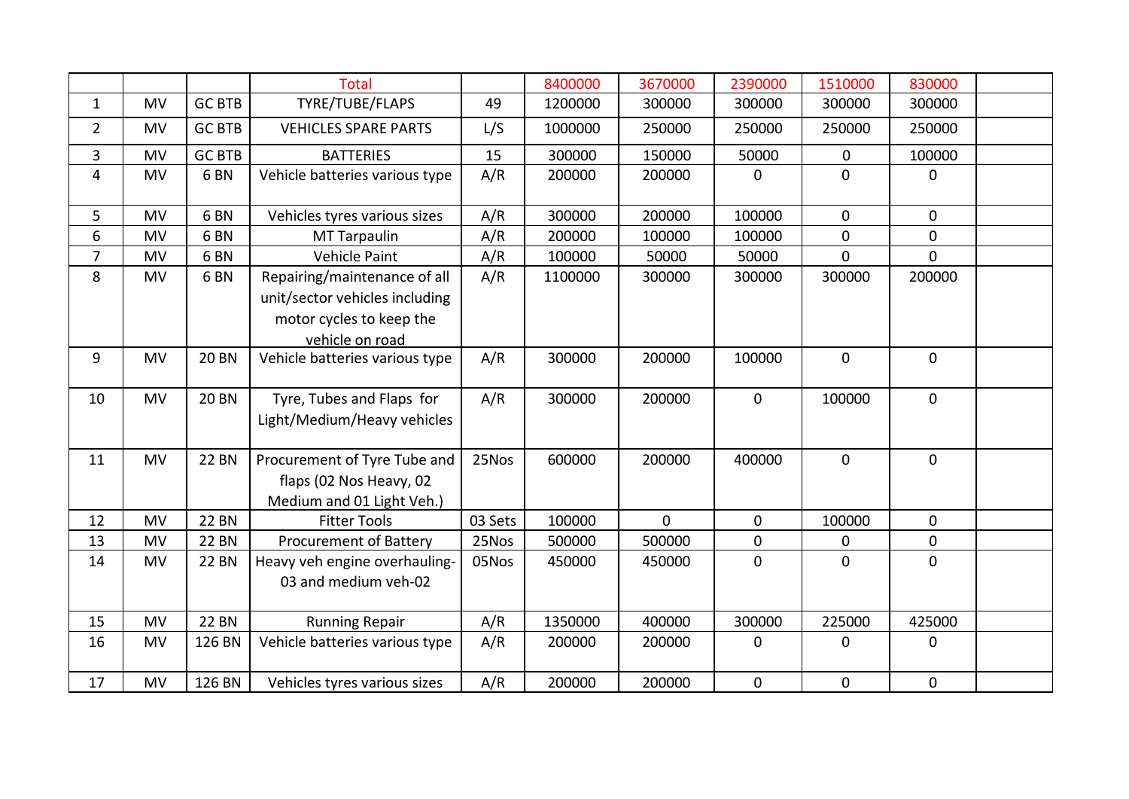|                |           |                 | <b>Total</b>                                                                                                  |         | 8400000 | 3670000        | 2390000          | 1510000     | 830000       |  |
|----------------|-----------|-----------------|---------------------------------------------------------------------------------------------------------------|---------|---------|----------------|------------------|-------------|--------------|--|
| $\mathbf{1}$   | <b>MV</b> | <b>GC BTB</b>   | TYRE/TUBE/FLAPS                                                                                               | 49      | 1200000 | 300000         | 300000           | 300000      | 300000       |  |
| $\overline{2}$ | <b>MV</b> | <b>GC BTB</b>   | <b>VEHICLES SPARE PARTS</b>                                                                                   | L/S     | 1000000 | 250000         | 250000           | 250000      | 250000       |  |
| 3              | <b>MV</b> | <b>GC BTB</b>   | <b>BATTERIES</b>                                                                                              | 15      | 300000  | 150000         | 50000            | $\mathbf 0$ | 100000       |  |
| $\overline{4}$ | <b>MV</b> | 6 <sub>BN</sub> | Vehicle batteries various type                                                                                | A/R     | 200000  | 200000         | $\mathbf 0$      | $\mathbf 0$ | $\mathbf 0$  |  |
| 5              | <b>MV</b> | 6 <sub>BN</sub> | Vehicles tyres various sizes                                                                                  | A/R     | 300000  | 200000         | 100000           | $\mathbf 0$ | $\mathbf 0$  |  |
| 6              | <b>MV</b> | 6 <sub>BN</sub> | <b>MT Tarpaulin</b>                                                                                           | A/R     | 200000  | 100000         | 100000           | $\mathbf 0$ | $\mathbf{0}$ |  |
| $\overline{7}$ | <b>MV</b> | 6 <sub>BN</sub> | Vehicle Paint                                                                                                 | A/R     | 100000  | 50000          | 50000            | $\mathbf 0$ | $\mathbf 0$  |  |
| 8              | <b>MV</b> | 6 <sub>BN</sub> | Repairing/maintenance of all<br>unit/sector vehicles including<br>motor cycles to keep the<br>vehicle on road | A/R     | 1100000 | 300000         | 300000           | 300000      | 200000       |  |
| 9              | <b>MV</b> | <b>20 BN</b>    | Vehicle batteries various type                                                                                | A/R     | 300000  | 200000         | 100000           | $\mathbf 0$ | $\mathbf 0$  |  |
| 10             | <b>MV</b> | <b>20 BN</b>    | Tyre, Tubes and Flaps for<br>Light/Medium/Heavy vehicles                                                      | A/R     | 300000  | 200000         | $\mathbf 0$      | 100000      | $\mathbf{0}$ |  |
| 11             | <b>MV</b> | <b>22 BN</b>    | Procurement of Tyre Tube and<br>flaps (02 Nos Heavy, 02<br>Medium and 01 Light Veh.)                          | 25Nos   | 600000  | 200000         | 400000           | $\mathbf 0$ | $\mathbf 0$  |  |
| 12             | <b>MV</b> | <b>22 BN</b>    | <b>Fitter Tools</b>                                                                                           | 03 Sets | 100000  | $\overline{0}$ | $\mathbf 0$      | 100000      | $\mathbf 0$  |  |
| 13             | <b>MV</b> | <b>22 BN</b>    | <b>Procurement of Battery</b>                                                                                 | 25Nos   | 500000  | 500000         | $\mathbf 0$      | $\mathbf 0$ | $\mathbf 0$  |  |
| 14             | <b>MV</b> | <b>22 BN</b>    | Heavy veh engine overhauling-<br>03 and medium veh-02                                                         | 05Nos   | 450000  | 450000         | $\boldsymbol{0}$ | $\mathbf 0$ | $\mathbf 0$  |  |
| 15             | <b>MV</b> | <b>22 BN</b>    | <b>Running Repair</b>                                                                                         | A/R     | 1350000 | 400000         | 300000           | 225000      | 425000       |  |
| 16             | <b>MV</b> | 126 BN          | Vehicle batteries various type                                                                                | A/R     | 200000  | 200000         | $\mathbf 0$      | $\mathbf 0$ | $\mathbf 0$  |  |
| 17             | <b>MV</b> | 126 BN          | Vehicles tyres various sizes                                                                                  | A/R     | 200000  | 200000         | $\mathbf 0$      | $\mathbf 0$ | $\mathbf 0$  |  |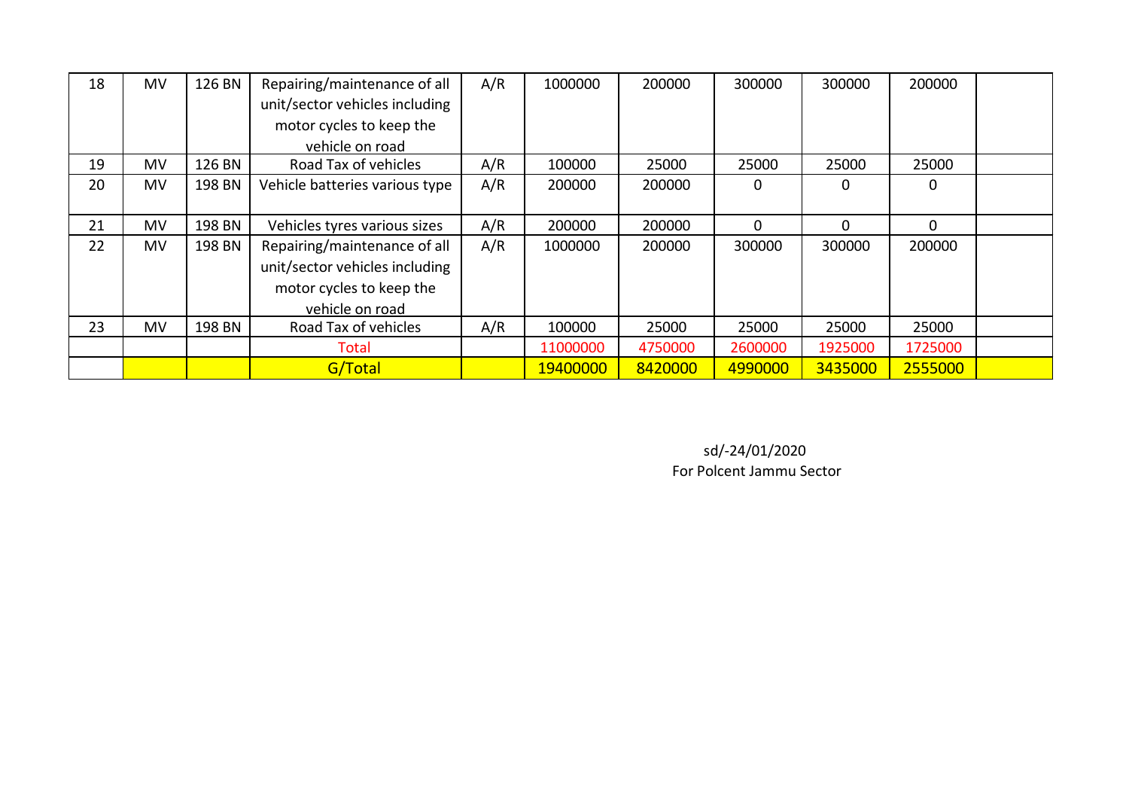| 18 | MV        | 126 BN | Repairing/maintenance of all   | A/R | 1000000  | 200000  | 300000   | 300000  | 200000      |  |
|----|-----------|--------|--------------------------------|-----|----------|---------|----------|---------|-------------|--|
|    |           |        | unit/sector vehicles including |     |          |         |          |         |             |  |
|    |           |        | motor cycles to keep the       |     |          |         |          |         |             |  |
|    |           |        | vehicle on road                |     |          |         |          |         |             |  |
| 19 | MV        | 126 BN | Road Tax of vehicles           | A/R | 100000   | 25000   | 25000    | 25000   | 25000       |  |
| 20 | MV        | 198 BN | Vehicle batteries various type | A/R | 200000   | 200000  | 0        | 0       | $\Omega$    |  |
|    |           |        |                                |     |          |         |          |         |             |  |
| 21 | <b>MV</b> | 198 BN | Vehicles tyres various sizes   | A/R | 200000   | 200000  | $\Omega$ | 0       | $\mathbf 0$ |  |
| 22 | <b>MV</b> | 198 BN | Repairing/maintenance of all   | A/R | 1000000  | 200000  | 300000   | 300000  | 200000      |  |
|    |           |        | unit/sector vehicles including |     |          |         |          |         |             |  |
|    |           |        | motor cycles to keep the       |     |          |         |          |         |             |  |
|    |           |        | vehicle on road                |     |          |         |          |         |             |  |
| 23 | MV        | 198 BN | Road Tax of vehicles           | A/R | 100000   | 25000   | 25000    | 25000   | 25000       |  |
|    |           |        | Total                          |     | 11000000 | 4750000 | 2600000  | 1925000 | 1725000     |  |
|    |           |        | G/Total                        |     | 19400000 | 8420000 | 4990000  | 3435000 | 2555000     |  |

For Polcent Jammu Sector sd/-24/01/2020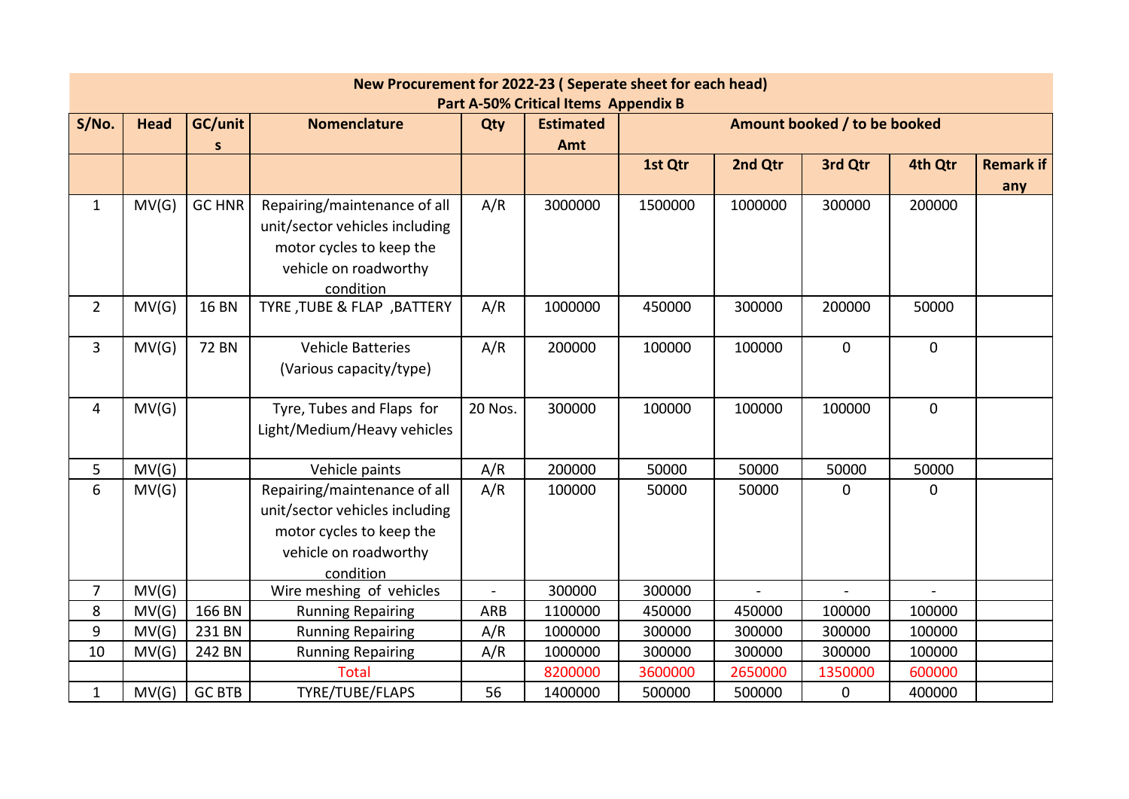|                |                                                                                                                                                         |               | New Procurement for 2022-23 (Seperate sheet for each head) |                |         |         |         |                |              |                  |  |  |  |  |
|----------------|---------------------------------------------------------------------------------------------------------------------------------------------------------|---------------|------------------------------------------------------------|----------------|---------|---------|---------|----------------|--------------|------------------|--|--|--|--|
|                | <b>Part A-50% Critical Items Appendix B</b><br>GC/unit<br><b>Head</b><br><b>Nomenclature</b><br><b>Estimated</b><br>Amount booked / to be booked<br>Qty |               |                                                            |                |         |         |         |                |              |                  |  |  |  |  |
| S/No.          |                                                                                                                                                         |               |                                                            |                |         |         |         |                |              |                  |  |  |  |  |
|                |                                                                                                                                                         | S             |                                                            |                | Amt     |         |         |                |              |                  |  |  |  |  |
|                |                                                                                                                                                         |               |                                                            |                |         | 1st Qtr | 2nd Qtr | 3rd Qtr        | 4th Qtr      | <b>Remark if</b> |  |  |  |  |
|                |                                                                                                                                                         |               |                                                            |                |         |         |         |                |              | any              |  |  |  |  |
| $\mathbf{1}$   | MV(G)                                                                                                                                                   | <b>GC HNR</b> | Repairing/maintenance of all                               | A/R            | 3000000 | 1500000 | 1000000 | 300000         | 200000       |                  |  |  |  |  |
|                |                                                                                                                                                         |               | unit/sector vehicles including                             |                |         |         |         |                |              |                  |  |  |  |  |
|                |                                                                                                                                                         |               | motor cycles to keep the                                   |                |         |         |         |                |              |                  |  |  |  |  |
|                |                                                                                                                                                         |               | vehicle on roadworthy                                      |                |         |         |         |                |              |                  |  |  |  |  |
|                |                                                                                                                                                         |               | condition                                                  |                |         |         |         |                |              |                  |  |  |  |  |
| $2^{\circ}$    | MV(G)                                                                                                                                                   | <b>16 BN</b>  | TYRE, TUBE & FLAP, BATTERY                                 | A/R            | 1000000 | 450000  | 300000  | 200000         | 50000        |                  |  |  |  |  |
|                |                                                                                                                                                         |               |                                                            |                |         |         |         |                |              |                  |  |  |  |  |
| 3              | MV(G)                                                                                                                                                   | <b>72 BN</b>  | <b>Vehicle Batteries</b>                                   | A/R            | 200000  | 100000  | 100000  | $\mathbf 0$    | $\mathbf 0$  |                  |  |  |  |  |
|                |                                                                                                                                                         |               | (Various capacity/type)                                    |                |         |         |         |                |              |                  |  |  |  |  |
|                |                                                                                                                                                         |               |                                                            |                |         |         |         |                |              |                  |  |  |  |  |
| 4              | MV(G)                                                                                                                                                   |               | Tyre, Tubes and Flaps for                                  | 20 Nos.        | 300000  | 100000  | 100000  | 100000         | $\mathbf{0}$ |                  |  |  |  |  |
|                |                                                                                                                                                         |               | Light/Medium/Heavy vehicles                                |                |         |         |         |                |              |                  |  |  |  |  |
|                |                                                                                                                                                         |               |                                                            |                |         |         |         |                |              |                  |  |  |  |  |
| 5              | MV(G)                                                                                                                                                   |               | Vehicle paints                                             | A/R            | 200000  | 50000   | 50000   | 50000          | 50000        |                  |  |  |  |  |
| 6              | MV(G)                                                                                                                                                   |               | Repairing/maintenance of all                               | A/R            | 100000  | 50000   | 50000   | $\overline{0}$ | $\mathbf 0$  |                  |  |  |  |  |
|                |                                                                                                                                                         |               | unit/sector vehicles including                             |                |         |         |         |                |              |                  |  |  |  |  |
|                |                                                                                                                                                         |               | motor cycles to keep the                                   |                |         |         |         |                |              |                  |  |  |  |  |
|                |                                                                                                                                                         |               | vehicle on roadworthy                                      |                |         |         |         |                |              |                  |  |  |  |  |
|                |                                                                                                                                                         |               | condition                                                  |                |         |         |         |                |              |                  |  |  |  |  |
| $\overline{7}$ | MV(G)                                                                                                                                                   |               | Wire meshing of vehicles                                   | $\overline{a}$ | 300000  | 300000  |         |                |              |                  |  |  |  |  |
| 8              | MV(G)                                                                                                                                                   | 166 BN        | <b>Running Repairing</b>                                   | ARB            | 1100000 | 450000  | 450000  | 100000         | 100000       |                  |  |  |  |  |
| 9              | MV(G)                                                                                                                                                   | 231 BN        | <b>Running Repairing</b>                                   | A/R            | 1000000 | 300000  | 300000  | 300000         | 100000       |                  |  |  |  |  |
| 10             | MV(G)                                                                                                                                                   | 242 BN        | <b>Running Repairing</b>                                   | A/R            | 1000000 | 300000  | 300000  | 300000         | 100000       |                  |  |  |  |  |
|                |                                                                                                                                                         |               | <b>Total</b>                                               |                | 8200000 | 3600000 | 2650000 | 1350000        | 600000       |                  |  |  |  |  |
| $\mathbf{1}$   | MV(G)                                                                                                                                                   | <b>GC BTB</b> | TYRE/TUBE/FLAPS                                            | 56             | 1400000 | 500000  | 500000  | 0              | 400000       |                  |  |  |  |  |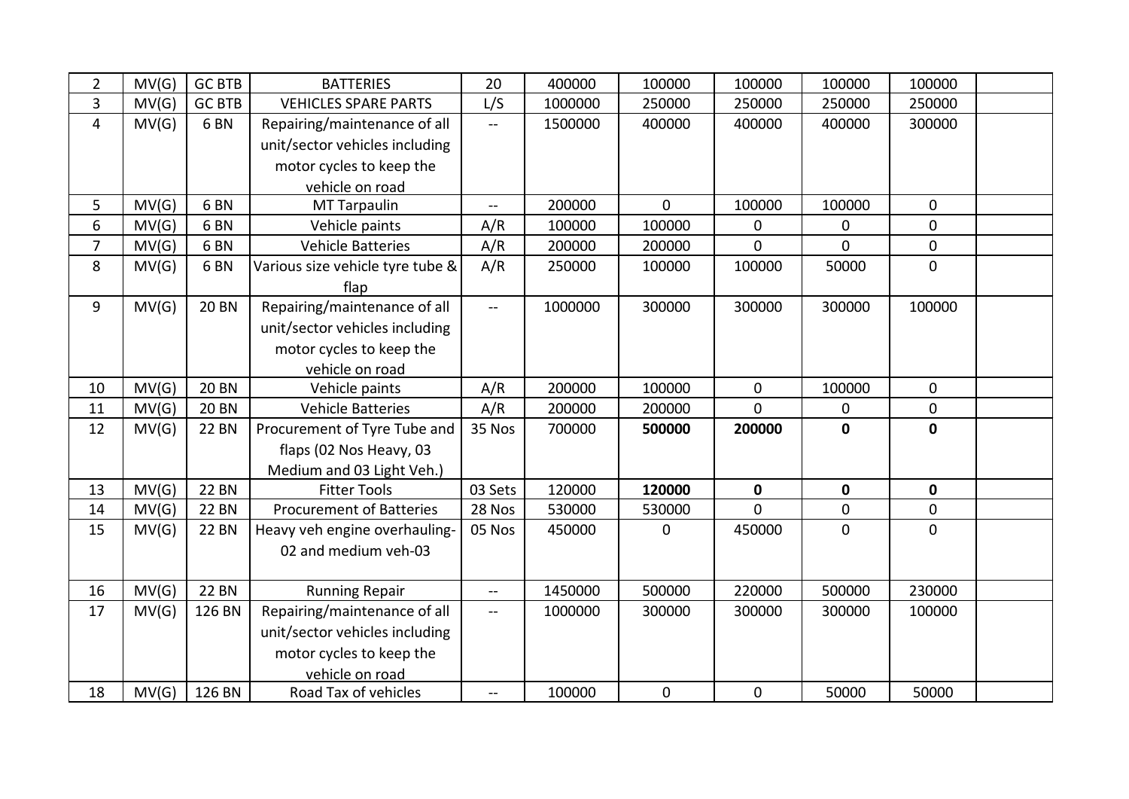| $\overline{2}$ | MV(G) | <b>GC BTB</b>   | <b>BATTERIES</b>                 | 20                       | 400000  | 100000      | 100000      | 100000      | 100000           |  |
|----------------|-------|-----------------|----------------------------------|--------------------------|---------|-------------|-------------|-------------|------------------|--|
| 3              | MV(G) | <b>GC BTB</b>   | <b>VEHICLES SPARE PARTS</b>      | L/S                      | 1000000 | 250000      | 250000      | 250000      | 250000           |  |
| $\overline{4}$ | MV(G) | 6 <sub>BN</sub> | Repairing/maintenance of all     | $\mathbf{u}$             | 1500000 | 400000      | 400000      | 400000      | 300000           |  |
|                |       |                 | unit/sector vehicles including   |                          |         |             |             |             |                  |  |
|                |       |                 | motor cycles to keep the         |                          |         |             |             |             |                  |  |
|                |       |                 | vehicle on road                  |                          |         |             |             |             |                  |  |
| 5              | MV(G) | 6 <sub>BN</sub> | <b>MT Tarpaulin</b>              | $\overline{a}$           | 200000  | $\mathbf 0$ | 100000      | 100000      | $\mathbf 0$      |  |
| 6              | MV(G) | 6 <sub>BN</sub> | Vehicle paints                   | A/R                      | 100000  | 100000      | 0           | 0           | $\mathbf 0$      |  |
| $\overline{7}$ | MV(G) | 6 <sub>BN</sub> | <b>Vehicle Batteries</b>         | A/R                      | 200000  | 200000      | $\mathbf 0$ | $\Omega$    | $\mathbf 0$      |  |
| 8              | MV(G) | 6 <sub>BN</sub> | Various size vehicle tyre tube & | A/R                      | 250000  | 100000      | 100000      | 50000       | $\overline{0}$   |  |
|                |       |                 | flap                             |                          |         |             |             |             |                  |  |
| 9              | MV(G) | <b>20 BN</b>    | Repairing/maintenance of all     | $\overline{\phantom{a}}$ | 1000000 | 300000      | 300000      | 300000      | 100000           |  |
|                |       |                 | unit/sector vehicles including   |                          |         |             |             |             |                  |  |
|                |       |                 | motor cycles to keep the         |                          |         |             |             |             |                  |  |
|                |       |                 | vehicle on road                  |                          |         |             |             |             |                  |  |
| 10             | MV(G) | <b>20 BN</b>    | Vehicle paints                   | A/R                      | 200000  | 100000      | $\mathbf 0$ | 100000      | $\mathbf 0$      |  |
| 11             | MV(G) | <b>20 BN</b>    | <b>Vehicle Batteries</b>         | A/R                      | 200000  | 200000      | $\mathbf 0$ | 0           | $\boldsymbol{0}$ |  |
| 12             | MV(G) | <b>22 BN</b>    | Procurement of Tyre Tube and     | 35 Nos                   | 700000  | 500000      | 200000      | $\mathbf 0$ | $\mathbf 0$      |  |
|                |       |                 | flaps (02 Nos Heavy, 03          |                          |         |             |             |             |                  |  |
|                |       |                 | Medium and 03 Light Veh.)        |                          |         |             |             |             |                  |  |
| 13             | MV(G) | <b>22 BN</b>    | <b>Fitter Tools</b>              | 03 Sets                  | 120000  | 120000      | $\mathbf 0$ | $\mathbf 0$ | $\mathbf 0$      |  |
| 14             | MV(G) | <b>22 BN</b>    | <b>Procurement of Batteries</b>  | 28 Nos                   | 530000  | 530000      | $\mathbf 0$ | $\mathbf 0$ | $\boldsymbol{0}$ |  |
| 15             | MV(G) | <b>22 BN</b>    | Heavy veh engine overhauling-    | 05 Nos                   | 450000  | $\mathbf 0$ | 450000      | $\mathbf 0$ | $\mathbf 0$      |  |
|                |       |                 | 02 and medium veh-03             |                          |         |             |             |             |                  |  |
|                |       |                 |                                  |                          |         |             |             |             |                  |  |
| 16             | MV(G) | <b>22 BN</b>    | <b>Running Repair</b>            | $\overline{\phantom{m}}$ | 1450000 | 500000      | 220000      | 500000      | 230000           |  |
| 17             | MV(G) | 126 BN          | Repairing/maintenance of all     | $\frac{1}{2}$            | 1000000 | 300000      | 300000      | 300000      | 100000           |  |
|                |       |                 | unit/sector vehicles including   |                          |         |             |             |             |                  |  |
|                |       |                 | motor cycles to keep the         |                          |         |             |             |             |                  |  |
|                |       |                 | vehicle on road                  |                          |         |             |             |             |                  |  |
| 18             | MV(G) | 126 BN          | Road Tax of vehicles             | $\overline{\phantom{a}}$ | 100000  | $\mathbf 0$ | $\mathbf 0$ | 50000       | 50000            |  |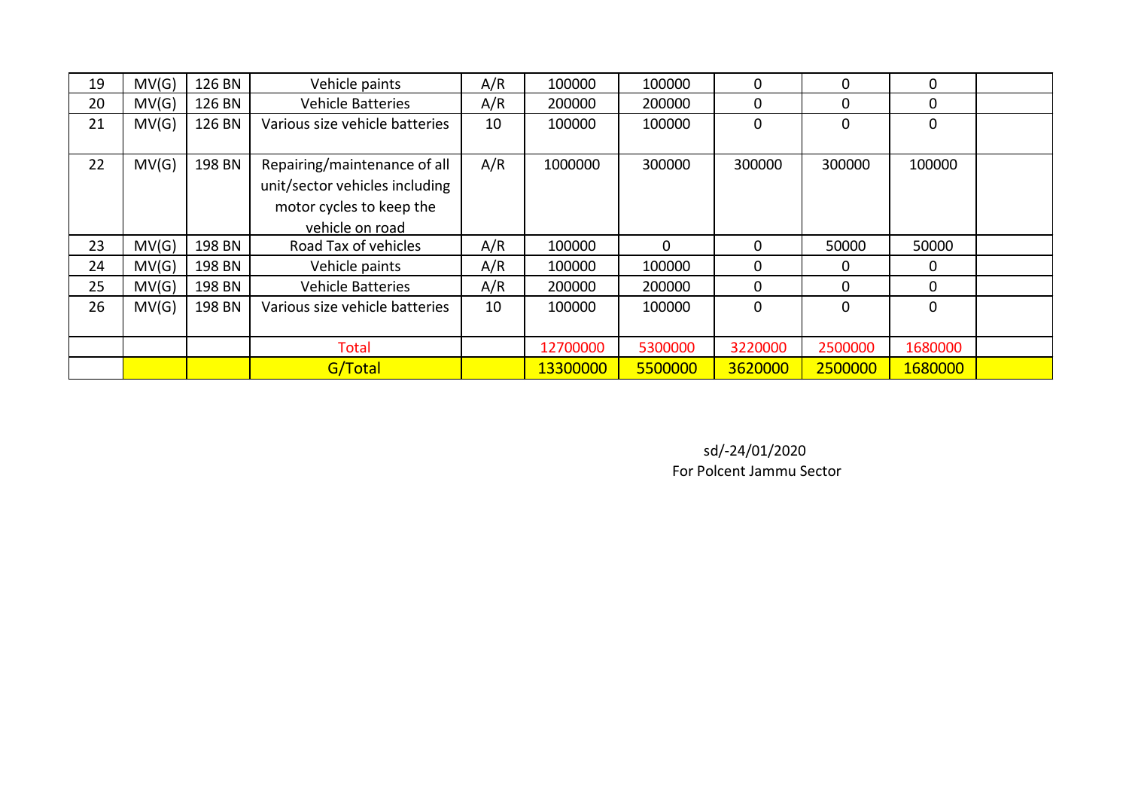| 19 | MV(G) | 126 BN | Vehicle paints                 | A/R | 100000   | 100000   | $\Omega$    | 0        | 0           |  |
|----|-------|--------|--------------------------------|-----|----------|----------|-------------|----------|-------------|--|
| 20 | MV(G) | 126 BN | <b>Vehicle Batteries</b>       | A/R | 200000   | 200000   | $\Omega$    | 0        | 0           |  |
| 21 | MV(G) | 126 BN | Various size vehicle batteries | 10  | 100000   | 100000   | 0           | 0        | 0           |  |
|    |       |        |                                |     |          |          |             |          |             |  |
| 22 | MV(G) | 198 BN | Repairing/maintenance of all   | A/R | 1000000  | 300000   | 300000      | 300000   | 100000      |  |
|    |       |        | unit/sector vehicles including |     |          |          |             |          |             |  |
|    |       |        | motor cycles to keep the       |     |          |          |             |          |             |  |
|    |       |        | vehicle on road                |     |          |          |             |          |             |  |
| 23 | MV(G) | 198 BN | Road Tax of vehicles           | A/R | 100000   | $\Omega$ | $\Omega$    | 50000    | 50000       |  |
| 24 | MV(G) | 198 BN | Vehicle paints                 | A/R | 100000   | 100000   | $\Omega$    | 0        | 0           |  |
| 25 | MV(G) | 198 BN | <b>Vehicle Batteries</b>       | A/R | 200000   | 200000   | $\Omega$    | $\Omega$ | $\Omega$    |  |
| 26 | MV(G) | 198 BN | Various size vehicle batteries | 10  | 100000   | 100000   | $\mathbf 0$ | 0        | $\mathbf 0$ |  |
|    |       |        |                                |     |          |          |             |          |             |  |
|    |       |        | Total                          |     | 12700000 | 5300000  | 3220000     | 2500000  | 1680000     |  |
|    |       |        | G/Total                        |     | 13300000 | 5500000  | 3620000     | 2500000  | 1680000     |  |

For Polcent Jammu Sector sd/-24/01/2020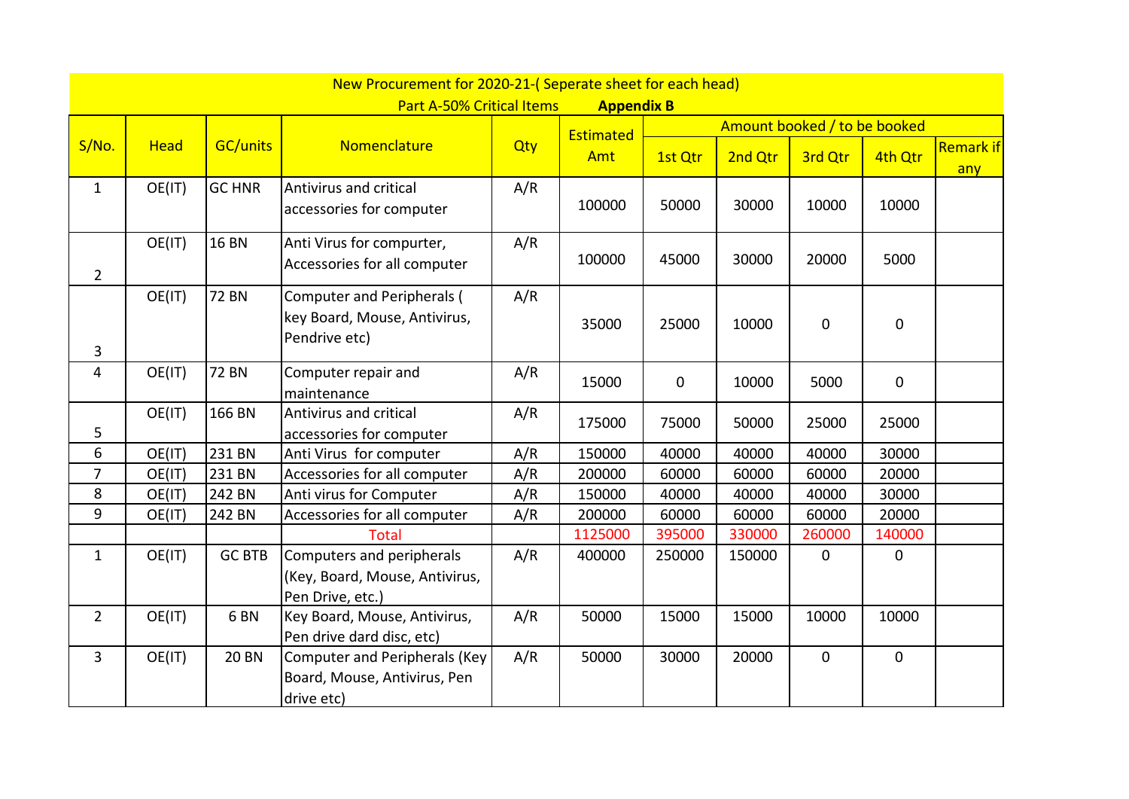|                |             |                 | New Procurement for 2020-21-(Seperate sheet for each head)                         |     |                   |         |         |                              |             |                         |
|----------------|-------------|-----------------|------------------------------------------------------------------------------------|-----|-------------------|---------|---------|------------------------------|-------------|-------------------------|
|                |             |                 | Part A-50% Critical Items                                                          |     | <b>Appendix B</b> |         |         |                              |             |                         |
|                |             |                 |                                                                                    |     | Estimated         |         |         | Amount booked / to be booked |             |                         |
| S/No.          | <b>Head</b> | <b>GC/units</b> | Nomenclature                                                                       | Qty | Amt               | 1st Qtr | 2nd Qtr | 3rd Qtr                      | 4th Qtr     | <b>Remark if</b><br>any |
| $\mathbf{1}$   | OE(IT)      | <b>GC HNR</b>   | Antivirus and critical<br>accessories for computer                                 | A/R | 100000            | 50000   | 30000   | 10000                        | 10000       |                         |
| $\overline{2}$ | OE(IT)      | <b>16 BN</b>    | Anti Virus for compurter,<br>Accessories for all computer                          | A/R | 100000            | 45000   | 30000   | 20000                        | 5000        |                         |
| 3              | OE(IT)      | <b>72 BN</b>    | <b>Computer and Peripherals (</b><br>key Board, Mouse, Antivirus,<br>Pendrive etc) | A/R | 35000             | 25000   | 10000   | $\pmb{0}$                    | $\pmb{0}$   |                         |
| 4              | OE(IT)      | 72 BN           | Computer repair and<br>maintenance                                                 | A/R | 15000             | 0       | 10000   | 5000                         | $\mathbf 0$ |                         |
| 5              | OE(IT)      | 166 BN          | Antivirus and critical<br>accessories for computer                                 | A/R | 175000            | 75000   | 50000   | 25000                        | 25000       |                         |
| 6              | OE(IT)      | 231 BN          | Anti Virus for computer                                                            | A/R | 150000            | 40000   | 40000   | 40000                        | 30000       |                         |
| $\overline{7}$ | OE(IT)      | 231 BN          | Accessories for all computer                                                       | A/R | 200000            | 60000   | 60000   | 60000                        | 20000       |                         |
| 8              | OE(IT)      | 242 BN          | Anti virus for Computer                                                            | A/R | 150000            | 40000   | 40000   | 40000                        | 30000       |                         |
| 9              | OE(IT)      | 242 BN          | Accessories for all computer                                                       | A/R | 200000            | 60000   | 60000   | 60000                        | 20000       |                         |
|                |             |                 | <b>Total</b>                                                                       |     | 1125000           | 395000  | 330000  | 260000                       | 140000      |                         |
| $\mathbf{1}$   | OE(IT)      | <b>GC BTB</b>   | Computers and peripherals<br>(Key, Board, Mouse, Antivirus,<br>Pen Drive, etc.)    | A/R | 400000            | 250000  | 150000  | 0                            | $\mathbf 0$ |                         |
| $\overline{2}$ | OE(IT)      | 6 <sub>BN</sub> | Key Board, Mouse, Antivirus,<br>Pen drive dard disc, etc)                          | A/R | 50000             | 15000   | 15000   | 10000                        | 10000       |                         |
| $\overline{3}$ | OE(IT)      | <b>20 BN</b>    | <b>Computer and Peripherals (Key</b><br>Board, Mouse, Antivirus, Pen<br>drive etc) | A/R | 50000             | 30000   | 20000   | $\mathbf{0}$                 | $\mathbf 0$ |                         |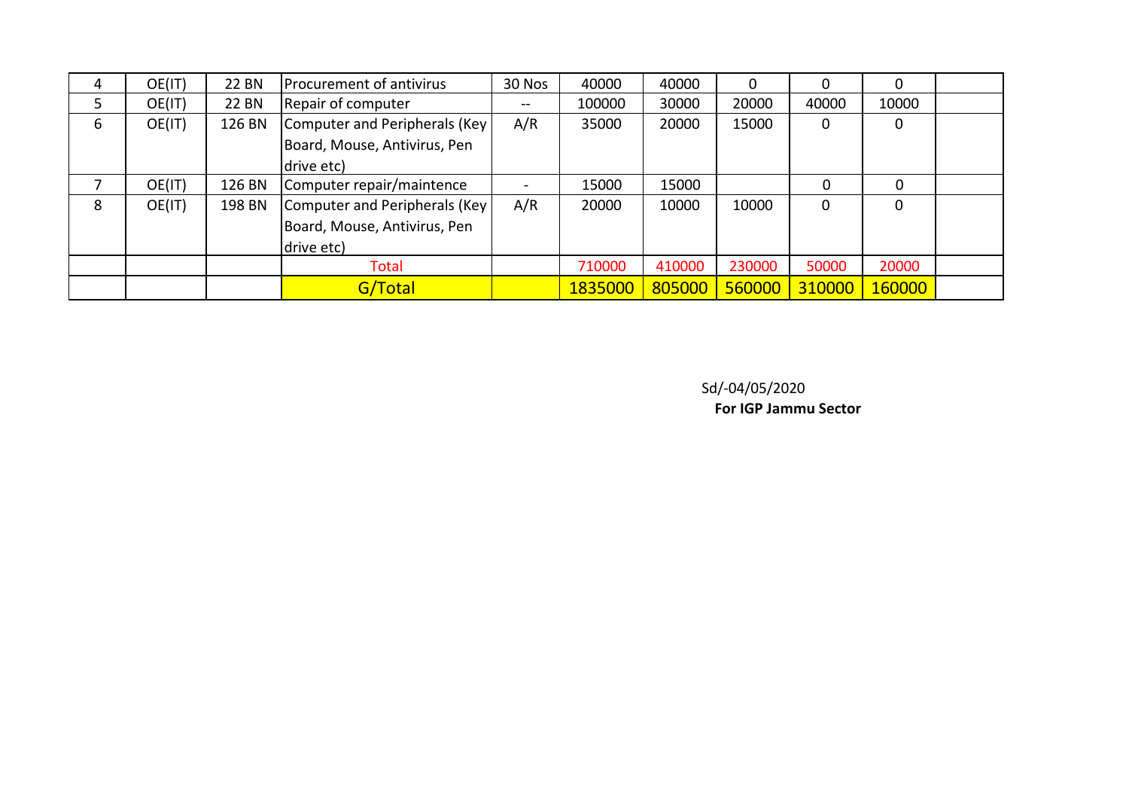| 4  | OE(IT) | <b>22 BN</b> | Procurement of antivirus       | 30 Nos        | 40000   | 40000  |        |          | 0      |  |
|----|--------|--------------|--------------------------------|---------------|---------|--------|--------|----------|--------|--|
| 5. | OE(IT) | <b>22 BN</b> | Repair of computer             | $\sim$ $\sim$ | 100000  | 30000  | 20000  | 40000    | 10000  |  |
| 6  | OE(IT) | 126 BN       | Computer and Peripherals (Key) | A/R           | 35000   | 20000  | 15000  | 0        | 0      |  |
|    |        |              | Board, Mouse, Antivirus, Pen   |               |         |        |        |          |        |  |
|    |        |              | drive etc)                     |               |         |        |        |          |        |  |
|    | OE(IT) | 126 BN       | Computer repair/maintence      |               | 15000   | 15000  |        | $\Omega$ | 0      |  |
| 8  | OE(IT) | 198 BN       | Computer and Peripherals (Key  | A/R           | 20000   | 10000  | 10000  | 0        | 0      |  |
|    |        |              | Board, Mouse, Antivirus, Pen   |               |         |        |        |          |        |  |
|    |        |              | drive etc)                     |               |         |        |        |          |        |  |
|    |        |              | Total                          |               | 710000  | 410000 | 230000 | 50000    | 20000  |  |
|    |        |              | G/Total                        |               | 1835000 | 805000 | 560000 | 310000   | 160000 |  |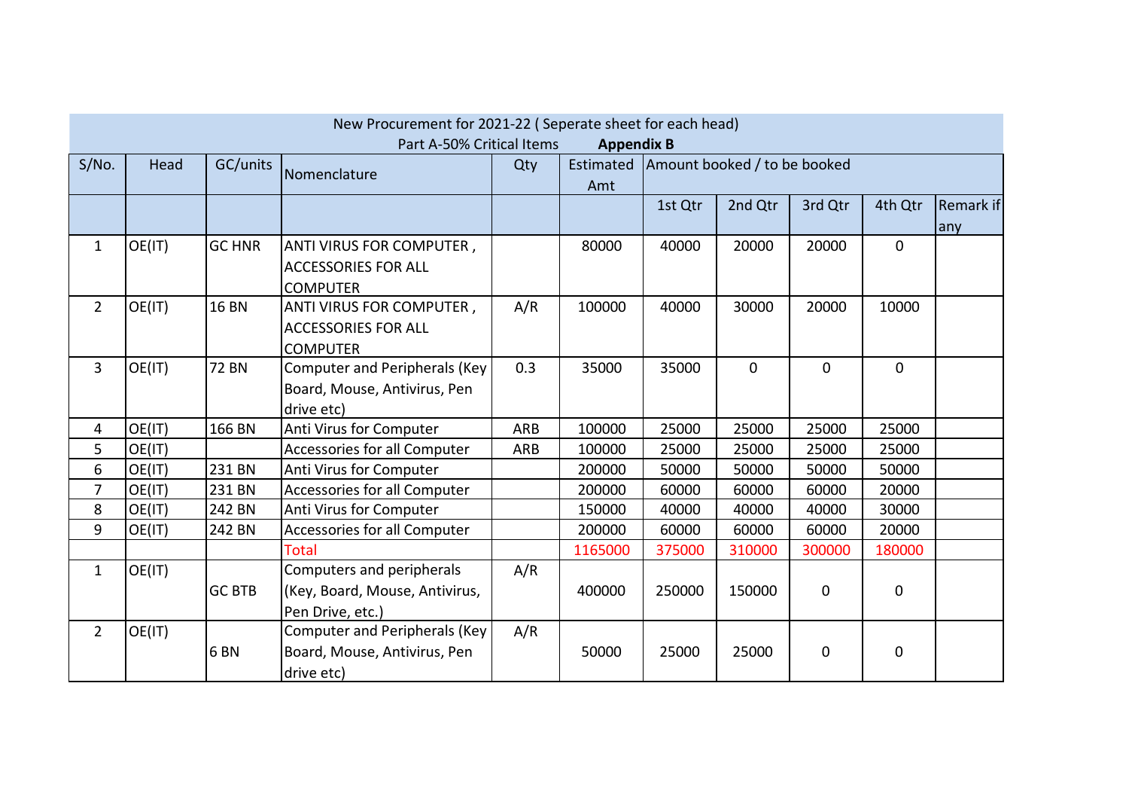|                |        |                 | New Procurement for 2021-22 (Seperate sheet for each head)<br>Part A-50% Critical Items |            | <b>Appendix B</b> |                              |              |              |             |                         |
|----------------|--------|-----------------|-----------------------------------------------------------------------------------------|------------|-------------------|------------------------------|--------------|--------------|-------------|-------------------------|
| S/No.          | Head   | GC/units        | Nomenclature                                                                            | Qty        | Estimated<br>Amt  | Amount booked / to be booked |              |              |             |                         |
|                |        |                 |                                                                                         |            |                   | 1st Qtr                      | 2nd Qtr      | 3rd Qtr      | 4th Qtr     | <b>Remark if</b><br>any |
| $\mathbf{1}$   | OE(IT) | <b>GC HNR</b>   | ANTI VIRUS FOR COMPUTER,<br><b>ACCESSORIES FOR ALL</b><br><b>COMPUTER</b>               |            | 80000             | 40000                        | 20000        | 20000        | $\mathbf 0$ |                         |
| $\overline{2}$ | OE(IT) | <b>16 BN</b>    | ANTI VIRUS FOR COMPUTER,<br><b>ACCESSORIES FOR ALL</b><br><b>COMPUTER</b>               | A/R        | 100000            | 40000                        | 30000        | 20000        | 10000       |                         |
| 3              | OE(IT) | <b>72 BN</b>    | <b>Computer and Peripherals (Key</b><br>Board, Mouse, Antivirus, Pen<br>drive etc)      | 0.3        | 35000             | 35000                        | $\mathbf{0}$ | $\mathbf{0}$ | $\mathbf 0$ |                         |
| 4              | OE(IT) | 166 BN          | Anti Virus for Computer                                                                 | ARB        | 100000            | 25000                        | 25000        | 25000        | 25000       |                         |
| 5              | OE(IT) |                 | <b>Accessories for all Computer</b>                                                     | <b>ARB</b> | 100000            | 25000                        | 25000        | 25000        | 25000       |                         |
| 6              | OE(IT) | 231 BN          | Anti Virus for Computer                                                                 |            | 200000            | 50000                        | 50000        | 50000        | 50000       |                         |
| 7              | OE(IT) | 231 BN          | Accessories for all Computer                                                            |            | 200000            | 60000                        | 60000        | 60000        | 20000       |                         |
| 8              | OE(IT) | 242 BN          | Anti Virus for Computer                                                                 |            | 150000            | 40000                        | 40000        | 40000        | 30000       |                         |
| 9              | OE(IT) | 242 BN          | Accessories for all Computer                                                            |            | 200000            | 60000                        | 60000        | 60000        | 20000       |                         |
|                |        |                 | <b>Total</b>                                                                            |            | 1165000           | 375000                       | 310000       | 300000       | 180000      |                         |
| $\mathbf{1}$   | OE(IT) | <b>GC BTB</b>   | Computers and peripherals<br>(Key, Board, Mouse, Antivirus,<br>Pen Drive, etc.)         | A/R        | 400000            | 250000                       | 150000       | $\mathbf 0$  | $\mathbf 0$ |                         |
| $\overline{2}$ | OE(IT) | 6 <sub>BN</sub> | Computer and Peripherals (Key<br>Board, Mouse, Antivirus, Pen<br>drive etc)             | A/R        | 50000             | 25000                        | 25000        | $\mathbf 0$  | 0           |                         |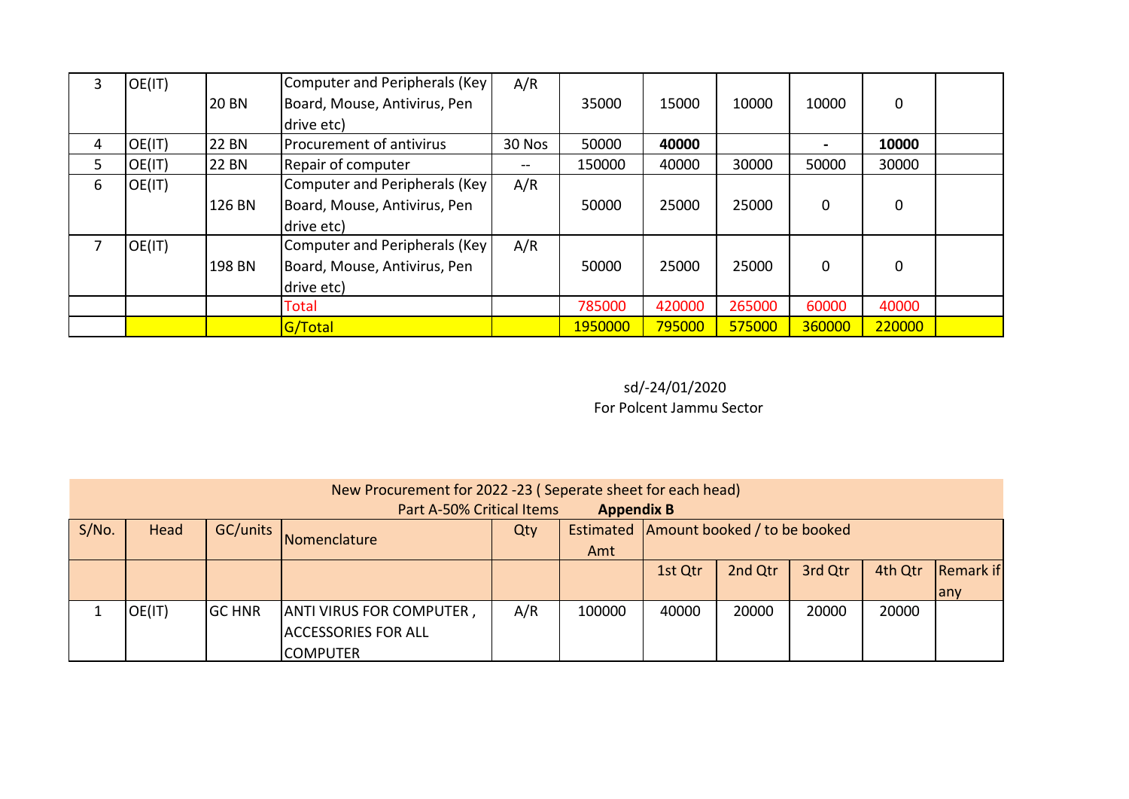| 3 | OE(IT) |              | Computer and Peripherals (Key  | A/R    |         |        |        |        |             |  |
|---|--------|--------------|--------------------------------|--------|---------|--------|--------|--------|-------------|--|
|   |        | <b>20 BN</b> | Board, Mouse, Antivirus, Pen   |        | 35000   | 15000  | 10000  | 10000  | 0           |  |
|   |        |              | drive etc)                     |        |         |        |        |        |             |  |
| 4 | OE(IT) | <b>22 BN</b> | Procurement of antivirus       | 30 Nos | 50000   | 40000  |        |        | 10000       |  |
| 5 | OE(IT) | <b>22 BN</b> | Repair of computer             | --     | 150000  | 40000  | 30000  | 50000  | 30000       |  |
| 6 | OE(IT) |              | Computer and Peripherals (Key  | A/R    |         |        |        |        |             |  |
|   |        | 126 BN       | Board, Mouse, Antivirus, Pen   |        | 50000   | 25000  | 25000  | 0      | $\mathbf 0$ |  |
|   |        |              | drive etc)                     |        |         |        |        |        |             |  |
|   | OE(IT) |              | Computer and Peripherals (Key) | A/R    |         |        |        |        |             |  |
|   |        | 198 BN       | Board, Mouse, Antivirus, Pen   |        | 50000   | 25000  | 25000  | 0      | $\mathbf 0$ |  |
|   |        |              | drive etc)                     |        |         |        |        |        |             |  |
|   |        |              | Total                          |        | 785000  | 420000 | 265000 | 60000  | 40000       |  |
|   |        |              | G/Total                        |        | 1950000 | 795000 | 575000 | 360000 | 220000      |  |

## For Polcent Jammu Sector sd/-24/01/2020

|       | New Procurement for 2022 -23 (Seperate sheet for each head)<br>Part A-50% Critical Items<br><b>Appendix B</b> |               |                                                                            |     |        |       |       |       |       |                   |
|-------|---------------------------------------------------------------------------------------------------------------|---------------|----------------------------------------------------------------------------|-----|--------|-------|-------|-------|-------|-------------------|
| S/No. | GC/units<br>Estimated Amount booked / to be booked<br>Head<br>Qty<br>Nomenclature<br>Amt                      |               |                                                                            |     |        |       |       |       |       |                   |
|       | 3rd Qtr<br>2nd Qtr<br>4th Qtr<br>1st Qtr                                                                      |               |                                                                            |     |        |       |       |       |       | Remark if<br>lany |
|       | OE(IT)                                                                                                        | <b>GC HNR</b> | <b>ANTI VIRUS FOR COMPUTER,</b><br><b>ACCESSORIES FOR ALL</b><br> COMPUTER | A/R | 100000 | 40000 | 20000 | 20000 | 20000 |                   |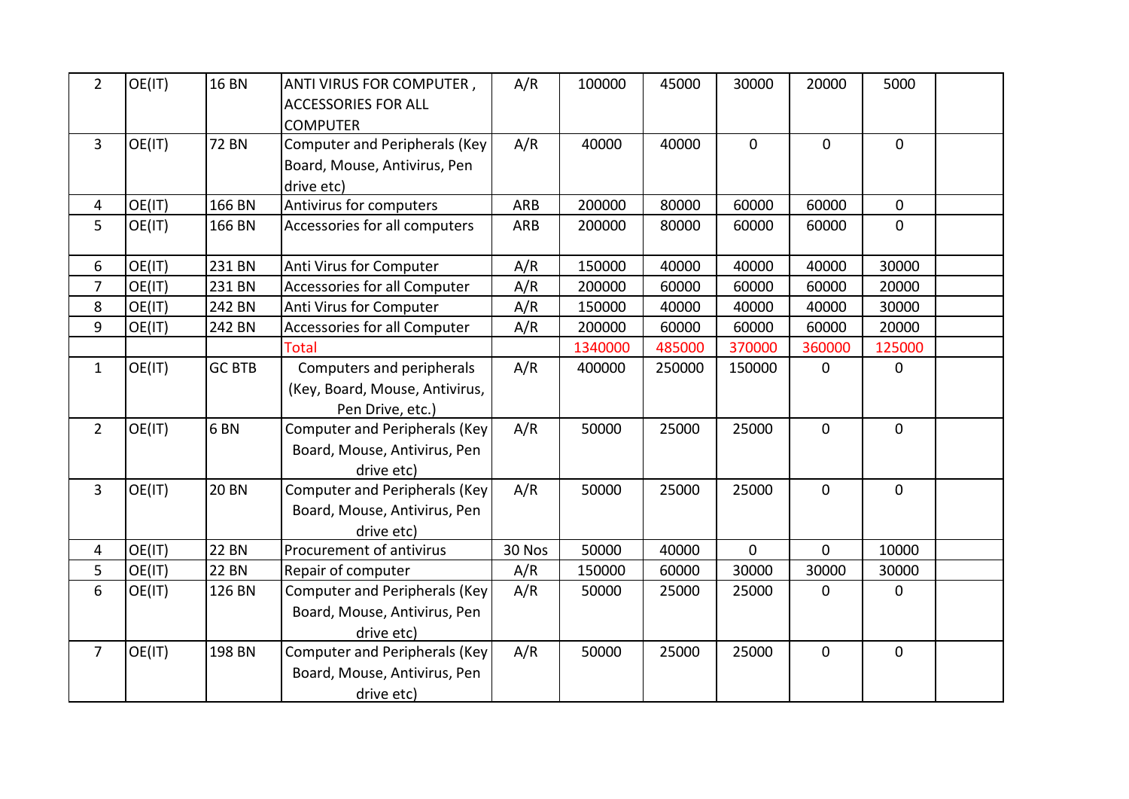| $2^{\circ}$    | OE(IT) | <b>16 BN</b>    | ANTI VIRUS FOR COMPUTER,<br><b>ACCESSORIES FOR ALL</b><br><b>COMPUTER</b>          | A/R        | 100000  | 45000  | 30000        | 20000          | 5000        |  |
|----------------|--------|-----------------|------------------------------------------------------------------------------------|------------|---------|--------|--------------|----------------|-------------|--|
| $\overline{3}$ | OE(IT) | <b>72 BN</b>    | <b>Computer and Peripherals (Key</b><br>Board, Mouse, Antivirus, Pen<br>drive etc) | A/R        | 40000   | 40000  | $\mathbf 0$  | $\mathbf 0$    | $\mathbf 0$ |  |
| 4              | OE(IT) | 166 BN          | Antivirus for computers                                                            | <b>ARB</b> | 200000  | 80000  | 60000        | 60000          | $\mathbf 0$ |  |
| 5              | OE(IT) | 166 BN          | Accessories for all computers                                                      | <b>ARB</b> | 200000  | 80000  | 60000        | 60000          | $\mathbf 0$ |  |
| 6              | OE(IT) | 231 BN          | Anti Virus for Computer                                                            | A/R        | 150000  | 40000  | 40000        | 40000          | 30000       |  |
| $\overline{7}$ | OE(IT) | 231 BN          | Accessories for all Computer                                                       | A/R        | 200000  | 60000  | 60000        | 60000          | 20000       |  |
| 8              | OE(IT) | 242 BN          | Anti Virus for Computer                                                            | A/R        | 150000  | 40000  | 40000        | 40000          | 30000       |  |
| 9              | OE(IT) | 242 BN          | Accessories for all Computer                                                       | A/R        | 200000  | 60000  | 60000        | 60000          | 20000       |  |
|                |        |                 | <b>Total</b>                                                                       |            | 1340000 | 485000 | 370000       | 360000         | 125000      |  |
| $\mathbf{1}$   | OE(IT) | <b>GC BTB</b>   | Computers and peripherals<br>(Key, Board, Mouse, Antivirus,<br>Pen Drive, etc.)    | A/R        | 400000  | 250000 | 150000       | $\mathbf 0$    | $\mathbf 0$ |  |
| $\overline{2}$ | OE(IT) | 6 <sub>BN</sub> | <b>Computer and Peripherals (Key</b><br>Board, Mouse, Antivirus, Pen<br>drive etc) | A/R        | 50000   | 25000  | 25000        | $\mathbf 0$    | $\mathbf 0$ |  |
| $\overline{3}$ | OE(IT) | <b>20 BN</b>    | <b>Computer and Peripherals (Key</b><br>Board, Mouse, Antivirus, Pen<br>drive etc) | A/R        | 50000   | 25000  | 25000        | $\mathbf 0$    | $\mathbf 0$ |  |
| 4              | OE(IT) | <b>22 BN</b>    | Procurement of antivirus                                                           | 30 Nos     | 50000   | 40000  | $\mathbf{0}$ | $\overline{0}$ | 10000       |  |
| 5              | OE(IT) | <b>22 BN</b>    | Repair of computer                                                                 | A/R        | 150000  | 60000  | 30000        | 30000          | 30000       |  |
| 6              | OE(IT) | 126 BN          | <b>Computer and Peripherals (Key</b><br>Board, Mouse, Antivirus, Pen<br>drive etc) | A/R        | 50000   | 25000  | 25000        | $\mathbf 0$    | 0           |  |
| $\overline{7}$ | OE(IT) | 198 BN          | <b>Computer and Peripherals (Key</b><br>Board, Mouse, Antivirus, Pen<br>drive etc) | A/R        | 50000   | 25000  | 25000        | $\mathbf 0$    | $\mathbf 0$ |  |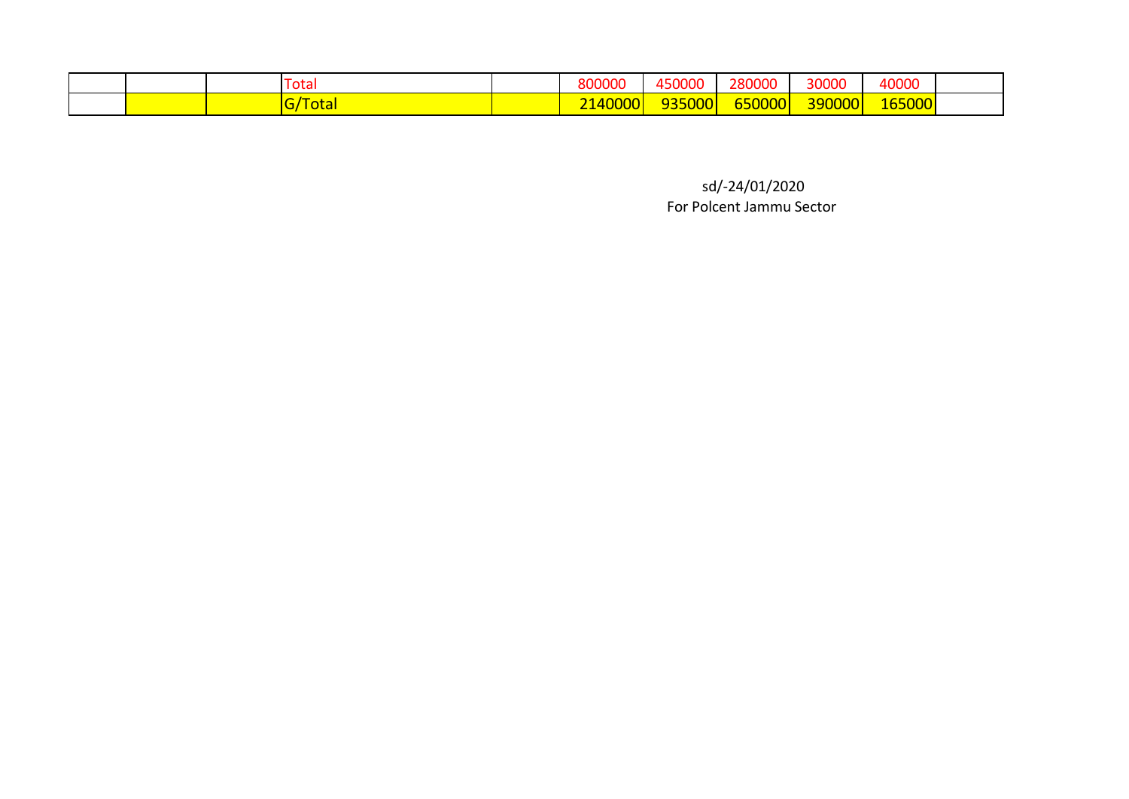|  | Fotal       | 800000              | 450000                 | 280000                             | 30000  | 40000  |  |
|--|-------------|---------------------|------------------------|------------------------------------|--------|--------|--|
|  | <u>otal</u> | <sup>™4UUU</sup> ∿. | $- - -$<br>5000<br>--- | $T$ $T$ $O$ $O$ $T$<br>650000<br>Ш | 390000 | 165000 |  |

For Polcent Jammu Sector sd/-24/01/2020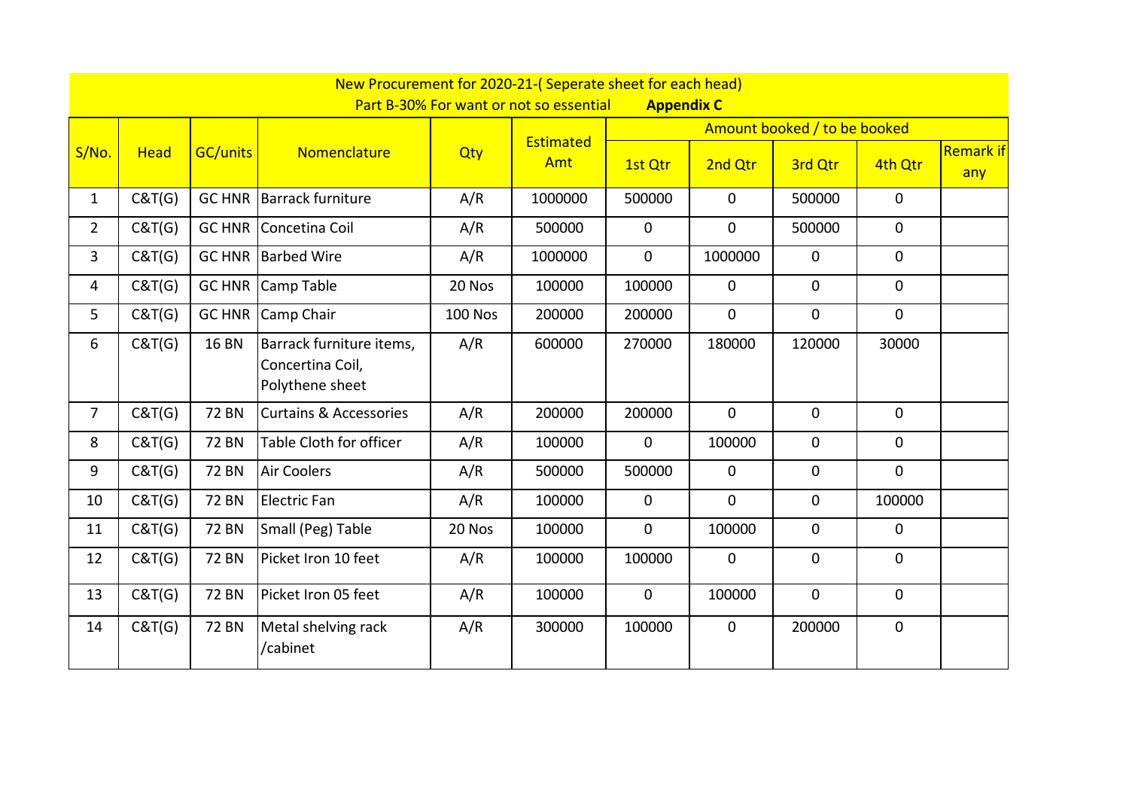|                |             |                 | New Procurement for 2020-21-(Seperate sheet for each head)      |                | Part B-30% For want or not so essential | <b>Appendix C</b> |              |                              |              |                         |
|----------------|-------------|-----------------|-----------------------------------------------------------------|----------------|-----------------------------------------|-------------------|--------------|------------------------------|--------------|-------------------------|
|                |             |                 |                                                                 |                |                                         |                   |              | Amount booked / to be booked |              |                         |
| S/No.          | <b>Head</b> | <b>GC/units</b> | Nomenclature                                                    | Qty            | Estimated<br>Amt                        | 1st Qtr           | 2nd Qtr      | 3rd Qtr                      | 4th Qtr      | <b>Remark if</b><br>any |
| $\mathbf{1}$   | C&T(G)      |                 | <b>GC HNR Barrack furniture</b>                                 | A/R            | 1000000                                 | 500000            | $\mathbf 0$  | 500000                       | $\mathbf 0$  |                         |
| $\overline{2}$ | C&T(G)      |                 | <b>GC HNR Concetina Coil</b>                                    | A/R            | 500000                                  | $\mathbf 0$       | $\mathbf{0}$ | 500000                       | $\mathbf 0$  |                         |
| 3              | C&T(G)      | GC HNR          | <b>Barbed Wire</b>                                              | A/R            | 1000000                                 | $\overline{0}$    | 1000000      | $\overline{0}$               | $\mathbf 0$  |                         |
| 4              | C&T(G)      |                 | <b>GC HNR Camp Table</b>                                        | 20 Nos         | 100000                                  | 100000            | $\mathbf 0$  | $\mathbf{0}$                 | $\mathbf 0$  |                         |
| 5              | C&T(G)      | <b>GC HNR</b>   | Camp Chair                                                      | <b>100 Nos</b> | 200000                                  | 200000            | $\mathbf{0}$ | $\overline{0}$               | $\mathbf{0}$ |                         |
| 6              | C&T(G)      | <b>16 BN</b>    | Barrack furniture items,<br>Concertina Coil,<br>Polythene sheet | A/R            | 600000                                  | 270000            | 180000       | 120000                       | 30000        |                         |
| 7              | C&T(G)      | <b>72 BN</b>    | <b>Curtains &amp; Accessories</b>                               | A/R            | 200000                                  | 200000            | $\mathbf 0$  | $\mathbf 0$                  | $\mathbf{0}$ |                         |
| 8              | C&T(G)      | <b>72 BN</b>    | Table Cloth for officer                                         | A/R            | 100000                                  | $\overline{0}$    | 100000       | $\mathbf{0}$                 | $\mathbf{0}$ |                         |
| 9              | C&T(G)      | <b>72 BN</b>    | <b>Air Coolers</b>                                              | A/R            | 500000                                  | 500000            | $\mathbf 0$  | $\mathbf{0}$                 | $\mathbf{0}$ |                         |
| 10             | C&T(G)      | <b>72 BN</b>    | <b>Electric Fan</b>                                             | A/R            | 100000                                  | $\mathbf 0$       | $\mathbf 0$  | $\mathbf 0$                  | 100000       |                         |
| 11             | C&T(G)      | <b>72 BN</b>    | Small (Peg) Table                                               | 20 Nos         | 100000                                  | $\overline{0}$    | 100000       | $\mathbf 0$                  | $\mathbf{0}$ |                         |
| 12             | C&T(G)      | <b>72 BN</b>    | Picket Iron 10 feet                                             | A/R            | 100000                                  | 100000            | $\mathbf 0$  | $\overline{0}$               | $\Omega$     |                         |
| 13             | C&T(G)      | <b>72 BN</b>    | Picket Iron 05 feet                                             | A/R            | 100000                                  | $\overline{0}$    | 100000       | $\mathbf 0$                  | $\mathbf 0$  |                         |
| 14             | C&T(G)      | <b>72 BN</b>    | Metal shelving rack<br>/cabinet                                 | A/R            | 300000                                  | 100000            | $\mathbf 0$  | 200000                       | $\mathbf 0$  |                         |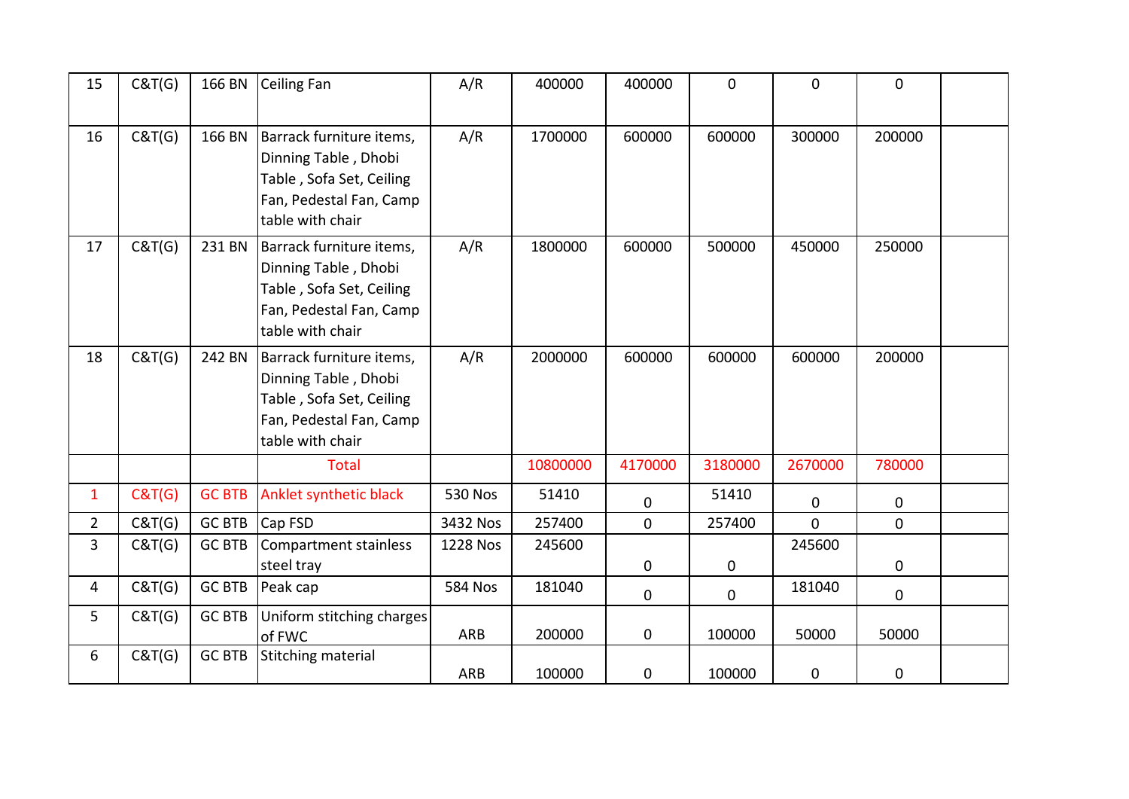| 15             | C&T(G) | 166 BN        | <b>Ceiling Fan</b>                                                                                                          | A/R            | 400000   | 400000      | $\mathbf 0$ | $\mathbf{0}$ | $\mathbf 0$ |  |
|----------------|--------|---------------|-----------------------------------------------------------------------------------------------------------------------------|----------------|----------|-------------|-------------|--------------|-------------|--|
| 16             | C&T(G) | 166 BN        | Barrack furniture items,<br>Dinning Table, Dhobi<br>Table, Sofa Set, Ceiling<br>Fan, Pedestal Fan, Camp<br>table with chair | A/R            | 1700000  | 600000      | 600000      | 300000       | 200000      |  |
| 17             | C&T(G) | 231 BN        | Barrack furniture items,<br>Dinning Table, Dhobi<br>Table, Sofa Set, Ceiling<br>Fan, Pedestal Fan, Camp<br>table with chair | A/R            | 1800000  | 600000      | 500000      | 450000       | 250000      |  |
| 18             | C&T(G) | 242 BN        | Barrack furniture items,<br>Dinning Table, Dhobi<br>Table, Sofa Set, Ceiling<br>Fan, Pedestal Fan, Camp<br>table with chair | A/R            | 2000000  | 600000      | 600000      | 600000       | 200000      |  |
|                |        |               | <b>Total</b>                                                                                                                |                | 10800000 | 4170000     | 3180000     | 2670000      | 780000      |  |
| $\mathbf{1}$   | C&T(G) | <b>GC BTB</b> | Anklet synthetic black                                                                                                      | <b>530 Nos</b> | 51410    | $\mathbf 0$ | 51410       | $\mathbf 0$  | $\mathbf 0$ |  |
| $2^{\circ}$    | C&T(G) | <b>GC BTB</b> | Cap FSD                                                                                                                     | 3432 Nos       | 257400   | $\mathbf 0$ | 257400      | $\Omega$     | $\mathbf 0$ |  |
| 3              | C&T(G) | <b>GC BTB</b> | <b>Compartment stainless</b>                                                                                                | 1228 Nos       | 245600   |             |             | 245600       |             |  |
|                |        |               | steel tray                                                                                                                  |                |          | $\mathbf 0$ | $\mathbf 0$ |              | $\mathbf 0$ |  |
| $\overline{4}$ | C&T(G) | <b>GC BTB</b> | Peak cap                                                                                                                    | <b>584 Nos</b> | 181040   | $\mathbf 0$ | $\mathbf 0$ | 181040       | $\mathbf 0$ |  |
| 5              | C&T(G) | <b>GC BTB</b> | Uniform stitching charges<br>of FWC                                                                                         | <b>ARB</b>     | 200000   | $\mathbf 0$ | 100000      | 50000        | 50000       |  |
| 6              | C&T(G) | <b>GC BTB</b> | <b>Stitching material</b>                                                                                                   | ARB            | 100000   | 0           | 100000      | 0            | 0           |  |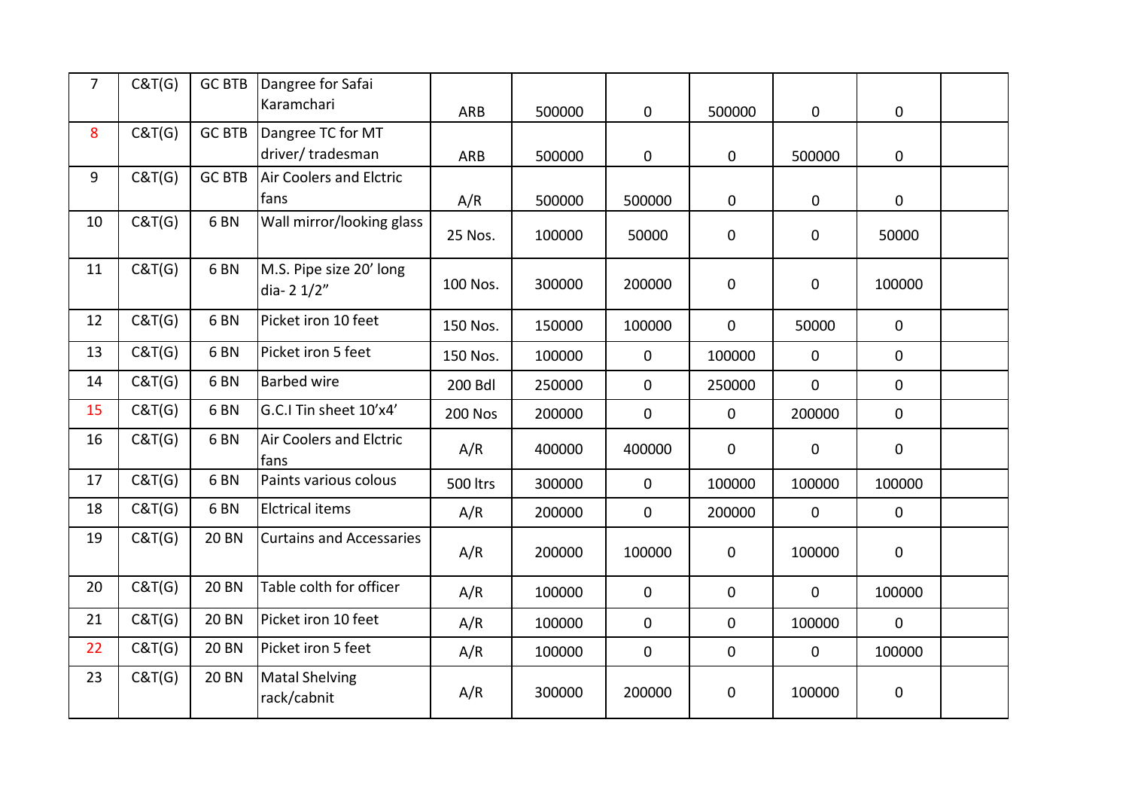| $\overline{7}$ | C&T(G) | <b>GC BTB</b>   | Dangree for Safai<br>Karamchari       |                |        |              |                  |                  |             |  |
|----------------|--------|-----------------|---------------------------------------|----------------|--------|--------------|------------------|------------------|-------------|--|
|                |        |                 |                                       | ARB            | 500000 | $\mathbf 0$  | 500000           | $\mathbf 0$      | $\pmb{0}$   |  |
| 8              | C&T(G) | <b>GC BTB</b>   | Dangree TC for MT<br>driver/tradesman | <b>ARB</b>     | 500000 | $\mathbf 0$  | $\mathbf 0$      | 500000           | $\mathbf 0$ |  |
| 9              | C&T(G) | <b>GC BTB</b>   | <b>Air Coolers and Elctric</b>        |                |        |              |                  |                  |             |  |
|                |        |                 | fans                                  | A/R            | 500000 | 500000       | 0                | $\mathbf 0$      | $\mathbf 0$ |  |
| 10             | C&T(G) | 6 <sub>BN</sub> | Wall mirror/looking glass             | 25 Nos.        | 100000 | 50000        | $\boldsymbol{0}$ | $\mathbf 0$      | 50000       |  |
| 11             | C&T(G) | 6 <sub>BN</sub> | M.S. Pipe size 20' long<br>dia-21/2"  | 100 Nos.       | 300000 | 200000       | $\mathbf 0$      | $\boldsymbol{0}$ | 100000      |  |
| 12             | C&T(G) | 6 <sub>BN</sub> | Picket iron 10 feet                   | 150 Nos.       | 150000 | 100000       | $\mathbf 0$      | 50000            | $\mathbf 0$ |  |
| 13             | C&T(G) | 6 <sub>BN</sub> | Picket iron 5 feet                    | 150 Nos.       | 100000 | $\mathbf 0$  | 100000           | $\mathbf 0$      | $\mathbf 0$ |  |
| 14             | C&T(G) | 6 <sub>BN</sub> | <b>Barbed wire</b>                    | <b>200 Bdl</b> | 250000 | $\mathbf{0}$ | 250000           | $\overline{0}$   | $\mathbf 0$ |  |
| 15             | C&T(G) | 6 <sub>BN</sub> | G.C.I Tin sheet 10'x4'                | <b>200 Nos</b> | 200000 | 0            | $\mathbf 0$      | 200000           | $\mathbf 0$ |  |
| 16             | C&T(G) | 6 <sub>BN</sub> | Air Coolers and Elctric<br>fans       | A/R            | 400000 | 400000       | $\mathbf 0$      | 0                | $\mathbf 0$ |  |
| 17             | C&T(G) | 6 <sub>BN</sub> | Paints various colous                 | 500 ltrs       | 300000 | $\mathbf 0$  | 100000           | 100000           | 100000      |  |
| 18             | C&T(G) | 6 <sub>BN</sub> | <b>Elctrical items</b>                | A/R            | 200000 | $\mathbf{0}$ | 200000           | $\mathbf 0$      | $\mathbf 0$ |  |
| 19             | C&T(G) | <b>20 BN</b>    | <b>Curtains and Accessaries</b>       | A/R            | 200000 | 100000       | $\mathbf 0$      | 100000           | $\mathbf 0$ |  |
| 20             | C&T(G) | <b>20 BN</b>    | Table colth for officer               | A/R            | 100000 | $\mathbf 0$  | $\mathbf 0$      | 0                | 100000      |  |
| 21             | C&T(G) | <b>20 BN</b>    | Picket iron 10 feet                   | A/R            | 100000 | $\mathbf 0$  | $\mathbf 0$      | 100000           | $\mathbf 0$ |  |
| 22             | C&T(G) | <b>20 BN</b>    | Picket iron 5 feet                    | A/R            | 100000 | $\mathbf 0$  | $\mathbf 0$      | $\mathbf 0$      | 100000      |  |
| 23             | C&T(G) | <b>20 BN</b>    | <b>Matal Shelving</b><br>rack/cabnit  | A/R            | 300000 | 200000       | $\boldsymbol{0}$ | 100000           | $\pmb{0}$   |  |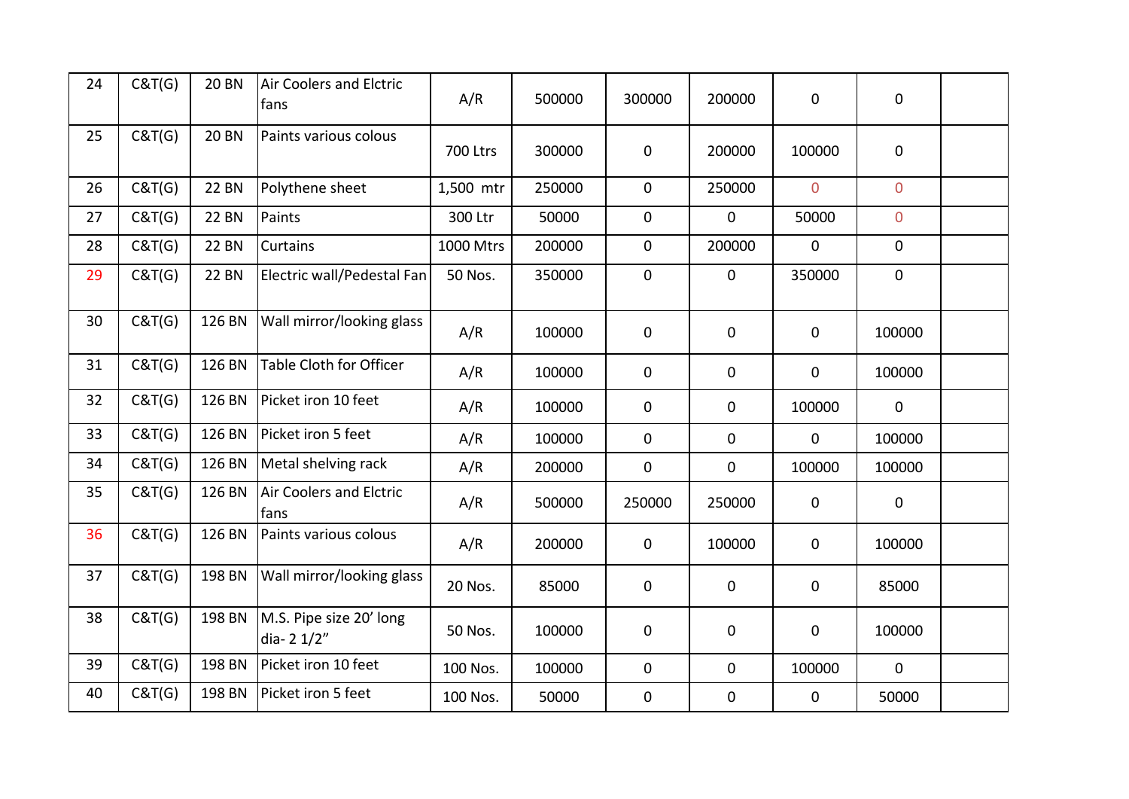| 24 | C&T(G) | <b>20 BN</b> | <b>Air Coolers and Elctric</b><br>fans | A/R             | 500000 | 300000      | 200000       | $\mathbf 0$      | $\mathbf 0$    |  |
|----|--------|--------------|----------------------------------------|-----------------|--------|-------------|--------------|------------------|----------------|--|
| 25 | C&T(G) | <b>20 BN</b> | Paints various colous                  | <b>700 Ltrs</b> | 300000 | $\mathbf 0$ | 200000       | 100000           | $\mathbf 0$    |  |
| 26 | C&T(G) | <b>22 BN</b> | Polythene sheet                        | 1,500 mtr       | 250000 | $\mathbf 0$ | 250000       | $\overline{0}$   | $\overline{0}$ |  |
| 27 | C&T(G) | <b>22 BN</b> | Paints                                 | 300 Ltr         | 50000  | $\mathbf 0$ | $\mathbf{0}$ | 50000            | $\overline{0}$ |  |
| 28 | C&T(G) | <b>22 BN</b> | Curtains                               | 1000 Mtrs       | 200000 | $\mathbf 0$ | 200000       | $\mathbf 0$      | $\mathbf 0$    |  |
| 29 | C&T(G) | <b>22 BN</b> | Electric wall/Pedestal Fan             | 50 Nos.         | 350000 | $\mathbf 0$ | $\mathbf 0$  | 350000           | $\mathbf 0$    |  |
| 30 | C&T(G) | 126 BN       | Wall mirror/looking glass              | A/R             | 100000 | 0           | $\mathbf 0$  | $\mathbf 0$      | 100000         |  |
| 31 | C&T(G) | 126 BN       | <b>Table Cloth for Officer</b>         | A/R             | 100000 | $\mathbf 0$ | $\mathbf 0$  | $\mathbf 0$      | 100000         |  |
| 32 | C&T(G) | 126 BN       | Picket iron 10 feet                    | A/R             | 100000 | $\mathbf 0$ | 0            | 100000           | $\mathbf 0$    |  |
| 33 | C&T(G) | 126 BN       | Picket iron 5 feet                     | A/R             | 100000 | $\mathbf 0$ | 0            | $\mathbf 0$      | 100000         |  |
| 34 | C&T(G) | 126 BN       | Metal shelving rack                    | A/R             | 200000 | $\mathbf 0$ | 0            | 100000           | 100000         |  |
| 35 | C&T(G) | 126 BN       | Air Coolers and Elctric<br>fans        | A/R             | 500000 | 250000      | 250000       | $\mathbf 0$      | $\mathbf 0$    |  |
| 36 | C&T(G) | 126 BN       | Paints various colous                  | A/R             | 200000 | $\mathbf 0$ | 100000       | $\boldsymbol{0}$ | 100000         |  |
| 37 | C&T(G) | 198 BN       | Wall mirror/looking glass              | 20 Nos.         | 85000  | $\mathbf 0$ | $\mathbf 0$  | $\mathbf 0$      | 85000          |  |
| 38 | C&T(G) | 198 BN       | M.S. Pipe size 20' long<br>dia-21/2"   | 50 Nos.         | 100000 | $\mathbf 0$ | 0            | $\mathbf 0$      | 100000         |  |
| 39 | C&T(G) | 198 BN       | Picket iron 10 feet                    | 100 Nos.        | 100000 | $\mathbf 0$ | $\pmb{0}$    | 100000           | $\mathbf 0$    |  |
| 40 | C&T(G) | 198 BN       | Picket iron 5 feet                     | 100 Nos.        | 50000  | $\mathbf 0$ | 0            | $\mathbf 0$      | 50000          |  |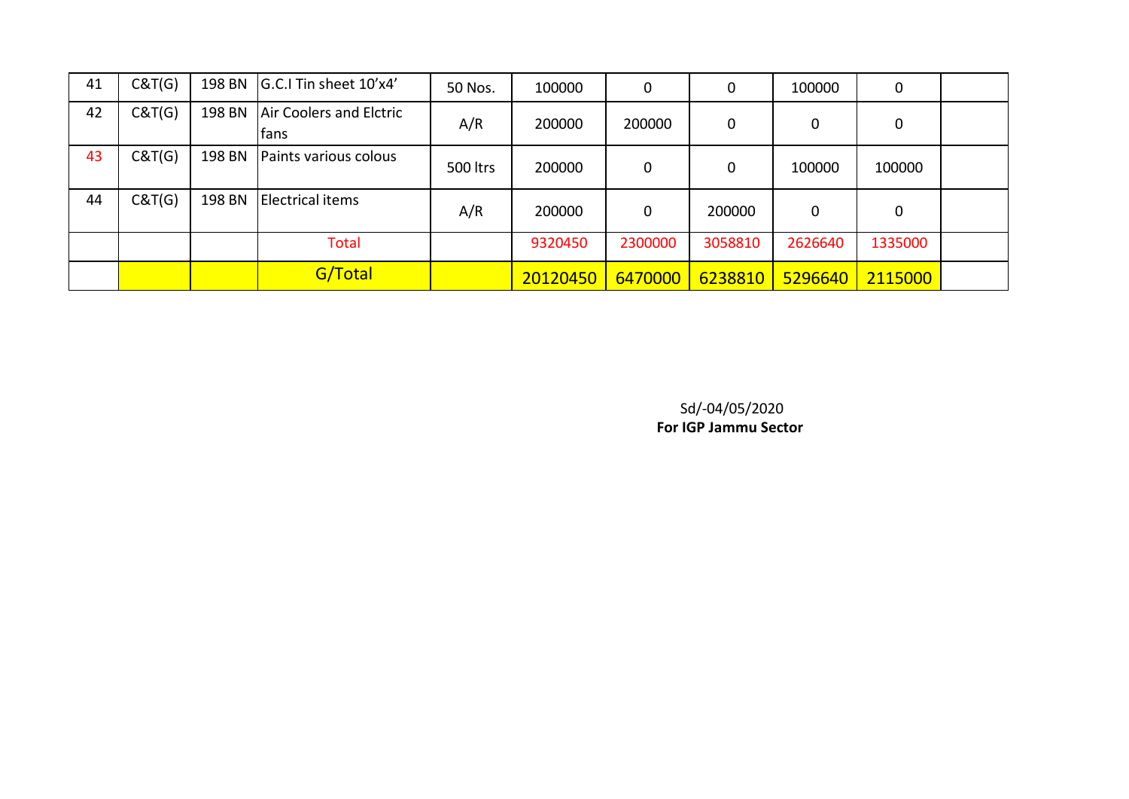| 41 | C&T(G) | 198 BN | G.C.I Tin sheet 10'x4'                 | 50 Nos.  | 100000   | 0           | 0       | 100000      | 0       |  |
|----|--------|--------|----------------------------------------|----------|----------|-------------|---------|-------------|---------|--|
| 42 | C&T(G) | 198 BN | Air Coolers and Elctric<br><b>fans</b> | A/R      | 200000   | 200000      | 0       | 0           | 0       |  |
| 43 | C&T(G) | 198 BN | Paints various colous                  | 500 ltrs | 200000   | $\mathbf 0$ | 0       | 100000      | 100000  |  |
| 44 | C&T(G) | 198 BN | <b>Electrical items</b>                | A/R      | 200000   | 0           | 200000  | $\mathbf 0$ | 0       |  |
|    |        |        | <b>Total</b>                           |          | 9320450  | 2300000     | 3058810 | 2626640     | 1335000 |  |
|    |        |        | G/Total                                |          | 20120450 | 6470000     | 6238810 | 5296640     | 2115000 |  |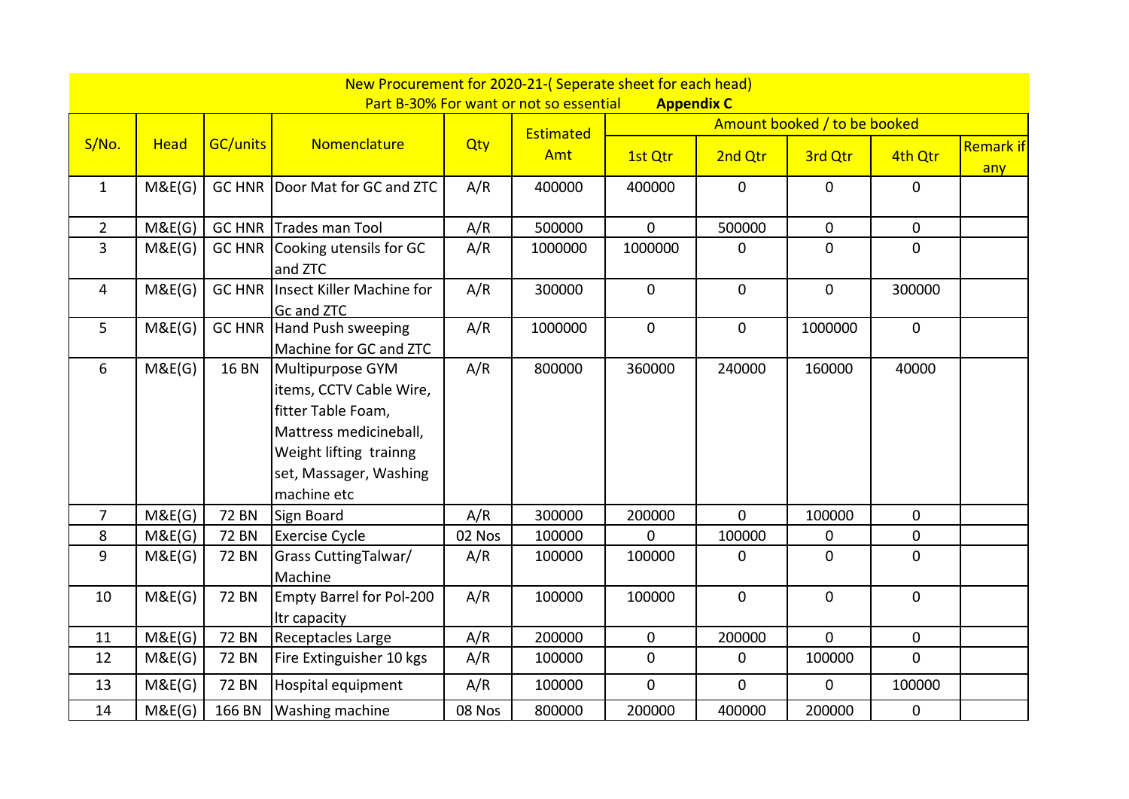|                |             |                 | New Procurement for 2020-21-(Seperate sheet for each head)                                                                                                     |        |                                         |                   |              |                              |             |                         |
|----------------|-------------|-----------------|----------------------------------------------------------------------------------------------------------------------------------------------------------------|--------|-----------------------------------------|-------------------|--------------|------------------------------|-------------|-------------------------|
|                |             |                 |                                                                                                                                                                |        | Part B-30% For want or not so essential | <b>Appendix C</b> |              |                              |             |                         |
|                |             |                 |                                                                                                                                                                |        | Estimated                               |                   |              | Amount booked / to be booked |             |                         |
| S/No.          | <b>Head</b> | <b>GC/units</b> | Nomenclature                                                                                                                                                   | Qty    | Amt                                     | 1st Qtr           | 2nd Qtr      | 3rd Qtr                      | 4th Qtr     | <b>Remark if</b><br>any |
| $\mathbf{1}$   | M&E(G)      |                 | GC HNR   Door Mat for GC and ZTC                                                                                                                               | A/R    | 400000                                  | 400000            | $\mathbf 0$  | 0                            | 0           |                         |
| $\overline{2}$ | M&E(G)      |                 | <b>GC HNR Trades man Tool</b>                                                                                                                                  | A/R    | 500000                                  | $\overline{0}$    | 500000       | $\overline{0}$               | $\mathbf 0$ |                         |
| $\overline{3}$ | M&E(G)      | <b>GC HNR</b>   | Cooking utensils for GC<br>and ZTC                                                                                                                             | A/R    | 1000000                                 | 1000000           | 0            | $\overline{0}$               | 0           |                         |
| 4              | M&E(G)      | <b>GC HNR</b>   | Insect Killer Machine for<br>Gc and ZTC                                                                                                                        | A/R    | 300000                                  | $\mathbf 0$       | $\pmb{0}$    | $\overline{0}$               | 300000      |                         |
| 5              | M&E(G)      | <b>GC HNR</b>   | Hand Push sweeping<br>Machine for GC and ZTC                                                                                                                   | A/R    | 1000000                                 | $\mathbf 0$       | $\pmb{0}$    | 1000000                      | $\mathbf 0$ |                         |
| 6              | M&E(G)      | <b>16 BN</b>    | Multipurpose GYM<br>items, CCTV Cable Wire,<br>fitter Table Foam,<br>Mattress medicineball,<br>Weight lifting trainng<br>set, Massager, Washing<br>machine etc | A/R    | 800000                                  | 360000            | 240000       | 160000                       | 40000       |                         |
| $\overline{7}$ | M&E(G)      | <b>72 BN</b>    | Sign Board                                                                                                                                                     | A/R    | 300000                                  | 200000            | $\mathbf 0$  | 100000                       | 0           |                         |
| 8              | M&E(G)      | <b>72 BN</b>    | <b>Exercise Cycle</b>                                                                                                                                          | 02 Nos | 100000                                  | $\overline{0}$    | 100000       | 0                            | $\mathbf 0$ |                         |
| 9              | M&E(G)      | <b>72 BN</b>    | <b>Grass CuttingTalwar/</b><br>Machine                                                                                                                         | A/R    | 100000                                  | 100000            | 0            | $\overline{0}$               | 0           |                         |
| 10             | M&E(G)      | <b>72 BN</b>    | Empty Barrel for Pol-200<br>Itr capacity                                                                                                                       | A/R    | 100000                                  | 100000            | $\mathbf{0}$ | $\overline{0}$               | $\mathbf 0$ |                         |
| 11             | M&E(G)      | <b>72 BN</b>    | Receptacles Large                                                                                                                                              | A/R    | 200000                                  | $\mathbf 0$       | 200000       | $\overline{0}$               | $\mathbf 0$ |                         |
| 12             | M&E(G)      | <b>72 BN</b>    | Fire Extinguisher 10 kgs                                                                                                                                       | A/R    | 100000                                  | $\mathbf 0$       | $\mathbf 0$  | 100000                       | $\mathbf 0$ |                         |
| 13             | M&E(G)      | <b>72 BN</b>    | Hospital equipment                                                                                                                                             | A/R    | 100000                                  | $\overline{0}$    | $\mathbf{0}$ | $\overline{0}$               | 100000      |                         |
| 14             | M&E(G)      | 166 BN          | <b>Washing machine</b>                                                                                                                                         | 08 Nos | 800000                                  | 200000            | 400000       | 200000                       | $\pmb{0}$   |                         |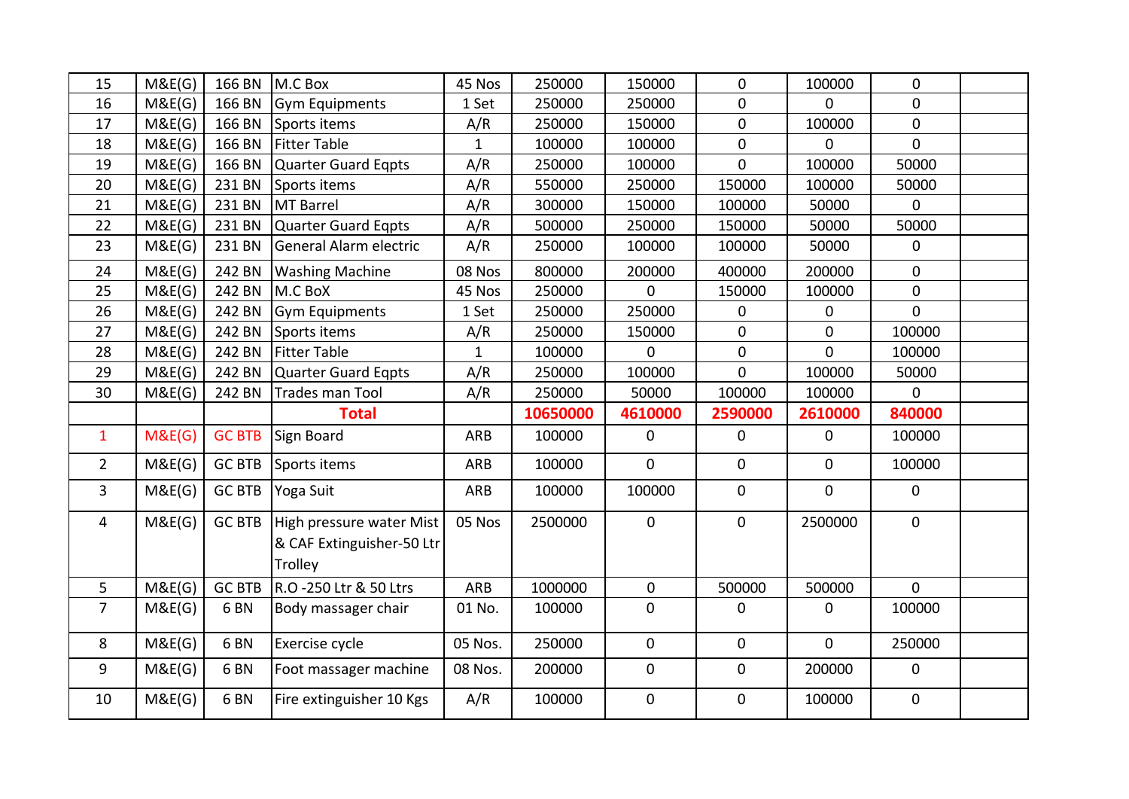| 15             | M&E(G) | 166 BN          | M.C Box                                                          | 45 Nos       | 250000   | 150000      | $\mathbf 0$    | 100000         | $\mathbf 0$    |  |
|----------------|--------|-----------------|------------------------------------------------------------------|--------------|----------|-------------|----------------|----------------|----------------|--|
| 16             | M&E(G) | 166 BN          | <b>Gym Equipments</b>                                            | 1 Set        | 250000   | 250000      | $\mathbf 0$    | $\overline{0}$ | $\mathbf{0}$   |  |
| 17             | M&E(G) | 166 BN          | Sports items                                                     | A/R          | 250000   | 150000      | $\mathbf 0$    | 100000         | $\mathbf 0$    |  |
| 18             | M&E(G) | 166 BN          | <b>Fitter Table</b>                                              | $\mathbf{1}$ | 100000   | 100000      | $\mathbf 0$    | $\mathbf 0$    | $\mathbf 0$    |  |
| 19             | M&E(G) | 166 BN          | Quarter Guard Eqpts                                              | A/R          | 250000   | 100000      | $\overline{0}$ | 100000         | 50000          |  |
| 20             | M&E(G) | 231 BN          | Sports items                                                     | A/R          | 550000   | 250000      | 150000         | 100000         | 50000          |  |
| 21             | M&E(G) | 231 BN          | MT Barrel                                                        | A/R          | 300000   | 150000      | 100000         | 50000          | $\mathbf 0$    |  |
| 22             | M&E(G) | 231 BN          | Quarter Guard Eqpts                                              | A/R          | 500000   | 250000      | 150000         | 50000          | 50000          |  |
| 23             | M&E(G) | 231 BN          | General Alarm electric                                           | A/R          | 250000   | 100000      | 100000         | 50000          | $\mathbf 0$    |  |
| 24             | M&E(G) | 242 BN          | <b>Washing Machine</b>                                           | 08 Nos       | 800000   | 200000      | 400000         | 200000         | $\mathbf 0$    |  |
| 25             | M&E(G) | 242 BN          | M.C BoX                                                          | 45 Nos       | 250000   | 0           | 150000         | 100000         | $\overline{0}$ |  |
| 26             | M&E(G) | 242 BN          | Gym Equipments                                                   | 1 Set        | 250000   | 250000      | $\mathbf 0$    | $\mathbf 0$    | $\Omega$       |  |
| 27             | M&E(G) | 242 BN          | Sports items                                                     | A/R          | 250000   | 150000      | $\mathbf 0$    | $\mathbf 0$    | 100000         |  |
| 28             | M&E(G) | 242 BN          | <b>Fitter Table</b>                                              | $\mathbf{1}$ | 100000   | $\mathbf 0$ | $\mathbf 0$    | $\overline{0}$ | 100000         |  |
| 29             | M&E(G) | 242 BN          | Quarter Guard Eqpts                                              | A/R          | 250000   | 100000      | $\overline{0}$ | 100000         | 50000          |  |
| 30             | M&E(G) | 242 BN          | Trades man Tool                                                  | A/R          | 250000   | 50000       | 100000         | 100000         | $\mathbf 0$    |  |
|                |        |                 |                                                                  |              |          |             |                |                |                |  |
|                |        |                 | <b>Total</b>                                                     |              | 10650000 | 4610000     | 2590000        | 2610000        | 840000         |  |
| $\mathbf{1}$   | M&E(G) | <b>GC BTB</b>   | Sign Board                                                       | ARB          | 100000   | $\mathbf 0$ | 0              | $\overline{0}$ | 100000         |  |
| $\overline{2}$ | M&E(G) | <b>GC BTB</b>   | Sports items                                                     | <b>ARB</b>   | 100000   | $\mathbf 0$ | $\mathbf 0$    | $\mathbf 0$    | 100000         |  |
| $\overline{3}$ | M&E(G) | <b>GC BTB</b>   | Yoga Suit                                                        | ARB          | 100000   | 100000      | 0              | $\overline{0}$ | 0              |  |
| 4              | M&E(G) | <b>GC BTB</b>   | High pressure water Mist<br>& CAF Extinguisher-50 Ltr<br>Trolley | 05 Nos       | 2500000  | $\pmb{0}$   | $\mathbf 0$    | 2500000        | $\mathbf 0$    |  |
| 5              | M&E(G) | <b>GC BTB</b>   | R.O -250 Ltr & 50 Ltrs                                           | ARB          | 1000000  | $\mathbf 0$ | 500000         | 500000         | $\mathbf 0$    |  |
| $\overline{7}$ | M&E(G) | 6 <sub>BN</sub> | Body massager chair                                              | 01 No.       | 100000   | $\mathbf 0$ | $\pmb{0}$      | $\mathbf 0$    | 100000         |  |
| 8              | M&E(G) | 6 <sub>BN</sub> | Exercise cycle                                                   | 05 Nos.      | 250000   | $\mathbf 0$ | $\mathbf 0$    | $\overline{0}$ | 250000         |  |
| 9              | M&E(G) | 6 <sub>BN</sub> | Foot massager machine                                            | 08 Nos.      | 200000   | $\mathbf 0$ | 0              | 200000         | $\mathbf 0$    |  |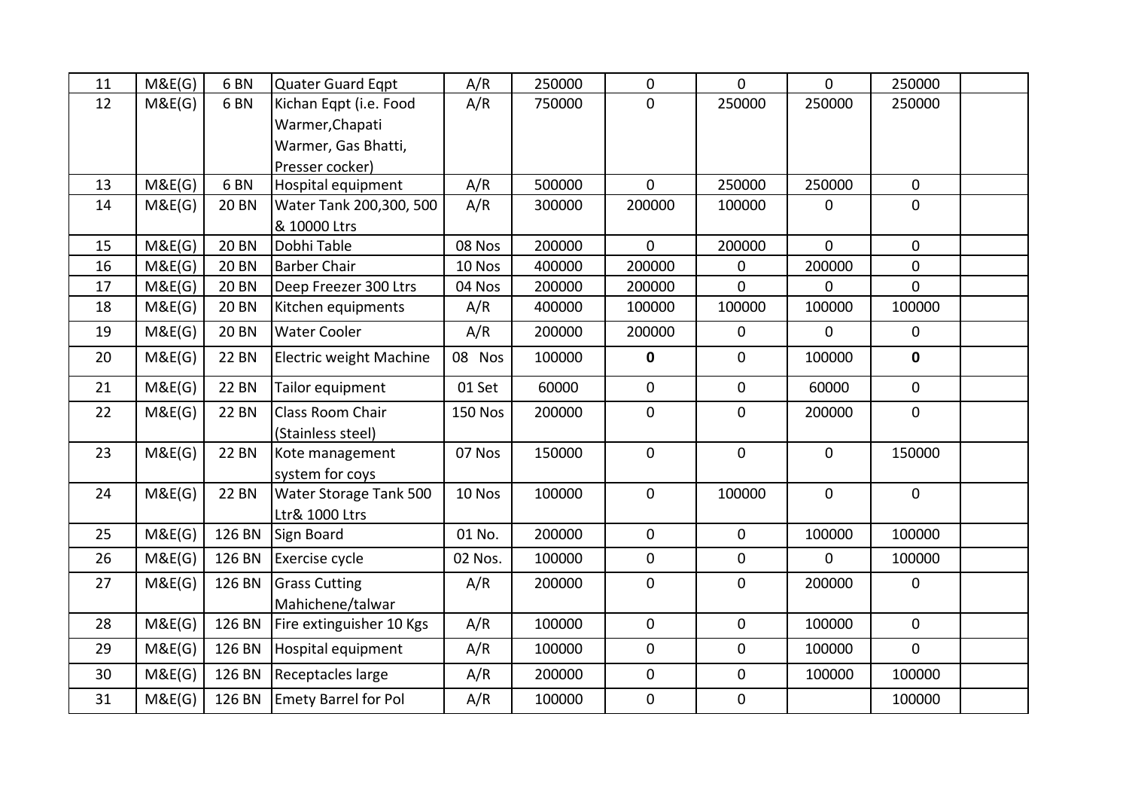| 11 | M&E(G) | 6 <sub>BN</sub> | <b>Quater Guard Egpt</b>    | A/R            | 250000 | $\mathbf 0$    | 0              | 0              | 250000       |  |
|----|--------|-----------------|-----------------------------|----------------|--------|----------------|----------------|----------------|--------------|--|
| 12 | M&E(G) | 6 <sub>BN</sub> | Kichan Eqpt (i.e. Food      | A/R            | 750000 | $\mathbf 0$    | 250000         | 250000         | 250000       |  |
|    |        |                 | Warmer, Chapati             |                |        |                |                |                |              |  |
|    |        |                 | Warmer, Gas Bhatti,         |                |        |                |                |                |              |  |
|    |        |                 | Presser cocker)             |                |        |                |                |                |              |  |
| 13 | M&E(G) | 6 <sub>BN</sub> | Hospital equipment          | A/R            | 500000 | $\mathbf 0$    | 250000         | 250000         | $\mathbf{0}$ |  |
| 14 | M&E(G) | <b>20 BN</b>    | Water Tank 200,300, 500     | A/R            | 300000 | 200000         | 100000         | $\mathbf{0}$   | $\mathbf 0$  |  |
|    |        |                 | & 10000 Ltrs                |                |        |                |                |                |              |  |
| 15 | M&E(G) | <b>20 BN</b>    | Dobhi Table                 | 08 Nos         | 200000 | $\overline{0}$ | 200000         | $\overline{0}$ | $\mathbf 0$  |  |
| 16 | M&E(G) | <b>20 BN</b>    | <b>Barber Chair</b>         | 10 Nos         | 400000 | 200000         | 0              | 200000         | $\mathbf 0$  |  |
| 17 | M&E(G) | <b>20 BN</b>    | Deep Freezer 300 Ltrs       | 04 Nos         | 200000 | 200000         | $\overline{0}$ | $\mathbf{0}$   | $\mathbf{0}$ |  |
| 18 | M&E(G) | <b>20 BN</b>    | Kitchen equipments          | A/R            | 400000 | 100000         | 100000         | 100000         | 100000       |  |
| 19 | M&E(G) | <b>20 BN</b>    | <b>Water Cooler</b>         | A/R            | 200000 | 200000         | $\mathbf 0$    | $\mathbf{0}$   | $\mathbf 0$  |  |
| 20 | M&E(G) | <b>22 BN</b>    | Electric weight Machine     | 08 Nos         | 100000 | $\mathbf 0$    | $\mathbf 0$    | 100000         | $\mathbf{0}$ |  |
| 21 | M&E(G) | <b>22 BN</b>    | Tailor equipment            | 01 Set         | 60000  | $\mathbf 0$    | $\mathbf 0$    | 60000          | $\mathbf 0$  |  |
| 22 | M&E(G) | <b>22 BN</b>    | Class Room Chair            | <b>150 Nos</b> | 200000 | $\mathbf 0$    | $\mathbf 0$    | 200000         | $\mathbf{0}$ |  |
|    |        |                 | (Stainless steel)           |                |        |                |                |                |              |  |
| 23 | M&E(G) | <b>22 BN</b>    | Kote management             | 07 Nos         | 150000 | $\mathbf{0}$   | $\mathbf{0}$   | $\mathbf 0$    | 150000       |  |
|    |        |                 | system for coys             |                |        |                |                |                |              |  |
| 24 | M&E(G) | <b>22 BN</b>    | Water Storage Tank 500      | 10 Nos         | 100000 | $\mathbf{0}$   | 100000         | $\mathbf 0$    | $\mathbf 0$  |  |
|    |        |                 | Ltr& 1000 Ltrs              |                |        |                |                |                |              |  |
| 25 | M&E(G) |                 | 126 BN Sign Board           | 01 No.         | 200000 | $\mathbf{0}$   | $\mathbf 0$    | 100000         | 100000       |  |
| 26 | M&E(G) |                 | 126 BN Exercise cycle       | 02 Nos.        | 100000 | $\mathbf{0}$   | $\mathbf 0$    | $\mathbf{0}$   | 100000       |  |
| 27 | M&E(G) | 126 BN          | <b>Grass Cutting</b>        | A/R            | 200000 | $\mathbf 0$    | 0              | 200000         | $\mathbf 0$  |  |
|    |        |                 | Mahichene/talwar            |                |        |                |                |                |              |  |
| 28 | M&E(G) | 126 BN          | Fire extinguisher 10 Kgs    | A/R            | 100000 | $\mathbf 0$    | $\mathbf 0$    | 100000         | $\mathbf 0$  |  |
| 29 | M&E(G) | 126 BN          | Hospital equipment          | A/R            | 100000 | $\mathbf 0$    | $\mathbf 0$    | 100000         | $\mathbf{0}$ |  |
| 30 | M&E(G) |                 | 126 BN Receptacles large    | A/R            | 200000 | $\mathbf{0}$   | $\mathbf 0$    | 100000         | 100000       |  |
| 31 | M&E(G) |                 | 126 BN Emety Barrel for Pol | A/R            | 100000 | $\mathbf 0$    | $\mathbf 0$    |                | 100000       |  |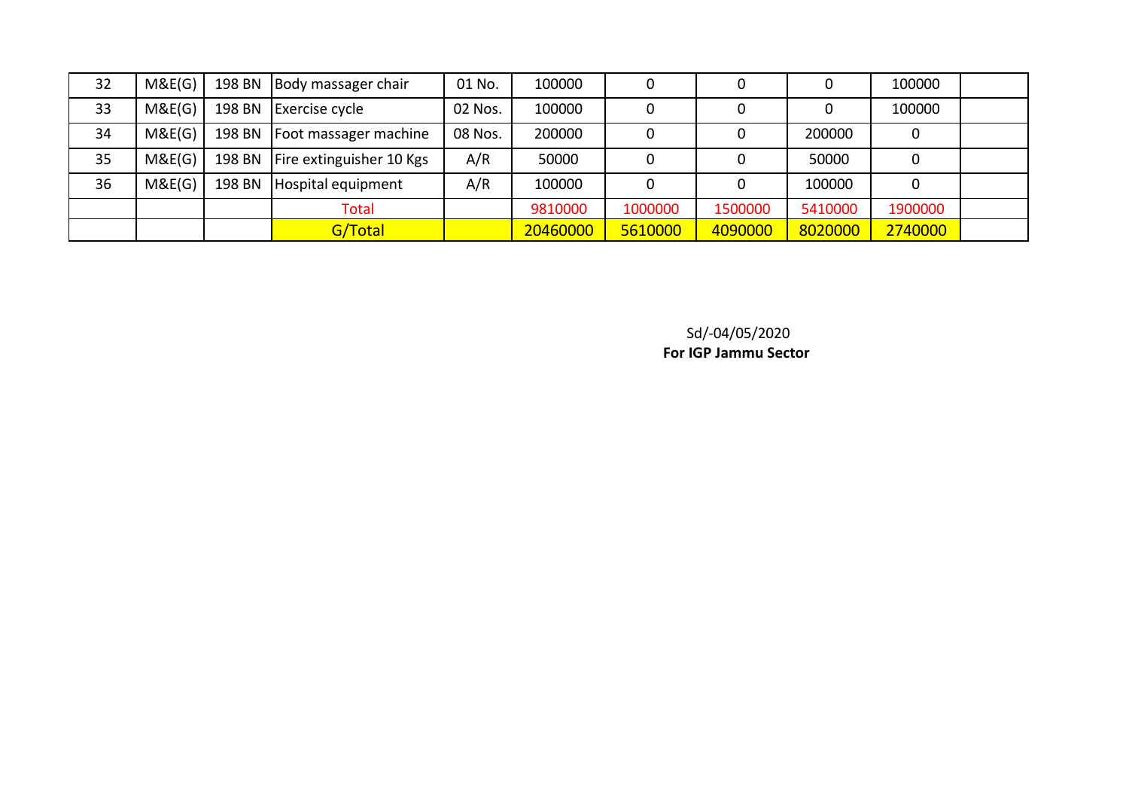| 32 | M&E(G) |        | 198 BN   Body massager chair      | 01 No.  | 100000   |         |         |         | 100000  |  |
|----|--------|--------|-----------------------------------|---------|----------|---------|---------|---------|---------|--|
| 33 | M&E(G) |        | 198 BN Exercise cycle             | 02 Nos. | 100000   |         |         |         | 100000  |  |
| 34 | M&E(G) |        | 198 BN   Foot massager machine    | 08 Nos. | 200000   |         |         | 200000  |         |  |
| 35 | M&E(G) |        | 198 BN   Fire extinguisher 10 Kgs | A/R     | 50000    |         |         | 50000   |         |  |
| 36 | M&E(G) | 198 BN | Hospital equipment                | A/R     | 100000   |         |         | 100000  |         |  |
|    |        |        | <b>Total</b>                      |         | 9810000  | 1000000 | 1500000 | 5410000 | 1900000 |  |
|    |        |        | G/Total                           |         | 20460000 | 5610000 | 4090000 | 8020000 | 2740000 |  |

Sd/-04/05/2020

**For IGP Jammu Sector**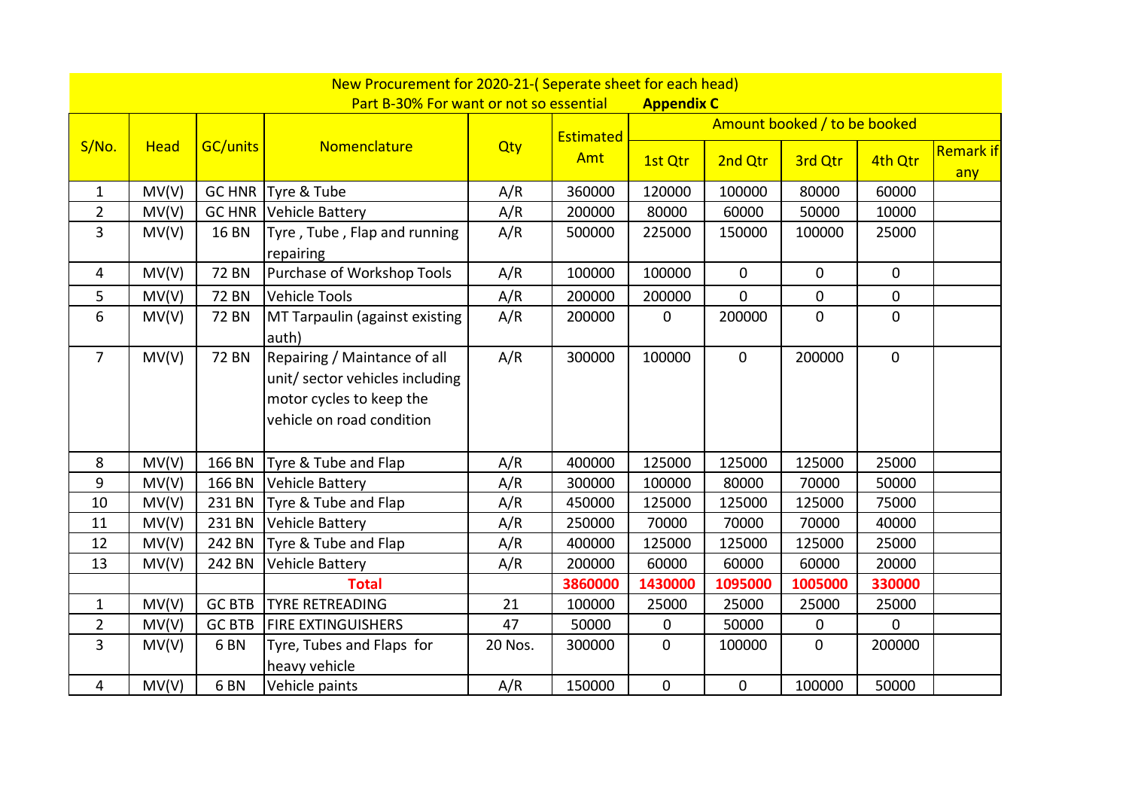|                |             |                 | New Procurement for 2020-21-(Seperate sheet for each head)                                                              |         |           |                   |              |                              |                |                         |
|----------------|-------------|-----------------|-------------------------------------------------------------------------------------------------------------------------|---------|-----------|-------------------|--------------|------------------------------|----------------|-------------------------|
|                |             |                 | Part B-30% For want or not so essential                                                                                 |         |           | <b>Appendix C</b> |              |                              |                |                         |
|                |             |                 |                                                                                                                         |         | Estimated |                   |              | Amount booked / to be booked |                |                         |
| S/No.          | <b>Head</b> | <b>GC/units</b> | Nomenclature                                                                                                            | Qty     | Amt       | 1st Qtr           | 2nd Qtr      | 3rd Qtr                      | 4th Qtr        | <b>Remark if</b><br>any |
| $\mathbf{1}$   | MV(V)       |                 | GC HNR Tyre & Tube                                                                                                      | A/R     | 360000    | 120000            | 100000       | 80000                        | 60000          |                         |
| $\overline{2}$ | MV(V)       |                 | <b>GC HNR Vehicle Battery</b>                                                                                           | A/R     | 200000    | 80000             | 60000        | 50000                        | 10000          |                         |
| $\overline{3}$ | MV(V)       | <b>16 BN</b>    | Tyre, Tube, Flap and running<br>repairing                                                                               | A/R     | 500000    | 225000            | 150000       | 100000                       | 25000          |                         |
| 4              | MV(V)       | <b>72 BN</b>    | Purchase of Workshop Tools                                                                                              | A/R     | 100000    | 100000            | $\mathbf{0}$ | $\mathbf{0}$                 | $\overline{0}$ |                         |
| 5              | MV(V)       | <b>72 BN</b>    | <b>Vehicle Tools</b>                                                                                                    | A/R     | 200000    | 200000            | $\mathbf 0$  | $\boldsymbol{0}$             | $\mathbf 0$    |                         |
| 6              | MV(V)       | <b>72 BN</b>    | MT Tarpaulin (against existing<br>auth)                                                                                 | A/R     | 200000    | 0                 | 200000       | $\overline{0}$               | $\mathbf 0$    |                         |
| $\overline{7}$ | MV(V)       | <b>72 BN</b>    | Repairing / Maintance of all<br>unit/sector vehicles including<br>motor cycles to keep the<br>vehicle on road condition | A/R     | 300000    | 100000            | $\mathbf 0$  | 200000                       | $\mathbf 0$    |                         |
| 8              | MV(V)       | 166 BN          | Tyre & Tube and Flap                                                                                                    | A/R     | 400000    | 125000            | 125000       | 125000                       | 25000          |                         |
| 9              | MV(V)       | 166 BN          | Vehicle Battery                                                                                                         | A/R     | 300000    | 100000            | 80000        | 70000                        | 50000          |                         |
| 10             | MV(V)       | 231 BN          | Tyre & Tube and Flap                                                                                                    | A/R     | 450000    | 125000            | 125000       | 125000                       | 75000          |                         |
| 11             | MV(V)       | 231 BN          | Vehicle Battery                                                                                                         | A/R     | 250000    | 70000             | 70000        | 70000                        | 40000          |                         |
| 12             | MV(V)       | 242 BN          | Tyre & Tube and Flap                                                                                                    | A/R     | 400000    | 125000            | 125000       | 125000                       | 25000          |                         |
| 13             | MV(V)       | 242 BN          | <b>Vehicle Battery</b>                                                                                                  | A/R     | 200000    | 60000             | 60000        | 60000                        | 20000          |                         |
|                |             |                 | <b>Total</b>                                                                                                            |         | 3860000   | 1430000           | 1095000      | 1005000                      | 330000         |                         |
| $\mathbf{1}$   | MV(V)       | <b>GC BTB</b>   | <b>TYRE RETREADING</b>                                                                                                  | 21      | 100000    | 25000             | 25000        | 25000                        | 25000          |                         |
| $\overline{2}$ | MV(V)       | <b>GC BTB</b>   | <b>FIRE EXTINGUISHERS</b>                                                                                               | 47      | 50000     | 0                 | 50000        | 0                            | 0              |                         |
| $\overline{3}$ | MV(V)       | 6 <sub>BN</sub> | Tyre, Tubes and Flaps for<br>heavy vehicle                                                                              | 20 Nos. | 300000    | $\overline{0}$    | 100000       | $\overline{0}$               | 200000         |                         |
| $\overline{4}$ | MV(V)       | 6 <sub>BN</sub> | Vehicle paints                                                                                                          | A/R     | 150000    | $\overline{0}$    | $\mathbf 0$  | 100000                       | 50000          |                         |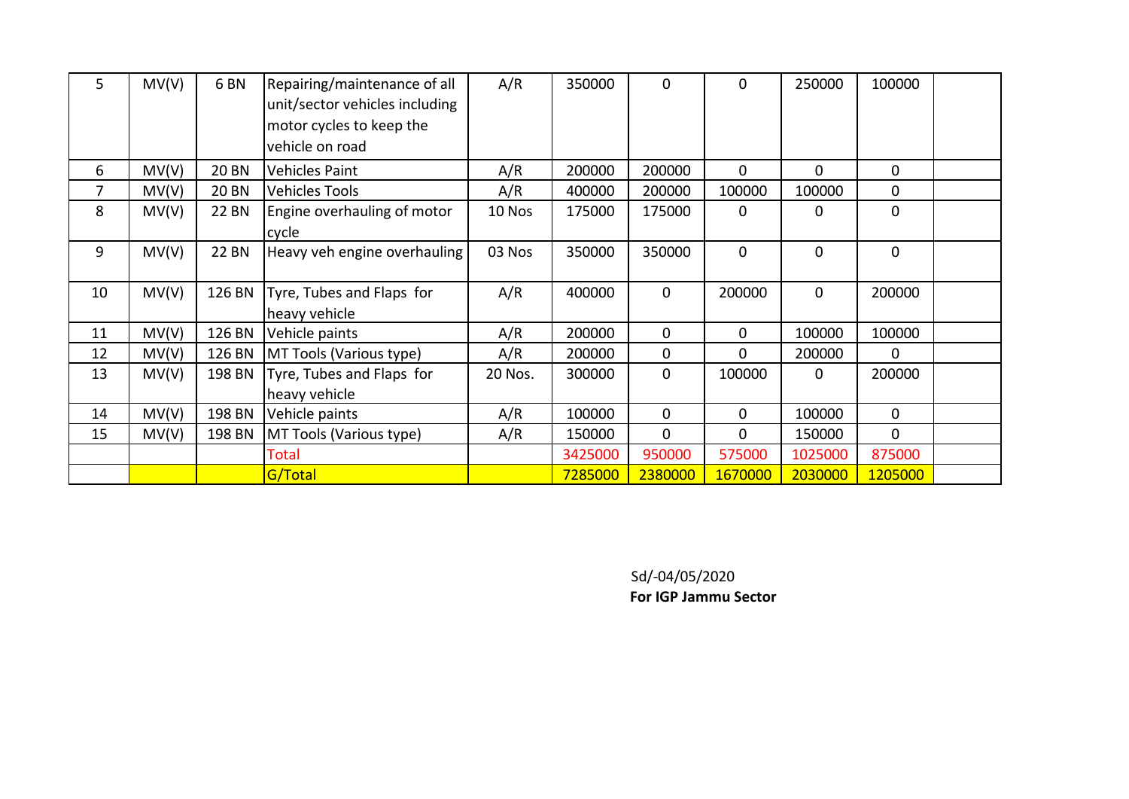| 5  | MV(V) | 6 <sub>BN</sub> | Repairing/maintenance of all<br>unit/sector vehicles including<br>motor cycles to keep the | A/R     | 350000  | $\overline{0}$ | 0            | 250000         | 100000         |  |
|----|-------|-----------------|--------------------------------------------------------------------------------------------|---------|---------|----------------|--------------|----------------|----------------|--|
|    |       |                 | vehicle on road                                                                            |         |         |                |              |                |                |  |
| 6  | MV(V) | <b>20 BN</b>    | <b>Vehicles Paint</b>                                                                      | A/R     | 200000  | 200000         | 0            | $\overline{0}$ | 0              |  |
| 7  | MV(V) | <b>20 BN</b>    | <b>Vehicles Tools</b>                                                                      | A/R     | 400000  | 200000         | 100000       | 100000         | 0              |  |
| 8  | MV(V) | 22 BN           | Engine overhauling of motor<br>cycle                                                       | 10 Nos  | 175000  | 175000         | 0            | 0              | 0              |  |
| 9  | MV(V) | <b>22 BN</b>    | Heavy veh engine overhauling                                                               | 03 Nos  | 350000  | 350000         | 0            | 0              | $\mathbf{0}$   |  |
| 10 | MV(V) | 126 BN          | Tyre, Tubes and Flaps for<br>heavy vehicle                                                 | A/R     | 400000  | $\overline{0}$ | 200000       | 0              | 200000         |  |
| 11 | MV(V) | 126 BN          | Vehicle paints                                                                             | A/R     | 200000  | $\overline{0}$ | $\mathbf{0}$ | 100000         | 100000         |  |
| 12 | MV(V) | 126 BN          | MT Tools (Various type)                                                                    | A/R     | 200000  | 0              | 0            | 200000         | $\Omega$       |  |
| 13 | MV(V) | 198 BN          | Tyre, Tubes and Flaps for                                                                  | 20 Nos. | 300000  | 0              | 100000       | 0              | 200000         |  |
|    |       |                 | heavy vehicle                                                                              |         |         |                |              |                |                |  |
| 14 | MV(V) | 198 BN          | Vehicle paints                                                                             | A/R     | 100000  | $\overline{0}$ | 0            | 100000         | $\mathbf 0$    |  |
| 15 | MV(V) | 198 BN          | MT Tools (Various type)                                                                    | A/R     | 150000  | $\Omega$       | 0            | 150000         | $\overline{0}$ |  |
|    |       |                 | Total                                                                                      |         | 3425000 | 950000         | 575000       | 1025000        | 875000         |  |
|    |       |                 | G/Total                                                                                    |         | 7285000 | 2380000        | 1670000      | 2030000        | 1205000        |  |

Sd/-04/05/2020

**For IGP Jammu Sector**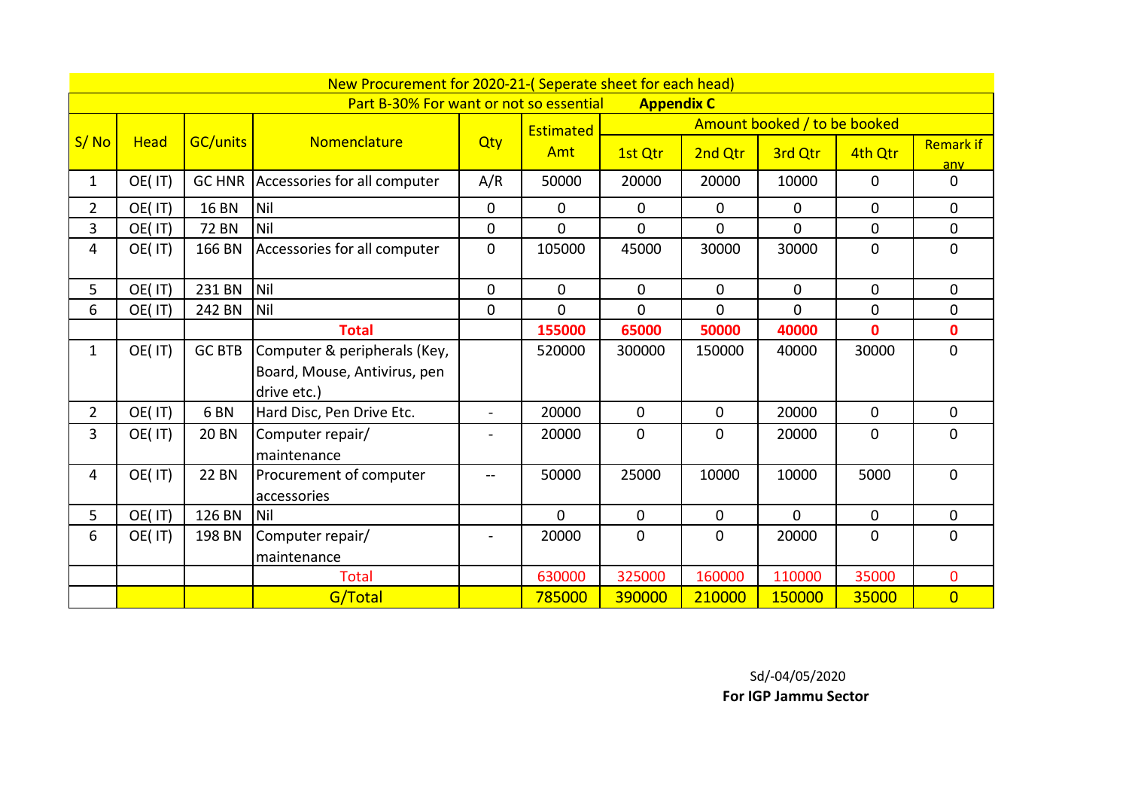|                |             |                 | New Procurement for 2020-21-(Seperate sheet for each head)                  |                          |              |                   |             |                              |                |                         |
|----------------|-------------|-----------------|-----------------------------------------------------------------------------|--------------------------|--------------|-------------------|-------------|------------------------------|----------------|-------------------------|
|                |             |                 | Part B-30% For want or not so essential                                     |                          |              | <b>Appendix C</b> |             |                              |                |                         |
|                |             |                 |                                                                             |                          | Estimated    |                   |             | Amount booked / to be booked |                |                         |
| S/No           | <b>Head</b> | <b>GC/units</b> | Nomenclature                                                                | Qty                      | Amt          | 1st Qtr           | 2nd Qtr     | 3rd Qtr                      | 4th Qtr        | <b>Remark if</b><br>any |
| 1              | OE(IT)      | <b>GC HNR</b>   | Accessories for all computer                                                | A/R                      | 50000        | 20000             | 20000       | 10000                        | $\overline{0}$ | $\mathbf{0}$            |
| $\overline{2}$ | OE(IT)      | <b>16 BN</b>    | Nil                                                                         | 0                        | $\mathbf{0}$ | $\mathbf 0$       | $\mathbf 0$ | $\mathbf{0}$                 | $\overline{0}$ | 0                       |
| 3              | OE(IT)      | <b>72 BN</b>    | <b>Nil</b>                                                                  | 0                        | $\mathbf 0$  | $\mathbf 0$       | $\Omega$    | $\Omega$                     | $\overline{0}$ | $\mathbf 0$             |
| 4              | OE(IT)      | 166 BN          | Accessories for all computer                                                | 0                        | 105000       | 45000             | 30000       | 30000                        | 0              | 0                       |
| 5              | OE(IT)      | 231 BN          | Nil                                                                         | 0                        | $\mathbf 0$  | 0                 | $\mathbf 0$ | $\mathbf{0}$                 | 0              | 0                       |
| 6              | OE(IT)      | 242 BN          | Nil                                                                         | 0                        | $\Omega$     | $\overline{0}$    | $\Omega$    | $\Omega$                     | 0              | 0                       |
|                |             |                 | <b>Total</b>                                                                |                          | 155000       | 65000             | 50000       | 40000                        | $\mathbf{0}$   | $\mathbf{0}$            |
| $\mathbf 1$    | OE(IT)      | <b>GC BTB</b>   | Computer & peripherals (Key,<br>Board, Mouse, Antivirus, pen<br>drive etc.) |                          | 520000       | 300000            | 150000      | 40000                        | 30000          | 0                       |
| $\overline{2}$ | OE(IT)      | 6 <sub>BN</sub> | Hard Disc, Pen Drive Etc.                                                   | $\blacksquare$           | 20000        | $\mathbf{0}$      | $\mathbf 0$ | 20000                        | $\mathbf{0}$   | $\mathbf{0}$            |
| 3              | OE(IT)      | <b>20 BN</b>    | Computer repair/<br>maintenance                                             | $\overline{\phantom{0}}$ | 20000        | 0                 | $\mathbf 0$ | 20000                        | $\mathbf{0}$   | 0                       |
| 4              | OE(IT)      | <b>22 BN</b>    | Procurement of computer<br>accessories                                      | --                       | 50000        | 25000             | 10000       | 10000                        | 5000           | $\overline{0}$          |
| 5              | OE(IT)      | 126 BN          | Nil                                                                         |                          | $\Omega$     | 0                 | $\mathbf 0$ | $\overline{0}$               | $\mathbf 0$    | $\mathbf 0$             |
| 6              | OE(IT)      | 198 BN          | Computer repair/<br>maintenance                                             |                          | 20000        | $\mathbf 0$       | $\Omega$    | 20000                        | $\Omega$       | 0                       |
|                |             |                 | <b>Total</b>                                                                |                          | 630000       | 325000            | 160000      | 110000                       | 35000          | $\mathbf 0$             |
|                |             |                 | G/Total                                                                     |                          | 785000       | 390000            | 210000      | 150000                       | 35000          | $\overline{0}$          |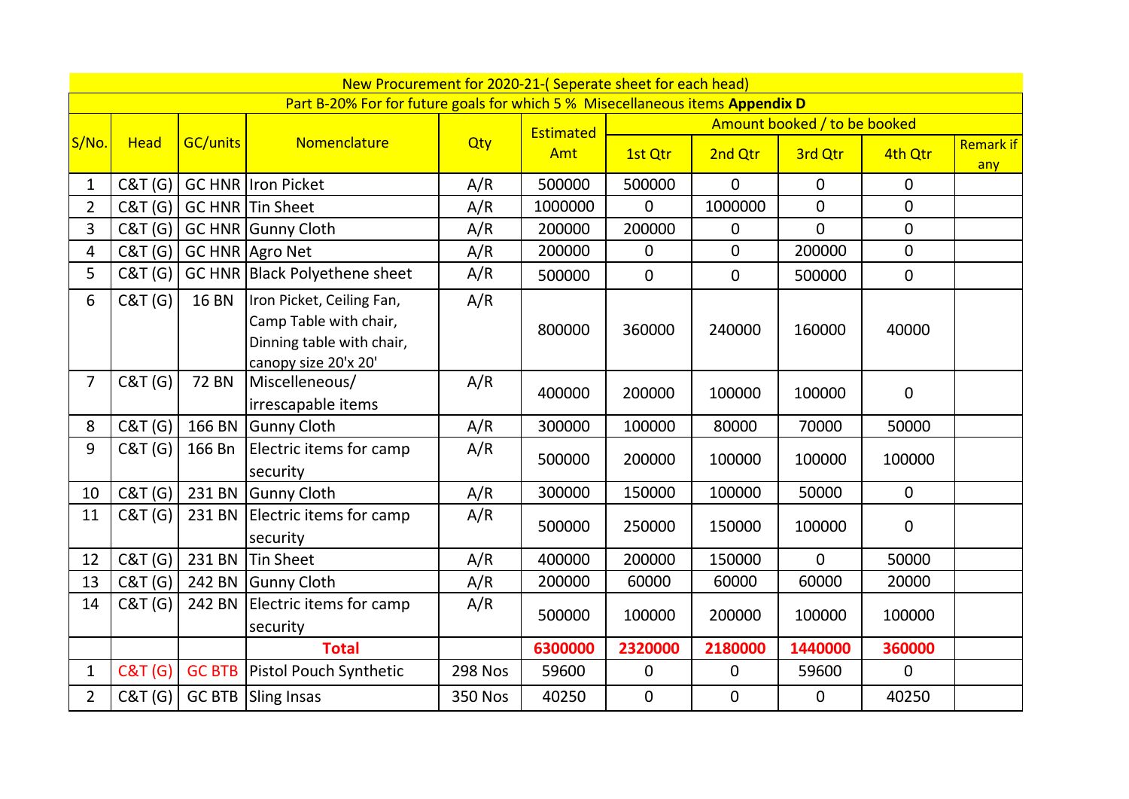|                |                    |                 | New Procurement for 2020-21-(Seperate sheet for each head)                                               |                |           |              |                  |                              |                |                         |
|----------------|--------------------|-----------------|----------------------------------------------------------------------------------------------------------|----------------|-----------|--------------|------------------|------------------------------|----------------|-------------------------|
|                |                    |                 | Part B-20% For for future goals for which 5 % Misecellaneous items Appendix D                            |                |           |              |                  |                              |                |                         |
|                |                    |                 |                                                                                                          |                | Estimated |              |                  | Amount booked / to be booked |                |                         |
| S/No.          | <b>Head</b>        | <b>GC/units</b> | Nomenclature                                                                                             | Qty            | Amt       | 1st Qtr      | 2nd Qtr          | 3rd Qtr                      | 4th Qtr        | <b>Remark if</b><br>any |
| $\mathbf{1}$   | C&T(G)             |                 | <b>GC HNR Iron Picket</b>                                                                                | A/R            | 500000    | 500000       | $\overline{0}$   | $\mathbf{0}$                 | $\overline{0}$ |                         |
| $\overline{2}$ | C&T(G)             |                 | <b>GC HNR Tin Sheet</b>                                                                                  | A/R            | 1000000   | $\mathbf{0}$ | 1000000          | $\overline{0}$               | $\mathbf{0}$   |                         |
| 3              | C&T(G)             |                 | <b>GC HNR Gunny Cloth</b>                                                                                | A/R            | 200000    | 200000       | $\mathbf 0$      | $\mathbf 0$                  | $\mathbf 0$    |                         |
| 4              | C&T(G)             |                 | GC HNR Agro Net                                                                                          | A/R            | 200000    | $\mathbf 0$  | $\mathbf{0}$     | 200000                       | $\mathbf 0$    |                         |
| 5              | C&T(G)             |                 | GC HNR Black Polyethene sheet                                                                            | A/R            | 500000    | $\mathbf 0$  | $\mathbf 0$      | 500000                       | $\mathbf 0$    |                         |
| 6              | C&T(G)             | <b>16 BN</b>    | Iron Picket, Ceiling Fan,<br>Camp Table with chair,<br>Dinning table with chair,<br>canopy size 20'x 20' | A/R            | 800000    | 360000       | 240000           | 160000                       | 40000          |                         |
| 7              | C&T(G)             | <b>72 BN</b>    | Miscelleneous/<br>irrescapable items                                                                     | A/R            | 400000    | 200000       | 100000           | 100000                       | $\mathbf 0$    |                         |
| 8              | C&T(G)             | 166 BN          | <b>Gunny Cloth</b>                                                                                       | A/R            | 300000    | 100000       | 80000            | 70000                        | 50000          |                         |
| 9              | C&T(G)             | 166 Bn          | Electric items for camp<br>security                                                                      | A/R            | 500000    | 200000       | 100000           | 100000                       | 100000         |                         |
| 10             | C&T(G)             |                 | 231 BN Gunny Cloth                                                                                       | A/R            | 300000    | 150000       | 100000           | 50000                        | $\mathbf 0$    |                         |
| 11             | C&T (G)            |                 | 231 BN Electric items for camp<br>security                                                               | A/R            | 500000    | 250000       | 150000           | 100000                       | $\overline{0}$ |                         |
| 12             | C&T(G)             | 231 BN          | <b>Tin Sheet</b>                                                                                         | A/R            | 400000    | 200000       | 150000           | $\mathbf{0}$                 | 50000          |                         |
| 13             | C&T(G)             |                 | 242 BN Gunny Cloth                                                                                       | A/R            | 200000    | 60000        | 60000            | 60000                        | 20000          |                         |
| 14             | C&T(G)             | 242 BN          | Electric items for camp<br>security                                                                      | A/R            | 500000    | 100000       | 200000           | 100000                       | 100000         |                         |
|                |                    |                 | <b>Total</b>                                                                                             |                | 6300000   | 2320000      | 2180000          | 1440000                      | 360000         |                         |
| $\mathbf{1}$   | <b>C&amp;T (G)</b> | <b>GC BTB</b>   | Pistol Pouch Synthetic                                                                                   | <b>298 Nos</b> | 59600     | $\mathbf 0$  | 0                | 59600                        | $\mathbf 0$    |                         |
| $\overline{2}$ | <b>C&amp;T</b> (G) |                 | <b>GC BTB</b> Sling Insas                                                                                | <b>350 Nos</b> | 40250     | $\pmb{0}$    | $\boldsymbol{0}$ | $\mathbf 0$                  | 40250          |                         |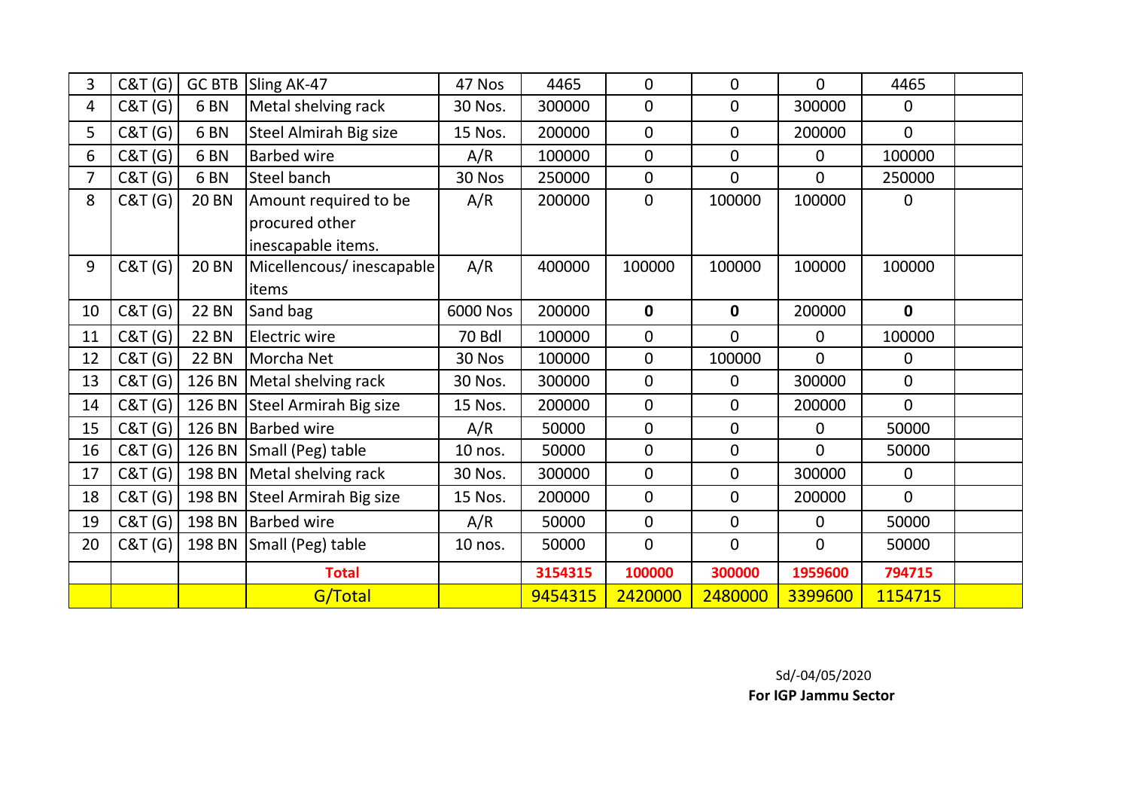| 3  | <b>C&amp;T</b> (G) | <b>GC BTB</b>   | Sling AK-47                   | 47 Nos        | 4465    | $\mathbf 0$      | 0              | $\overline{0}$ | 4465           |  |
|----|--------------------|-----------------|-------------------------------|---------------|---------|------------------|----------------|----------------|----------------|--|
| 4  | C&T(G)             | 6 <sub>BN</sub> | Metal shelving rack           | 30 Nos.       | 300000  | $\overline{0}$   | 0              | 300000         | $\overline{0}$ |  |
| 5  | C&T (G)            | 6 <sub>BN</sub> | <b>Steel Almirah Big size</b> | 15 Nos.       | 200000  | $\overline{0}$   | 0              | 200000         | $\overline{0}$ |  |
| 6  | C&T (G)            | 6 <sub>BN</sub> | <b>Barbed wire</b>            | A/R           | 100000  | $\mathbf 0$      | 0              | $\mathbf 0$    | 100000         |  |
| 7  | C&T (G)            | 6 <sub>BN</sub> | Steel banch                   | 30 Nos        | 250000  | $\mathbf 0$      | $\overline{0}$ | $\overline{0}$ | 250000         |  |
| 8  | C&T(G)             | <b>20 BN</b>    | Amount required to be         | A/R           | 200000  | $\mathbf 0$      | 100000         | 100000         | $\overline{0}$ |  |
|    |                    |                 | procured other                |               |         |                  |                |                |                |  |
|    |                    |                 | inescapable items.            |               |         |                  |                |                |                |  |
| 9  | <b>C&amp;T (G)</b> | <b>20 BN</b>    | Micellencous/inescapable      | A/R           | 400000  | 100000           | 100000         | 100000         | 100000         |  |
|    |                    |                 | items                         |               |         |                  |                |                |                |  |
| 10 | C&T (G)            | <b>22 BN</b>    | Sand bag                      | 6000 Nos      | 200000  | $\mathbf{0}$     | $\mathbf 0$    | 200000         | $\mathbf 0$    |  |
| 11 | C&T(G)             | <b>22 BN</b>    | Electric wire                 | <b>70 Bdl</b> | 100000  | $\mathbf 0$      | 0              | $\mathbf 0$    | 100000         |  |
| 12 | C&T(G)             | <b>22 BN</b>    | Morcha Net                    | 30 Nos        | 100000  | $\overline{0}$   | 100000         | $\overline{0}$ | $\overline{0}$ |  |
| 13 | C&T(G)             | 126 BN          | Metal shelving rack           | 30 Nos.       | 300000  | $\mathbf 0$      | 0              | 300000         | $\overline{0}$ |  |
| 14 | C&T (G)            | 126 BN          | Steel Armirah Big size        | 15 Nos.       | 200000  | $\mathbf 0$      | 0              | 200000         | $\mathbf 0$    |  |
| 15 | C&T(G)             | 126 BN          | <b>Barbed wire</b>            | A/R           | 50000   | $\mathbf 0$      | 0              | $\mathbf 0$    | 50000          |  |
| 16 | C&T (G)            | 126 BN          | Small (Peg) table             | 10 nos.       | 50000   | $\mathbf 0$      | 0              | $\Omega$       | 50000          |  |
| 17 | <b>C&amp;T</b> (G) | 198 BN          | Metal shelving rack           | 30 Nos.       | 300000  | $\boldsymbol{0}$ | 0              | 300000         | $\mathbf 0$    |  |
| 18 | <b>C&amp;T</b> (G) | 198 BN          | Steel Armirah Big size        | 15 Nos.       | 200000  | $\mathbf 0$      | 0              | 200000         | $\overline{0}$ |  |
| 19 | C&T(G)             | 198 BN          | <b>Barbed wire</b>            | A/R           | 50000   | $\mathbf 0$      | 0              | $\mathbf 0$    | 50000          |  |
| 20 | C&T (G)            | 198 BN          | Small (Peg) table             | 10 nos.       | 50000   | $\mathbf 0$      | 0              | $\mathbf 0$    | 50000          |  |
|    |                    |                 | <b>Total</b>                  |               | 3154315 | 100000           | 300000         | 1959600        | 794715         |  |
|    |                    |                 | G/Total                       |               | 9454315 | 2420000          | 2480000        | 3399600        | 1154715        |  |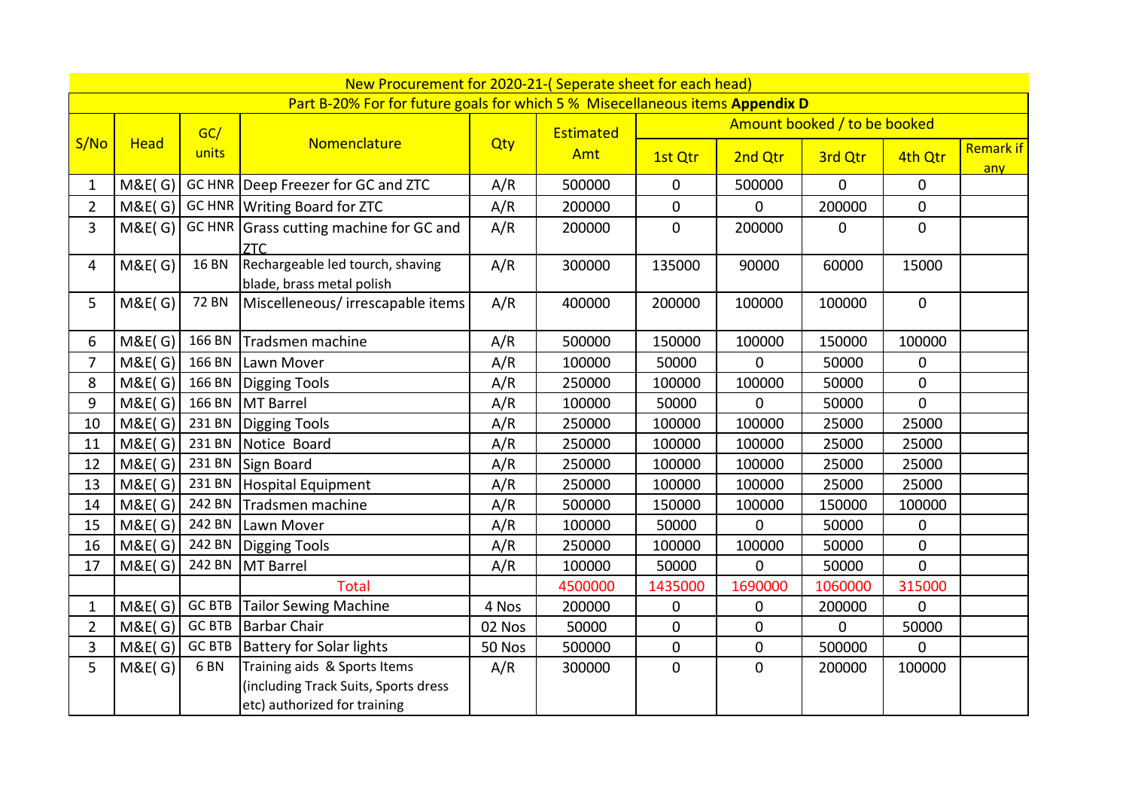|                |                   |                 | New Procurement for 2020-21-(Seperate sheet for each head)<br>Part B-20% For for future goals for which 5 % Misecellaneous items Appendix D |        |           |                |                |                              |                |                         |
|----------------|-------------------|-----------------|---------------------------------------------------------------------------------------------------------------------------------------------|--------|-----------|----------------|----------------|------------------------------|----------------|-------------------------|
|                |                   | GC/             |                                                                                                                                             |        | Estimated |                |                | Amount booked / to be booked |                |                         |
| S/No           | <b>Head</b>       | units           | Nomenclature                                                                                                                                | Qty    | Amt       | 1st Qtr        | 2nd Qtr        | 3rd Qtr                      | 4th Qtr        | <b>Remark if</b><br>any |
| $\mathbf{1}$   |                   |                 | M&E(G)   GC HNR   Deep Freezer for GC and ZTC                                                                                               | A/R    | 500000    | $\mathbf 0$    | 500000         | $\overline{0}$               | $\mathbf{0}$   |                         |
| $\overline{2}$ |                   |                 | M&E(G) GC HNR   Writing Board for ZTC                                                                                                       | A/R    | 200000    | $\mathbf 0$    | 0              | 200000                       | $\mathbf 0$    |                         |
| 3              |                   |                 | M&E( $G$ ) GC HNR Grass cutting machine for GC and<br><b>ZTC</b>                                                                            | A/R    | 200000    | $\mathbf 0$    | 200000         | $\mathbf 0$                  | $\overline{0}$ |                         |
| 4              | <b>M&amp;E(G)</b> | <b>16 BN</b>    | Rechargeable led tourch, shaving<br>blade, brass metal polish                                                                               | A/R    | 300000    | 135000         | 90000          | 60000                        | 15000          |                         |
| 5              | M&E(G)            | <b>72 BN</b>    | Miscelleneous/irrescapable items                                                                                                            | A/R    | 400000    | 200000         | 100000         | 100000                       | $\mathbf 0$    |                         |
| 6              |                   |                 | M&E(G) 166 BN Tradsmen machine                                                                                                              | A/R    | 500000    | 150000         | 100000         | 150000                       | 100000         |                         |
| $\overline{7}$ | M&E(G)            |                 | 166 BN Lawn Mover                                                                                                                           | A/R    | 100000    | 50000          | $\mathbf 0$    | 50000                        | $\mathbf 0$    |                         |
| 8              | M&E(G)            |                 | 166 BN Digging Tools                                                                                                                        | A/R    | 250000    | 100000         | 100000         | 50000                        | $\mathbf 0$    |                         |
| 9              | M&E(G)            |                 | 166 BN MT Barrel                                                                                                                            | A/R    | 100000    | 50000          | $\mathbf 0$    | 50000                        | $\overline{0}$ |                         |
| 10             | M&E(G)            |                 | 231 BN Digging Tools                                                                                                                        | A/R    | 250000    | 100000         | 100000         | 25000                        | 25000          |                         |
| 11             | M&E(G)            |                 | 231 BN Notice Board                                                                                                                         | A/R    | 250000    | 100000         | 100000         | 25000                        | 25000          |                         |
| 12             |                   |                 | $M&E(G)$ 231 BN Sign Board                                                                                                                  | A/R    | 250000    | 100000         | 100000         | 25000                        | 25000          |                         |
| 13             | M&E(G)            |                 | 231 BN   Hospital Equipment                                                                                                                 | A/R    | 250000    | 100000         | 100000         | 25000                        | 25000          |                         |
| 14             | M&E(G)            |                 | 242 BN Tradsmen machine                                                                                                                     | A/R    | 500000    | 150000         | 100000         | 150000                       | 100000         |                         |
| 15             | M&E(G)            |                 | 242 BN Lawn Mover                                                                                                                           | A/R    | 100000    | 50000          | $\overline{0}$ | 50000                        | $\mathbf 0$    |                         |
| 16             | M&E(G)            |                 | 242 BN Digging Tools                                                                                                                        | A/R    | 250000    | 100000         | 100000         | 50000                        | $\overline{0}$ |                         |
| 17             | M&E(G)            |                 | 242 BN MT Barrel                                                                                                                            | A/R    | 100000    | 50000          | 0              | 50000                        | $\mathbf 0$    |                         |
|                |                   |                 | <b>Total</b>                                                                                                                                |        | 4500000   | 1435000        | 1690000        | 1060000                      | 315000         |                         |
| $\mathbf{1}$   | M&E(G)            |                 | GC BTB Tailor Sewing Machine                                                                                                                | 4 Nos  | 200000    | 0              | 0              | 200000                       | $\mathbf 0$    |                         |
| $\overline{2}$ | M&E(G)            |                 | <b>GC BTB</b> Barbar Chair                                                                                                                  | 02 Nos | 50000     | $\mathbf 0$    | $\mathbf 0$    | $\mathbf 0$                  | 50000          |                         |
| 3              | <b>M&amp;E(G)</b> |                 | <b>GC BTB</b> Battery for Solar lights                                                                                                      | 50 Nos | 500000    | $\overline{0}$ | $\mathbf 0$    | 500000                       | $\overline{0}$ |                         |
| 5              | M&E(G)            | 6 <sub>BN</sub> | Training aids & Sports Items<br>(including Track Suits, Sports dress<br>etc) authorized for training                                        | A/R    | 300000    | $\mathbf 0$    | $\mathbf 0$    | 200000                       | 100000         |                         |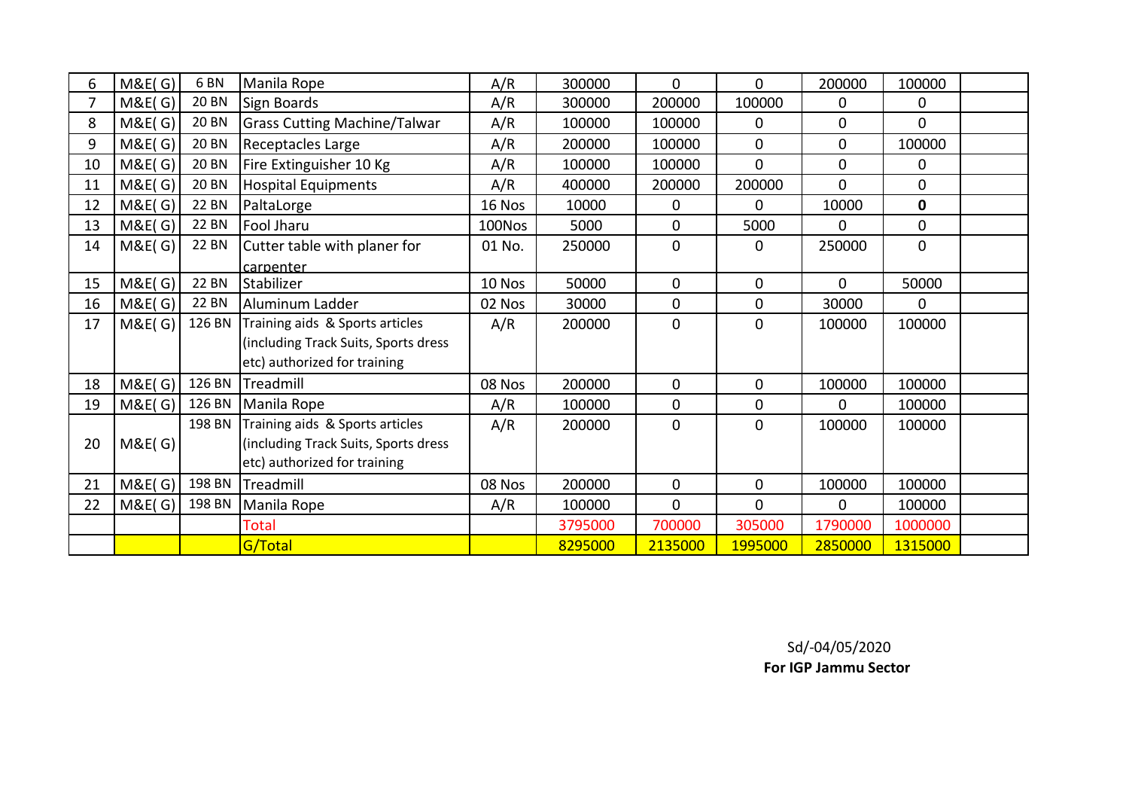| 6              | M&E(G) | 6 <sub>BN</sub> | Manila Rope                          | A/R    | 300000  | $\mathbf{0}$ | $\overline{0}$ | 200000       | 100000         |  |
|----------------|--------|-----------------|--------------------------------------|--------|---------|--------------|----------------|--------------|----------------|--|
| $\overline{7}$ | M&E(G) | <b>20 BN</b>    | Sign Boards                          | A/R    | 300000  | 200000       | 100000         | 0            | 0              |  |
| 8              | M&E(G) | 20 BN           | <b>Grass Cutting Machine/Talwar</b>  | A/R    | 100000  | 100000       | $\mathbf{0}$   | $\mathbf 0$  | $\overline{0}$ |  |
| 9              | M&E(G) | 20 BN           | Receptacles Large                    | A/R    | 200000  | 100000       | $\mathbf 0$    | $\mathbf 0$  | 100000         |  |
| 10             | M&E(G) | 20 BN           | Fire Extinguisher 10 Kg              | A/R    | 100000  | 100000       | $\mathbf 0$    | $\mathbf 0$  | 0              |  |
| 11             | M&E(G) | <b>20 BN</b>    | <b>Hospital Equipments</b>           | A/R    | 400000  | 200000       | 200000         | $\mathbf{0}$ | $\mathbf 0$    |  |
| 12             | M&E(G) | 22 BN           | PaltaLorge                           | 16 Nos | 10000   | 0            | $\Omega$       | 10000        | $\mathbf 0$    |  |
| 13             | M&E(G) | <b>22 BN</b>    | Fool Jharu                           | 100Nos | 5000    | $\mathbf 0$  | 5000           | $\mathbf 0$  | $\mathbf 0$    |  |
| 14             | M&E(G) | 22 BN           | Cutter table with planer for         | 01 No. | 250000  | $\mathbf 0$  | $\mathbf 0$    | 250000       | $\mathbf 0$    |  |
|                |        |                 | carpenter                            |        |         |              |                |              |                |  |
| 15             | M&E(G) | <b>22 BN</b>    | Stabilizer                           | 10 Nos | 50000   | $\mathbf 0$  | $\mathbf 0$    | $\mathbf{0}$ | 50000          |  |
| 16             | M&E(G) | 22 BN           | Aluminum Ladder                      | 02 Nos | 30000   | $\mathbf 0$  | $\mathbf 0$    | 30000        | 0              |  |
| 17             | M&E(G) | 126 BN          | Training aids & Sports articles      | A/R    | 200000  | $\mathbf 0$  | $\mathbf{0}$   | 100000       | 100000         |  |
|                |        |                 | (including Track Suits, Sports dress |        |         |              |                |              |                |  |
|                |        |                 | etc) authorized for training         |        |         |              |                |              |                |  |
| 18             | M&E(G) | 126 BN          | Treadmill                            | 08 Nos | 200000  | $\mathbf 0$  | $\overline{0}$ | 100000       | 100000         |  |
| 19             | M&E(G) | 126 BN          | Manila Rope                          | A/R    | 100000  | $\mathbf 0$  | $\mathbf 0$    | 0            | 100000         |  |
|                |        | 198 BN          | Training aids & Sports articles      | A/R    | 200000  | $\mathbf 0$  | $\mathbf 0$    | 100000       | 100000         |  |
| 20             | M&E(G) |                 | (including Track Suits, Sports dress |        |         |              |                |              |                |  |
|                |        |                 | etc) authorized for training         |        |         |              |                |              |                |  |
| 21             | M&E(G) | 198 BN          | Treadmill                            | 08 Nos | 200000  | $\mathbf 0$  | $\mathbf 0$    | 100000       | 100000         |  |
| 22             | M&E(G) | 198 BN          | Manila Rope                          | A/R    | 100000  | $\mathbf{0}$ | $\mathbf{0}$   | $\mathbf{0}$ | 100000         |  |
|                |        |                 | Total                                |        | 3795000 | 700000       | 305000         | 1790000      | 1000000        |  |
|                |        |                 | G/Total                              |        | 8295000 | 2135000      | 1995000        | 2850000      | 1315000        |  |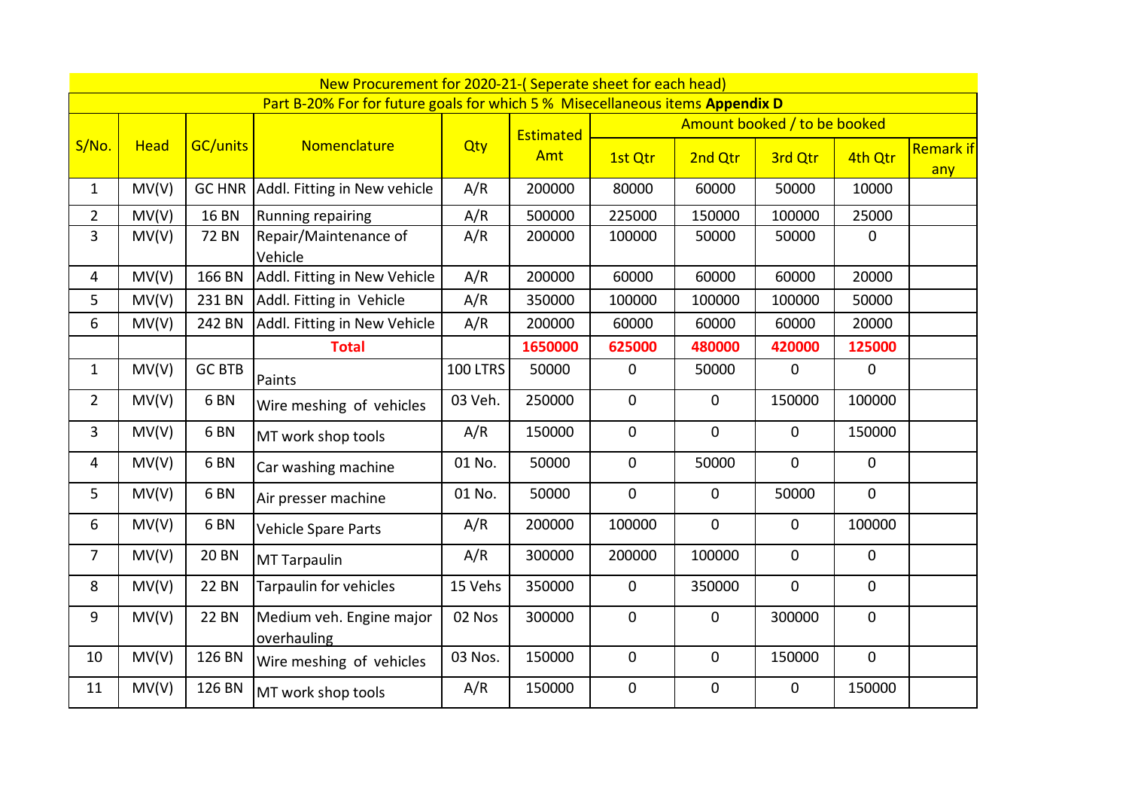| New Procurement for 2020-21-(Seperate sheet for each head)                    |             |                 |                                         |          |                                           |                  |                |              |              |                         |  |
|-------------------------------------------------------------------------------|-------------|-----------------|-----------------------------------------|----------|-------------------------------------------|------------------|----------------|--------------|--------------|-------------------------|--|
| Part B-20% For for future goals for which 5 % Misecellaneous items Appendix D |             |                 |                                         |          |                                           |                  |                |              |              |                         |  |
|                                                                               | <b>Head</b> | <b>GC/units</b> | Nomenclature                            |          | Amount booked / to be booked<br>Estimated |                  |                |              |              |                         |  |
| S/No.                                                                         |             |                 |                                         | Qty      | Amt                                       | 1st Qtr          | 2nd Qtr        | 3rd Qtr      | 4th Qtr      | <b>Remark if</b><br>any |  |
| $\mathbf{1}$                                                                  | MV(V)       |                 | GC HNR Addl. Fitting in New vehicle     | A/R      | 200000                                    | 80000            | 60000          | 50000        | 10000        |                         |  |
| $\overline{2}$                                                                | MV(V)       | <b>16 BN</b>    | Running repairing                       | A/R      | 500000                                    | 225000           | 150000         | 100000       | 25000        |                         |  |
| 3                                                                             | MV(V)       | <b>72 BN</b>    | Repair/Maintenance of<br>Vehicle        | A/R      | 200000                                    | 100000           | 50000          | 50000        | $\mathbf 0$  |                         |  |
| 4                                                                             | MV(V)       | 166 BN          | Addl. Fitting in New Vehicle            | A/R      | 200000                                    | 60000            | 60000          | 60000        | 20000        |                         |  |
| 5                                                                             | MV(V)       | 231 BN          | Addl. Fitting in Vehicle                | A/R      | 350000                                    | 100000           | 100000         | 100000       | 50000        |                         |  |
| 6                                                                             | MV(V)       | 242 BN          | Addl. Fitting in New Vehicle            | A/R      | 200000                                    | 60000            | 60000          | 60000        | 20000        |                         |  |
|                                                                               |             |                 | <b>Total</b>                            |          | 1650000                                   | 625000           | 480000         | 420000       | 125000       |                         |  |
| $\mathbf{1}$                                                                  | MV(V)       | <b>GC BTB</b>   | Paints                                  | 100 LTRS | 50000                                     | $\mathbf 0$      | 50000          | $\mathbf 0$  | $\mathbf 0$  |                         |  |
| $\overline{2}$                                                                | MV(V)       | 6 <sub>BN</sub> | Wire meshing of vehicles                | 03 Veh.  | 250000                                    | $\mathbf 0$      | $\overline{0}$ | 150000       | 100000       |                         |  |
| 3                                                                             | MV(V)       | 6 <sub>BN</sub> | MT work shop tools                      | A/R      | 150000                                    | $\mathbf 0$      | $\mathbf 0$    | 0            | 150000       |                         |  |
| 4                                                                             | MV(V)       | 6 <sub>BN</sub> | Car washing machine                     | 01 No.   | 50000                                     | $\mathbf 0$      | 50000          | $\mathbf 0$  | $\mathbf 0$  |                         |  |
| 5                                                                             | MV(V)       | 6 <sub>BN</sub> | Air presser machine                     | 01 No.   | 50000                                     | $\mathbf 0$      | $\mathbf 0$    | 50000        | $\mathbf 0$  |                         |  |
| 6                                                                             | MV(V)       | 6 <sub>BN</sub> | Vehicle Spare Parts                     | A/R      | 200000                                    | 100000           | $\overline{0}$ | $\mathbf{0}$ | 100000       |                         |  |
| 7                                                                             | MV(V)       | <b>20 BN</b>    | <b>MT Tarpaulin</b>                     | A/R      | 300000                                    | 200000           | 100000         | $\mathbf 0$  | $\mathbf 0$  |                         |  |
| 8                                                                             | MV(V)       | <b>22 BN</b>    | Tarpaulin for vehicles                  | 15 Vehs  | 350000                                    | $\mathbf 0$      | 350000         | $\mathbf 0$  | $\mathbf 0$  |                         |  |
| 9                                                                             | MV(V)       | <b>22 BN</b>    | Medium veh. Engine major<br>overhauling | 02 Nos   | 300000                                    | $\mathbf 0$      | $\overline{0}$ | 300000       | $\mathbf{0}$ |                         |  |
| 10                                                                            | MV(V)       | 126 BN          | Wire meshing of vehicles                | 03 Nos.  | 150000                                    | $\boldsymbol{0}$ | $\mathbf 0$    | 150000       | $\mathbf 0$  |                         |  |
| 11                                                                            | MV(V)       | 126 BN          | MT work shop tools                      | A/R      | 150000                                    | $\mathbf 0$      | 0              | $\mathbf 0$  | 150000       |                         |  |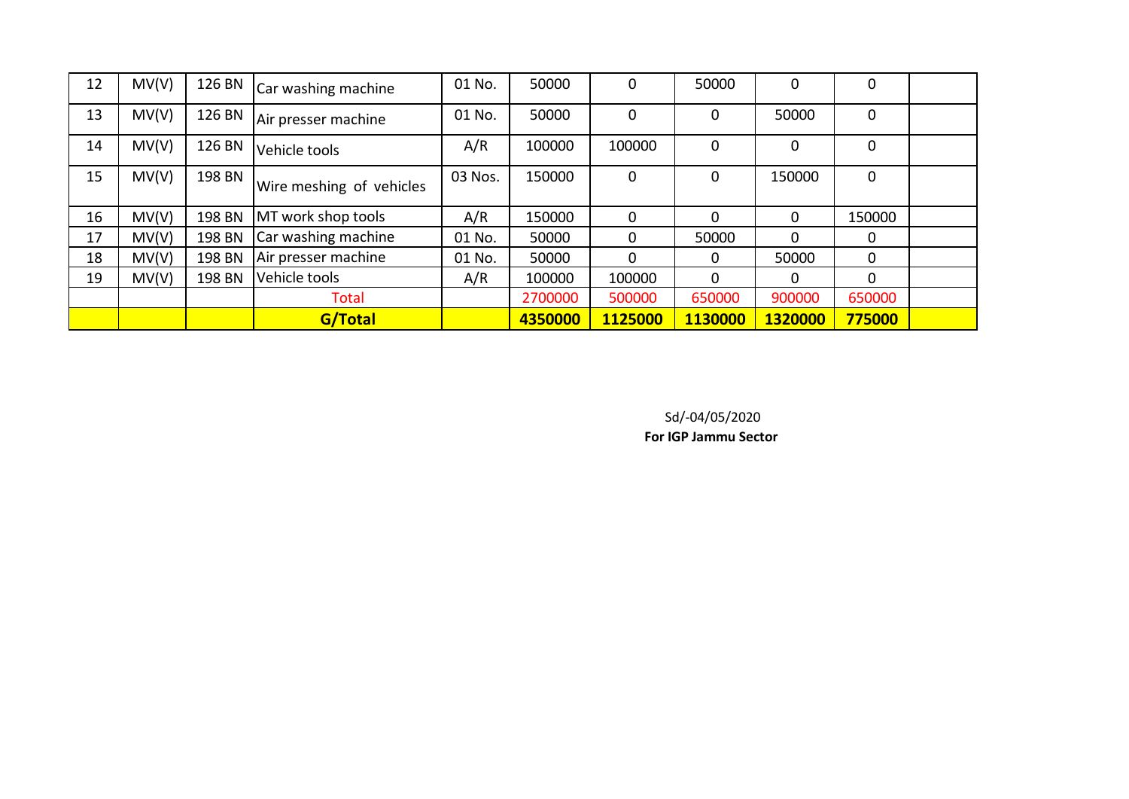| 12 | MV(V) | 126 BN | Car washing machine      | 01 No.  | 50000   | $\mathbf 0$    | 50000   | 0            | $\mathbf 0$ |  |
|----|-------|--------|--------------------------|---------|---------|----------------|---------|--------------|-------------|--|
| 13 | MV(V) | 126 BN | Air presser machine      | 01 No.  | 50000   | $\overline{0}$ | 0       | 50000        | $\mathbf 0$ |  |
| 14 | MV(V) | 126 BN | Vehicle tools            | A/R     | 100000  | 100000         | 0       | 0            | $\mathbf 0$ |  |
| 15 | MV(V) | 198 BN | Wire meshing of vehicles | 03 Nos. | 150000  | $\overline{0}$ | 0       | 150000       | $\mathbf 0$ |  |
| 16 | MV(V) | 198 BN | MT work shop tools       | A/R     | 150000  | 0              | 0       | $\Omega$     | 150000      |  |
| 17 | MV(V) | 198 BN | Car washing machine      | 01 No.  | 50000   | $\Omega$       | 50000   | $\Omega$     | 0           |  |
| 18 | MV(V) | 198 BN | Air presser machine      | 01 No.  | 50000   | $\Omega$       | 0       | 50000        | $\Omega$    |  |
| 19 | MV(V) | 198 BN | Vehicle tools            | A/R     | 100000  | 100000         | 0       | $\mathbf{0}$ | $\Omega$    |  |
|    |       |        | <b>Total</b>             |         | 2700000 | 500000         | 650000  | 900000       | 650000      |  |
|    |       |        | G/Total                  |         | 4350000 | 1125000        | 1130000 | 1320000      | 775000      |  |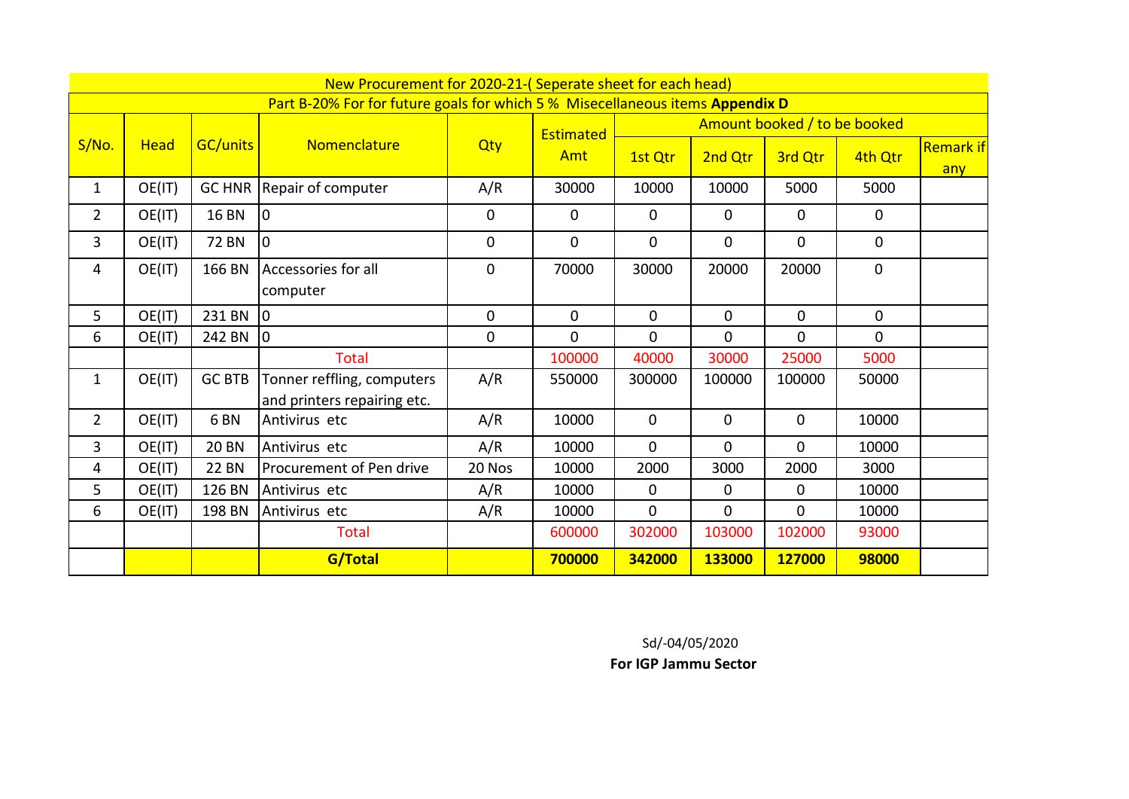|                | New Procurement for 2020-21-(Seperate sheet for each head)                    |                 |                                                           |             |             |                              |                |                |             |                         |  |
|----------------|-------------------------------------------------------------------------------|-----------------|-----------------------------------------------------------|-------------|-------------|------------------------------|----------------|----------------|-------------|-------------------------|--|
|                | Part B-20% For for future goals for which 5 % Misecellaneous items Appendix D |                 |                                                           |             |             |                              |                |                |             |                         |  |
|                | <b>Head</b>                                                                   | <b>GC/units</b> |                                                           | Qty         | Estimated   | Amount booked / to be booked |                |                |             |                         |  |
| S/No.          |                                                                               |                 | Nomenclature                                              |             | Amt         | 1st Qtr                      | 2nd Qtr        | 3rd Qtr        | 4th Qtr     | <b>Remark if</b><br>any |  |
| $\mathbf{1}$   | OE(IT)                                                                        |                 | GC HNR Repair of computer                                 | A/R         | 30000       | 10000                        | 10000          | 5000           | 5000        |                         |  |
| $\overline{2}$ | OE(IT)                                                                        | <b>16 BN</b>    | l0                                                        | $\mathbf 0$ | 0           | $\mathbf 0$                  | 0              | 0              | $\mathbf 0$ |                         |  |
| 3              | OE(IT)                                                                        | 72 BN           | l0                                                        | $\mathbf 0$ | 0           | $\mathbf 0$                  | $\mathbf 0$    | 0              | 0           |                         |  |
| 4              | OE(IT)                                                                        | 166 BN          | Accessories for all<br>computer                           | $\mathbf 0$ | 70000       | 30000                        | 20000          | 20000          | $\mathbf 0$ |                         |  |
| 5              | OE(IT)                                                                        | 231 BN          | lo.                                                       | $\mathbf 0$ | $\mathbf 0$ | $\mathbf 0$                  | $\mathbf 0$    | $\mathbf{0}$   | $\mathbf 0$ |                         |  |
| 6              | OE(IT)                                                                        | 242 BN          | Iо                                                        | $\mathbf 0$ | 0           | $\mathbf 0$                  | $\mathbf 0$    | 0              | $\Omega$    |                         |  |
|                |                                                                               |                 | Total                                                     |             | 100000      | 40000                        | 30000          | 25000          | 5000        |                         |  |
| $\mathbf{1}$   | OE(IT)                                                                        | <b>GC BTB</b>   | Tonner reffling, computers<br>and printers repairing etc. | A/R         | 550000      | 300000                       | 100000         | 100000         | 50000       |                         |  |
| $\overline{2}$ | OE(IT)                                                                        | 6 <sub>BN</sub> | Antivirus etc                                             | A/R         | 10000       | $\mathbf{0}$                 | $\mathbf 0$    | $\mathbf 0$    | 10000       |                         |  |
| 3              | OE(IT)                                                                        | <b>20 BN</b>    | Antivirus etc                                             | A/R         | 10000       | $\mathbf 0$                  | $\overline{0}$ | $\overline{0}$ | 10000       |                         |  |
| 4              | OE(IT)                                                                        | <b>22 BN</b>    | Procurement of Pen drive                                  | 20 Nos      | 10000       | 2000                         | 3000           | 2000           | 3000        |                         |  |
| 5              | OE(IT)                                                                        | 126 BN          | Antivirus etc                                             | A/R         | 10000       | $\mathbf 0$                  | $\mathbf{0}$   | $\mathbf 0$    | 10000       |                         |  |
| 6              | OE(IT)                                                                        | 198 BN          | Antivirus etc                                             | A/R         | 10000       | $\mathbf 0$                  | 0              | $\mathbf 0$    | 10000       |                         |  |
|                |                                                                               |                 | <b>Total</b>                                              |             | 600000      | 302000                       | 103000         | 102000         | 93000       |                         |  |
|                |                                                                               |                 | G/Total                                                   |             | 700000      | 342000                       | 133000         | 127000         | 98000       |                         |  |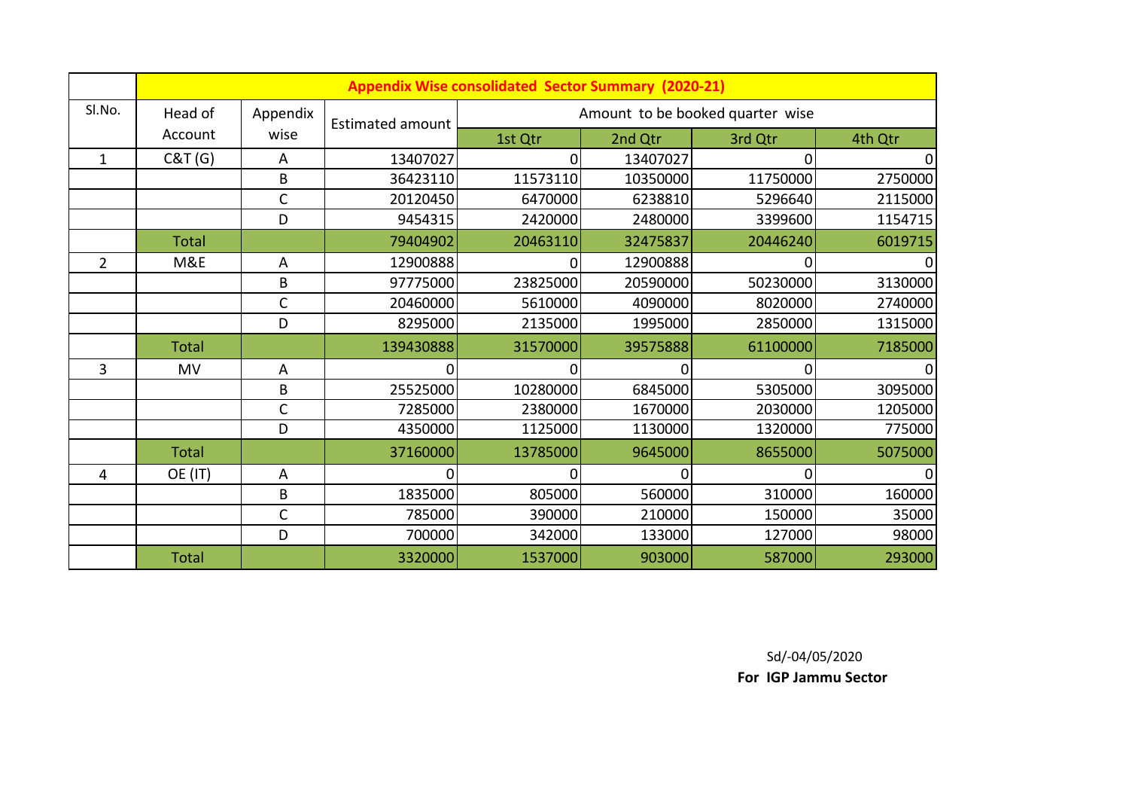|                | <b>Appendix Wise consolidated Sector Summary (2020-21)</b> |              |                         |                                  |          |          |         |  |  |
|----------------|------------------------------------------------------------|--------------|-------------------------|----------------------------------|----------|----------|---------|--|--|
| SI.No.         | Head of                                                    | Appendix     | <b>Estimated amount</b> | Amount to be booked quarter wise |          |          |         |  |  |
|                | Account                                                    | wise         |                         | 1st Qtr                          | 2nd Qtr  | 3rd Qtr  | 4th Qtr |  |  |
| $\mathbf{1}$   | C&T(G)                                                     | A            | 13407027                | $\Omega$                         | 13407027 | 0        |         |  |  |
|                |                                                            | B            | 36423110                | 11573110                         | 10350000 | 11750000 | 2750000 |  |  |
|                |                                                            | C            | 20120450                | 6470000                          | 6238810  | 5296640  | 2115000 |  |  |
|                |                                                            | D            | 9454315                 | 2420000                          | 2480000  | 3399600  | 1154715 |  |  |
|                | <b>Total</b>                                               |              | 79404902                | 20463110                         | 32475837 | 20446240 | 6019715 |  |  |
| $\overline{2}$ | M&E                                                        | A            | 12900888                | 0                                | 12900888 |          |         |  |  |
|                |                                                            | B            | 97775000                | 23825000                         | 20590000 | 50230000 | 3130000 |  |  |
|                |                                                            | C            | 20460000                | 5610000                          | 4090000  | 8020000  | 2740000 |  |  |
|                |                                                            | D            | 8295000                 | 2135000                          | 1995000  | 2850000  | 1315000 |  |  |
|                | <b>Total</b>                                               |              | 139430888               | 31570000                         | 39575888 | 61100000 | 7185000 |  |  |
| 3              | <b>MV</b>                                                  | A            | 0                       | 0                                | 0        | 0        |         |  |  |
|                |                                                            | B            | 25525000                | 10280000                         | 6845000  | 5305000  | 3095000 |  |  |
|                |                                                            | $\mathsf{C}$ | 7285000                 | 2380000                          | 1670000  | 2030000  | 1205000 |  |  |
|                |                                                            | D            | 4350000                 | 1125000                          | 1130000  | 1320000  | 775000  |  |  |
|                | <b>Total</b>                                               |              | 37160000                | 13785000                         | 9645000  | 8655000  | 5075000 |  |  |
| 4              | OE (IT)                                                    | Α            |                         | 0                                | 0        |          |         |  |  |
|                |                                                            | B            | 1835000                 | 805000                           | 560000   | 310000   | 160000  |  |  |
|                |                                                            | $\mathsf{C}$ | 785000                  | 390000                           | 210000   | 150000   | 35000   |  |  |
|                |                                                            | D            | 700000                  | 342000                           | 133000   | 127000   | 98000   |  |  |
|                | <b>Total</b>                                               |              | 3320000                 | 1537000                          | 903000   | 587000   | 293000  |  |  |